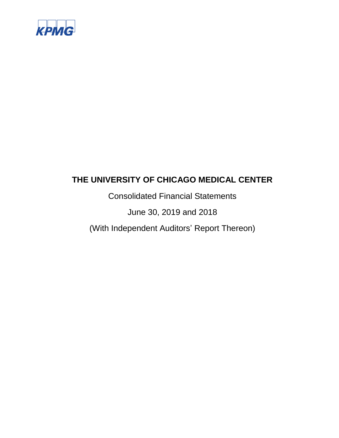

Consolidated Financial Statements

June 30, 2019 and 2018

(With Independent Auditors' Report Thereon)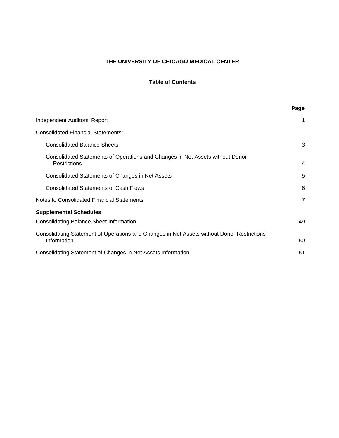## **Table of Contents**

|                                                                                                           | Page |
|-----------------------------------------------------------------------------------------------------------|------|
| Independent Auditors' Report                                                                              | 1    |
| <b>Consolidated Financial Statements:</b>                                                                 |      |
| <b>Consolidated Balance Sheets</b>                                                                        | 3    |
| Consolidated Statements of Operations and Changes in Net Assets without Donor<br><b>Restrictions</b>      | 4    |
| Consolidated Statements of Changes in Net Assets                                                          | 5    |
| <b>Consolidated Statements of Cash Flows</b>                                                              | 6    |
| Notes to Consolidated Financial Statements                                                                | 7    |
| <b>Supplemental Schedules</b>                                                                             |      |
| <b>Consolidating Balance Sheet Information</b>                                                            | 49   |
| Consolidating Statement of Operations and Changes in Net Assets without Donor Restrictions<br>Information | 50   |
| Consolidating Statement of Changes in Net Assets Information                                              | 51   |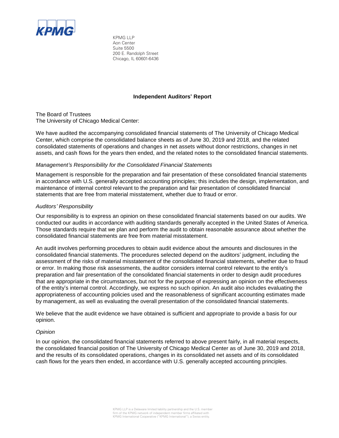

KPMG LLP Aon Center Suite 5500 200 E. Randolph Street Chicago, IL 60601-6436

### **Independent Auditors' Report**

The Board of Trustees The University of Chicago Medical Center:

We have audited the accompanying consolidated financial statements of The University of Chicago Medical Center, which comprise the consolidated balance sheets as of June 30, 2019 and 2018, and the related consolidated statements of operations and changes in net assets without donor restrictions, changes in net assets, and cash flows for the years then ended, and the related notes to the consolidated financial statements.

### *Management's Responsibility for the Consolidated Financial Statements*

Management is responsible for the preparation and fair presentation of these consolidated financial statements in accordance with U.S. generally accepted accounting principles; this includes the design, implementation, and maintenance of internal control relevant to the preparation and fair presentation of consolidated financial statements that are free from material misstatement, whether due to fraud or error.

### *Auditors' Responsibility*

Our responsibility is to express an opinion on these consolidated financial statements based on our audits. We conducted our audits in accordance with auditing standards generally accepted in the United States of America. Those standards require that we plan and perform the audit to obtain reasonable assurance about whether the consolidated financial statements are free from material misstatement.

An audit involves performing procedures to obtain audit evidence about the amounts and disclosures in the consolidated financial statements. The procedures selected depend on the auditors' judgment, including the assessment of the risks of material misstatement of the consolidated financial statements, whether due to fraud or error. In making those risk assessments, the auditor considers internal control relevant to the entity's preparation and fair presentation of the consolidated financial statements in order to design audit procedures that are appropriate in the circumstances, but not for the purpose of expressing an opinion on the effectiveness of the entity's internal control. Accordingly, we express no such opinion. An audit also includes evaluating the appropriateness of accounting policies used and the reasonableness of significant accounting estimates made by management, as well as evaluating the overall presentation of the consolidated financial statements.

We believe that the audit evidence we have obtained is sufficient and appropriate to provide a basis for our opinion.

### *Opinion*

In our opinion, the consolidated financial statements referred to above present fairly, in all material respects, the consolidated financial position of The University of Chicago Medical Center as of June 30, 2019 and 2018, and the results of its consolidated operations, changes in its consolidated net assets and of its consolidated cash flows for the years then ended, in accordance with U.S. generally accepted accounting principles.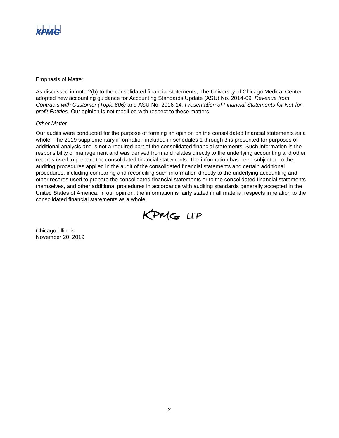

### Emphasis of Matter

As discussed in note 2(b) to the consolidated financial statements, The University of Chicago Medical Center adopted new accounting guidance for Accounting Standards Update (ASU) No. 2014-09, *Revenue from Contracts with Customer (Topic 606)* and ASU No. 2016-14*, Presentation of Financial Statements for Not-forprofit Entities*. Our opinion is not modified with respect to these matters.

### *Other Matter*

Our audits were conducted for the purpose of forming an opinion on the consolidated financial statements as a whole. The 2019 supplementary information included in schedules 1 through 3 is presented for purposes of additional analysis and is not a required part of the consolidated financial statements. Such information is the responsibility of management and was derived from and relates directly to the underlying accounting and other records used to prepare the consolidated financial statements. The information has been subjected to the auditing procedures applied in the audit of the consolidated financial statements and certain additional procedures, including comparing and reconciling such information directly to the underlying accounting and other records used to prepare the consolidated financial statements or to the consolidated financial statements themselves, and other additional procedures in accordance with auditing standards generally accepted in the United States of America. In our opinion, the information is fairly stated in all material respects in relation to the consolidated financial statements as a whole.



Chicago, Illinois November 20, 2019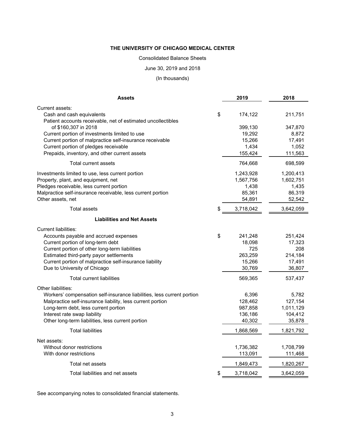### Consolidated Balance Sheets

### June 30, 2019 and 2018

### (In thousands)

| Current assets:<br>\$<br>Cash and cash equivalents<br>174,122<br>211,751<br>Patient accounts receivable, net of estimated uncollectibles<br>of \$160,307 in 2018<br>399,130<br>347,870<br>Current portion of investments limited to use<br>19,292<br>8,872<br>Current portion of malpractice self-insurance receivable<br>15,266<br>17,491<br>1,434<br>Current portion of pledges receivable<br>1,052<br>Prepaids, inventory, and other current assets<br>155,424<br>111,563<br>Total current assets<br>764,668<br>698,599<br>Investments limited to use, less current portion<br>1,243,928<br>1,200,413<br>1,602,751<br>Property, plant, and equipment, net<br>1,567,756<br>Pledges receivable, less current portion<br>1,438<br>1,435<br>86,319<br>Malpractice self-insurance receivable, less current portion<br>85,361<br>Other assets, net<br>54,891<br>52,542<br><b>Total assets</b><br>\$<br>3,642,059<br>3,718,042<br><b>Liabilities and Net Assets</b><br><b>Current liabilities:</b><br>\$<br>Accounts payable and accrued expenses<br>241,248<br>251,424<br>Current portion of long-term debt<br>18,098<br>17,323<br>725<br>Current portion of other long-term liabilities<br>208<br>Estimated third-party payor settlements<br>263,259<br>214,184<br>15,266<br>Current portion of malpractice self-insurance liability<br>17,491<br>Due to University of Chicago<br>30,769<br>36,807<br><b>Total current liabilities</b><br>569,365<br>537,437<br>Other liabilities:<br>Workers' compensation self-insurance liabilities, less current portion<br>6,396<br>5,782<br>128,462<br>Malpractice self-insurance liability, less current portion<br>127,154<br>Long-term debt, less current portion<br>987,858<br>1,011,129<br>Interest rate swap liability<br>136,186<br>104,412<br>Other long-term liabilities, less current portion<br>40,302<br>35,878<br><b>Total liabilities</b><br>1,868,569<br>1,821,792<br>Net assets:<br>Without donor restrictions<br>1,736,382<br>1,708,799<br>113,091<br>111,468<br>With donor restrictions<br>Total net assets<br>1,849,473<br>1,820,267<br>Total liabilities and net assets<br>\$<br>3,718,042<br>3,642,059 | Assets | 2019 | 2018 |
|-----------------------------------------------------------------------------------------------------------------------------------------------------------------------------------------------------------------------------------------------------------------------------------------------------------------------------------------------------------------------------------------------------------------------------------------------------------------------------------------------------------------------------------------------------------------------------------------------------------------------------------------------------------------------------------------------------------------------------------------------------------------------------------------------------------------------------------------------------------------------------------------------------------------------------------------------------------------------------------------------------------------------------------------------------------------------------------------------------------------------------------------------------------------------------------------------------------------------------------------------------------------------------------------------------------------------------------------------------------------------------------------------------------------------------------------------------------------------------------------------------------------------------------------------------------------------------------------------------------------------------------------------------------------------------------------------------------------------------------------------------------------------------------------------------------------------------------------------------------------------------------------------------------------------------------------------------------------------------------------------------------------------------------------------------------------------------------------------------------------------------------------------------------------|--------|------|------|
|                                                                                                                                                                                                                                                                                                                                                                                                                                                                                                                                                                                                                                                                                                                                                                                                                                                                                                                                                                                                                                                                                                                                                                                                                                                                                                                                                                                                                                                                                                                                                                                                                                                                                                                                                                                                                                                                                                                                                                                                                                                                                                                                                                 |        |      |      |
|                                                                                                                                                                                                                                                                                                                                                                                                                                                                                                                                                                                                                                                                                                                                                                                                                                                                                                                                                                                                                                                                                                                                                                                                                                                                                                                                                                                                                                                                                                                                                                                                                                                                                                                                                                                                                                                                                                                                                                                                                                                                                                                                                                 |        |      |      |
|                                                                                                                                                                                                                                                                                                                                                                                                                                                                                                                                                                                                                                                                                                                                                                                                                                                                                                                                                                                                                                                                                                                                                                                                                                                                                                                                                                                                                                                                                                                                                                                                                                                                                                                                                                                                                                                                                                                                                                                                                                                                                                                                                                 |        |      |      |
|                                                                                                                                                                                                                                                                                                                                                                                                                                                                                                                                                                                                                                                                                                                                                                                                                                                                                                                                                                                                                                                                                                                                                                                                                                                                                                                                                                                                                                                                                                                                                                                                                                                                                                                                                                                                                                                                                                                                                                                                                                                                                                                                                                 |        |      |      |
|                                                                                                                                                                                                                                                                                                                                                                                                                                                                                                                                                                                                                                                                                                                                                                                                                                                                                                                                                                                                                                                                                                                                                                                                                                                                                                                                                                                                                                                                                                                                                                                                                                                                                                                                                                                                                                                                                                                                                                                                                                                                                                                                                                 |        |      |      |
|                                                                                                                                                                                                                                                                                                                                                                                                                                                                                                                                                                                                                                                                                                                                                                                                                                                                                                                                                                                                                                                                                                                                                                                                                                                                                                                                                                                                                                                                                                                                                                                                                                                                                                                                                                                                                                                                                                                                                                                                                                                                                                                                                                 |        |      |      |
|                                                                                                                                                                                                                                                                                                                                                                                                                                                                                                                                                                                                                                                                                                                                                                                                                                                                                                                                                                                                                                                                                                                                                                                                                                                                                                                                                                                                                                                                                                                                                                                                                                                                                                                                                                                                                                                                                                                                                                                                                                                                                                                                                                 |        |      |      |
|                                                                                                                                                                                                                                                                                                                                                                                                                                                                                                                                                                                                                                                                                                                                                                                                                                                                                                                                                                                                                                                                                                                                                                                                                                                                                                                                                                                                                                                                                                                                                                                                                                                                                                                                                                                                                                                                                                                                                                                                                                                                                                                                                                 |        |      |      |
|                                                                                                                                                                                                                                                                                                                                                                                                                                                                                                                                                                                                                                                                                                                                                                                                                                                                                                                                                                                                                                                                                                                                                                                                                                                                                                                                                                                                                                                                                                                                                                                                                                                                                                                                                                                                                                                                                                                                                                                                                                                                                                                                                                 |        |      |      |
|                                                                                                                                                                                                                                                                                                                                                                                                                                                                                                                                                                                                                                                                                                                                                                                                                                                                                                                                                                                                                                                                                                                                                                                                                                                                                                                                                                                                                                                                                                                                                                                                                                                                                                                                                                                                                                                                                                                                                                                                                                                                                                                                                                 |        |      |      |
|                                                                                                                                                                                                                                                                                                                                                                                                                                                                                                                                                                                                                                                                                                                                                                                                                                                                                                                                                                                                                                                                                                                                                                                                                                                                                                                                                                                                                                                                                                                                                                                                                                                                                                                                                                                                                                                                                                                                                                                                                                                                                                                                                                 |        |      |      |
|                                                                                                                                                                                                                                                                                                                                                                                                                                                                                                                                                                                                                                                                                                                                                                                                                                                                                                                                                                                                                                                                                                                                                                                                                                                                                                                                                                                                                                                                                                                                                                                                                                                                                                                                                                                                                                                                                                                                                                                                                                                                                                                                                                 |        |      |      |
|                                                                                                                                                                                                                                                                                                                                                                                                                                                                                                                                                                                                                                                                                                                                                                                                                                                                                                                                                                                                                                                                                                                                                                                                                                                                                                                                                                                                                                                                                                                                                                                                                                                                                                                                                                                                                                                                                                                                                                                                                                                                                                                                                                 |        |      |      |
|                                                                                                                                                                                                                                                                                                                                                                                                                                                                                                                                                                                                                                                                                                                                                                                                                                                                                                                                                                                                                                                                                                                                                                                                                                                                                                                                                                                                                                                                                                                                                                                                                                                                                                                                                                                                                                                                                                                                                                                                                                                                                                                                                                 |        |      |      |
|                                                                                                                                                                                                                                                                                                                                                                                                                                                                                                                                                                                                                                                                                                                                                                                                                                                                                                                                                                                                                                                                                                                                                                                                                                                                                                                                                                                                                                                                                                                                                                                                                                                                                                                                                                                                                                                                                                                                                                                                                                                                                                                                                                 |        |      |      |
|                                                                                                                                                                                                                                                                                                                                                                                                                                                                                                                                                                                                                                                                                                                                                                                                                                                                                                                                                                                                                                                                                                                                                                                                                                                                                                                                                                                                                                                                                                                                                                                                                                                                                                                                                                                                                                                                                                                                                                                                                                                                                                                                                                 |        |      |      |
|                                                                                                                                                                                                                                                                                                                                                                                                                                                                                                                                                                                                                                                                                                                                                                                                                                                                                                                                                                                                                                                                                                                                                                                                                                                                                                                                                                                                                                                                                                                                                                                                                                                                                                                                                                                                                                                                                                                                                                                                                                                                                                                                                                 |        |      |      |
|                                                                                                                                                                                                                                                                                                                                                                                                                                                                                                                                                                                                                                                                                                                                                                                                                                                                                                                                                                                                                                                                                                                                                                                                                                                                                                                                                                                                                                                                                                                                                                                                                                                                                                                                                                                                                                                                                                                                                                                                                                                                                                                                                                 |        |      |      |
|                                                                                                                                                                                                                                                                                                                                                                                                                                                                                                                                                                                                                                                                                                                                                                                                                                                                                                                                                                                                                                                                                                                                                                                                                                                                                                                                                                                                                                                                                                                                                                                                                                                                                                                                                                                                                                                                                                                                                                                                                                                                                                                                                                 |        |      |      |
|                                                                                                                                                                                                                                                                                                                                                                                                                                                                                                                                                                                                                                                                                                                                                                                                                                                                                                                                                                                                                                                                                                                                                                                                                                                                                                                                                                                                                                                                                                                                                                                                                                                                                                                                                                                                                                                                                                                                                                                                                                                                                                                                                                 |        |      |      |
|                                                                                                                                                                                                                                                                                                                                                                                                                                                                                                                                                                                                                                                                                                                                                                                                                                                                                                                                                                                                                                                                                                                                                                                                                                                                                                                                                                                                                                                                                                                                                                                                                                                                                                                                                                                                                                                                                                                                                                                                                                                                                                                                                                 |        |      |      |
|                                                                                                                                                                                                                                                                                                                                                                                                                                                                                                                                                                                                                                                                                                                                                                                                                                                                                                                                                                                                                                                                                                                                                                                                                                                                                                                                                                                                                                                                                                                                                                                                                                                                                                                                                                                                                                                                                                                                                                                                                                                                                                                                                                 |        |      |      |
|                                                                                                                                                                                                                                                                                                                                                                                                                                                                                                                                                                                                                                                                                                                                                                                                                                                                                                                                                                                                                                                                                                                                                                                                                                                                                                                                                                                                                                                                                                                                                                                                                                                                                                                                                                                                                                                                                                                                                                                                                                                                                                                                                                 |        |      |      |
|                                                                                                                                                                                                                                                                                                                                                                                                                                                                                                                                                                                                                                                                                                                                                                                                                                                                                                                                                                                                                                                                                                                                                                                                                                                                                                                                                                                                                                                                                                                                                                                                                                                                                                                                                                                                                                                                                                                                                                                                                                                                                                                                                                 |        |      |      |
|                                                                                                                                                                                                                                                                                                                                                                                                                                                                                                                                                                                                                                                                                                                                                                                                                                                                                                                                                                                                                                                                                                                                                                                                                                                                                                                                                                                                                                                                                                                                                                                                                                                                                                                                                                                                                                                                                                                                                                                                                                                                                                                                                                 |        |      |      |
|                                                                                                                                                                                                                                                                                                                                                                                                                                                                                                                                                                                                                                                                                                                                                                                                                                                                                                                                                                                                                                                                                                                                                                                                                                                                                                                                                                                                                                                                                                                                                                                                                                                                                                                                                                                                                                                                                                                                                                                                                                                                                                                                                                 |        |      |      |
|                                                                                                                                                                                                                                                                                                                                                                                                                                                                                                                                                                                                                                                                                                                                                                                                                                                                                                                                                                                                                                                                                                                                                                                                                                                                                                                                                                                                                                                                                                                                                                                                                                                                                                                                                                                                                                                                                                                                                                                                                                                                                                                                                                 |        |      |      |
|                                                                                                                                                                                                                                                                                                                                                                                                                                                                                                                                                                                                                                                                                                                                                                                                                                                                                                                                                                                                                                                                                                                                                                                                                                                                                                                                                                                                                                                                                                                                                                                                                                                                                                                                                                                                                                                                                                                                                                                                                                                                                                                                                                 |        |      |      |
|                                                                                                                                                                                                                                                                                                                                                                                                                                                                                                                                                                                                                                                                                                                                                                                                                                                                                                                                                                                                                                                                                                                                                                                                                                                                                                                                                                                                                                                                                                                                                                                                                                                                                                                                                                                                                                                                                                                                                                                                                                                                                                                                                                 |        |      |      |
|                                                                                                                                                                                                                                                                                                                                                                                                                                                                                                                                                                                                                                                                                                                                                                                                                                                                                                                                                                                                                                                                                                                                                                                                                                                                                                                                                                                                                                                                                                                                                                                                                                                                                                                                                                                                                                                                                                                                                                                                                                                                                                                                                                 |        |      |      |
|                                                                                                                                                                                                                                                                                                                                                                                                                                                                                                                                                                                                                                                                                                                                                                                                                                                                                                                                                                                                                                                                                                                                                                                                                                                                                                                                                                                                                                                                                                                                                                                                                                                                                                                                                                                                                                                                                                                                                                                                                                                                                                                                                                 |        |      |      |
|                                                                                                                                                                                                                                                                                                                                                                                                                                                                                                                                                                                                                                                                                                                                                                                                                                                                                                                                                                                                                                                                                                                                                                                                                                                                                                                                                                                                                                                                                                                                                                                                                                                                                                                                                                                                                                                                                                                                                                                                                                                                                                                                                                 |        |      |      |
|                                                                                                                                                                                                                                                                                                                                                                                                                                                                                                                                                                                                                                                                                                                                                                                                                                                                                                                                                                                                                                                                                                                                                                                                                                                                                                                                                                                                                                                                                                                                                                                                                                                                                                                                                                                                                                                                                                                                                                                                                                                                                                                                                                 |        |      |      |
|                                                                                                                                                                                                                                                                                                                                                                                                                                                                                                                                                                                                                                                                                                                                                                                                                                                                                                                                                                                                                                                                                                                                                                                                                                                                                                                                                                                                                                                                                                                                                                                                                                                                                                                                                                                                                                                                                                                                                                                                                                                                                                                                                                 |        |      |      |
|                                                                                                                                                                                                                                                                                                                                                                                                                                                                                                                                                                                                                                                                                                                                                                                                                                                                                                                                                                                                                                                                                                                                                                                                                                                                                                                                                                                                                                                                                                                                                                                                                                                                                                                                                                                                                                                                                                                                                                                                                                                                                                                                                                 |        |      |      |
|                                                                                                                                                                                                                                                                                                                                                                                                                                                                                                                                                                                                                                                                                                                                                                                                                                                                                                                                                                                                                                                                                                                                                                                                                                                                                                                                                                                                                                                                                                                                                                                                                                                                                                                                                                                                                                                                                                                                                                                                                                                                                                                                                                 |        |      |      |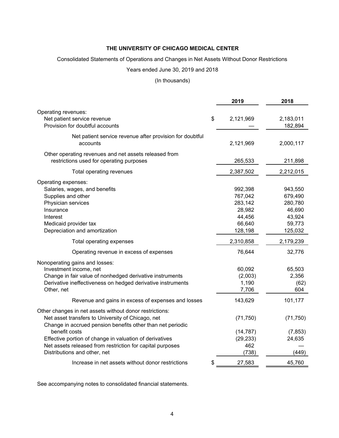## Consolidated Statements of Operations and Changes in Net Assets Without Donor Restrictions

## Years ended June 30, 2019 and 2018

### (In thousands)

|                                                             | 2019            | 2018      |
|-------------------------------------------------------------|-----------------|-----------|
| Operating revenues:                                         |                 |           |
| Net patient service revenue                                 | \$<br>2,121,969 | 2,183,011 |
| Provision for doubtful accounts                             |                 | 182,894   |
|                                                             |                 |           |
| Net patient service revenue after provision for doubtful    |                 |           |
| accounts                                                    | 2,121,969       | 2,000,117 |
| Other operating revenues and net assets released from       |                 |           |
| restrictions used for operating purposes                    | 265,533         | 211,898   |
| Total operating revenues                                    | 2,387,502       | 2,212,015 |
| Operating expenses:                                         |                 |           |
| Salaries, wages, and benefits                               | 992,398         | 943,550   |
| Supplies and other                                          | 767,042         | 679,490   |
| Physician services                                          | 283,142         | 280,780   |
| Insurance                                                   | 28,982          | 46,690    |
| Interest                                                    | 44,456          | 43,924    |
| Medicaid provider tax                                       | 66,640          | 59,773    |
| Depreciation and amortization                               | 128,198         | 125,032   |
| Total operating expenses                                    | 2,310,858       | 2,179,239 |
| Operating revenue in excess of expenses                     | 76,644          | 32,776    |
| Nonoperating gains and losses:                              |                 |           |
| Investment income, net                                      | 60,092          | 65,503    |
| Change in fair value of nonhedged derivative instruments    | (2,003)         | 2,356     |
| Derivative ineffectiveness on hedged derivative instruments | 1,190           | (62)      |
| Other, net                                                  | 7,706           | 604       |
| Revenue and gains in excess of expenses and losses          | 143,629         | 101,177   |
| Other changes in net assets without donor restrictions:     |                 |           |
| Net asset transfers to University of Chicago, net           | (71, 750)       | (71, 750) |
| Change in accrued pension benefits other than net periodic  |                 |           |
| benefit costs                                               | (14, 787)       | (7, 853)  |
| Effective portion of change in valuation of derivatives     | (29, 233)       | 24,635    |
| Net assets released from restriction for capital purposes   | 462             |           |
| Distributions and other, net                                | (738)           | (449)     |
| Increase in net assets without donor restrictions           | \$<br>27,583    | 45,760    |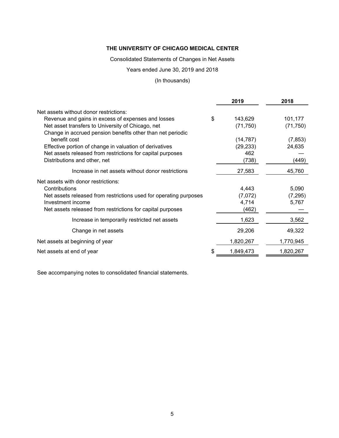Consolidated Statements of Changes in Net Assets

Years ended June 30, 2019 and 2018

## (In thousands)

|                                                                   | 2019            | 2018      |
|-------------------------------------------------------------------|-----------------|-----------|
| Net assets without donor restrictions:                            |                 |           |
| Revenue and gains in excess of expenses and losses                | \$<br>143,629   | 101,177   |
| Net asset transfers to University of Chicago, net                 | (71, 750)       | (71, 750) |
| Change in accrued pension benefits other than net periodic        |                 |           |
| benefit cost                                                      | (14, 787)       | (7, 853)  |
| Effective portion of change in valuation of derivatives           | (29, 233)       | 24,635    |
| Net assets released from restrictions for capital purposes        | 462             |           |
| Distributions and other, net                                      | (738)           | (449)     |
| Increase in net assets without donor restrictions                 | 27,583          | 45,760    |
| Net assets with donor restrictions:                               |                 |           |
| Contributions                                                     | 4,443           | 5,090     |
| Net assets released from restrictions used for operating purposes | (7,072)         | (7, 295)  |
| Investment income                                                 | 4,714           | 5,767     |
| Net assets released from restrictions for capital purposes        | (462)           |           |
| Increase in temporarily restricted net assets                     | 1,623           | 3,562     |
| Change in net assets                                              | 29,206          | 49,322    |
| Net assets at beginning of year                                   | 1,820,267       | 1,770,945 |
| Net assets at end of year                                         | \$<br>1,849,473 | 1,820,267 |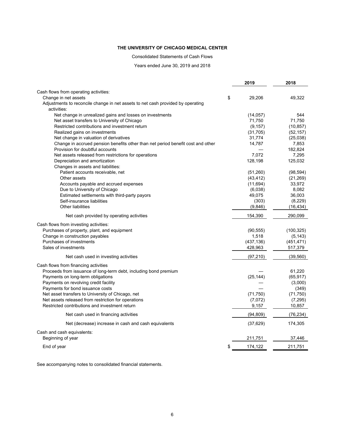Consolidated Statements of Cash Flows

Years ended June 30, 2019 and 2018

|                                                                                 | 2019          | 2018       |
|---------------------------------------------------------------------------------|---------------|------------|
| Cash flows from operating activities:                                           |               |            |
| Change in net assets                                                            | \$<br>29,206  | 49.322     |
| Adjustments to reconcile change in net assets to net cash provided by operating |               |            |
| activities:                                                                     |               |            |
| Net change in unrealized gains and losses on investments                        | (14, 057)     | 544        |
| Net asset transfers to University of Chicago                                    | 71,750        | 71,750     |
| Restricted contributions and investment return                                  | (9, 157)      | (10, 857)  |
| Realized gains on investments                                                   | (31, 705)     | (52, 157)  |
| Net change in valuation of derivatives                                          | 31,774        | (25,038)   |
| Change in accrued pension benefits other than net period benefit cost and other | 14,787        | 7,853      |
| Provision for doubtful accounts                                                 |               | 182,824    |
| Net assets released from restrictions for operations                            | 7,072         | 7,295      |
| Depreciation and amortization                                                   | 128,198       | 125,032    |
| Changes in assets and liabilities:                                              |               |            |
| Patient accounts receivable, net                                                | (51,260)      | (98, 594)  |
| Other assets                                                                    | (43, 412)     | (21, 269)  |
| Accounts payable and accrued expenses                                           | (11, 694)     | 33,972     |
| Due to University of Chicago                                                    | (6,038)       | 8,082      |
| Estimated settlements with third-party payors                                   | 49,075        | 36,003     |
| Self-insurance liabilities                                                      | (303)         | (8,229)    |
| Other liabilities                                                               | (9,846)       | (16, 434)  |
| Net cash provided by operating activities                                       | 154,390       | 290,099    |
| Cash flows from investing activities:                                           |               |            |
| Purchases of property, plant, and equipment                                     | (90, 555)     | (100, 325) |
| Change in construction payables                                                 | 1,518         | (5, 143)   |
| Purchases of investments                                                        | (437, 136)    | (451, 471) |
| Sales of investments                                                            | 428,963       | 517,379    |
| Net cash used in investing activities                                           | (97, 210)     | (39, 560)  |
| Cash flows from financing activities                                            |               |            |
| Proceeds from issuance of long-term debt, including bond premium                |               | 61,220     |
| Payments on long-term obligations                                               | (25, 144)     | (65, 917)  |
| Payments on revolving credit facility                                           |               | (3,000)    |
| Payments for bond issuance costs                                                |               | (349)      |
| Net asset transfers to University of Chicago, net                               | (71, 750)     | (71, 750)  |
| Net assets released from restriction for operations                             | (7,072)       | (7, 295)   |
| Restricted contributions and investment return                                  | 9,157         | 10,857     |
| Net cash used in financing activities                                           | (94, 809)     | (76, 234)  |
| Net (decrease) increase in cash and cash equivalents                            | (37, 629)     | 174,305    |
| Cash and cash equivalents:                                                      |               |            |
| Beginning of year                                                               | 211,751       | 37,446     |
| End of year                                                                     | \$<br>174,122 | 211,751    |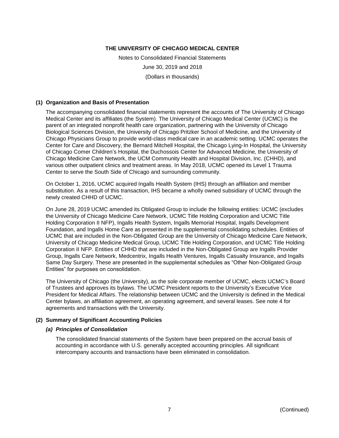Notes to Consolidated Financial Statements June 30, 2019 and 2018 (Dollars in thousands)

### **(1) Organization and Basis of Presentation**

The accompanying consolidated financial statements represent the accounts of The University of Chicago Medical Center and its affiliates (the System). The University of Chicago Medical Center (UCMC) is the parent of an integrated nonprofit health care organization, partnering with the University of Chicago Biological Sciences Division, the University of Chicago Pritzker School of Medicine, and the University of Chicago Physicians Group to provide world-class medical care in an academic setting. UCMC operates the Center for Care and Discovery, the Bernard Mitchell Hospital, the Chicago Lying-In Hospital, the University of Chicago Comer Children's Hospital, the Duchossois Center for Advanced Medicine, the University of Chicago Medicine Care Network, the UCM Community Health and Hospital Division, Inc. (CHHD), and various other outpatient clinics and treatment areas. In May 2018, UCMC opened its Level 1 Trauma Center to serve the South Side of Chicago and surrounding community.

On October 1, 2016, UCMC acquired Ingalls Health System (IHS) through an affiliation and member substitution. As a result of this transaction, IHS became a wholly owned subsidiary of UCMC through the newly created CHHD of UCMC.

On June 28, 2019 UCMC amended its Obligated Group to include the following entities: UCMC (excludes the University of Chicago Medicine Care Network, UCMC Title Holding Corporation and UCMC Title Holding Corporation II NFP), Ingalls Health System, Ingalls Memorial Hospital, Ingalls Development Foundation, and Ingalls Home Care as presented in the supplemental consolidating schedules. Entities of UCMC that are included in the Non-Obligated Group are the University of Chicago Medicine Care Network, University of Chicago Medicine Medical Group, UCMC Title Holding Corporation, and UCMC Title Holding Corporation II NFP. Entities of CHHD that are included in the Non-Obligated Group are Ingalls Provider Group, Ingalls Care Network, Medcentrix, Ingalls Health Ventures, Ingalls Casualty Insurance, and Ingalls Same Day Surgery. These are presented in the supplemental schedules as "Other Non-Obligated Group Entities" for purposes on consolidation.

The University of Chicago (the University), as the sole corporate member of UCMC, elects UCMC's Board of Trustees and approves its bylaws. The UCMC President reports to the University's Executive Vice President for Medical Affairs. The relationship between UCMC and the University is defined in the Medical Center bylaws, an affiliation agreement, an operating agreement, and several leases. See note 4 for agreements and transactions with the University.

### **(2) Summary of Significant Accounting Policies**

### *(a) Principles of Consolidation*

The consolidated financial statements of the System have been prepared on the accrual basis of accounting in accordance with U.S. generally accepted accounting principles. All significant intercompany accounts and transactions have been eliminated in consolidation.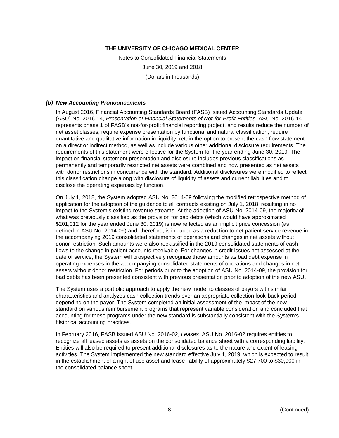Notes to Consolidated Financial Statements June 30, 2019 and 2018 (Dollars in thousands)

### *(b) New Accounting Pronouncements*

In August 2016, Financial Accounting Standards Board (FASB) issued Accounting Standards Update (ASU) No. 2016-14, *Presentation of Financial Statements of Not-for-Profit Entities*. ASU No. 2016-14 represents phase 1 of FASB's not-for-profit financial reporting project, and results reduce the number of net asset classes, require expense presentation by functional and natural classification, require quantitative and qualitative information in liquidity, retain the option to present the cash flow statement on a direct or indirect method, as well as include various other additional disclosure requirements. The requirements of this statement were effective for the System for the year ending June 30, 2019. The impact on financial statement presentation and disclosure includes previous classifications as permanently and temporarily restricted net assets were combined and now presented as net assets with donor restrictions in concurrence with the standard. Additional disclosures were modified to reflect this classification change along with disclosure of liquidity of assets and current liabilities and to disclose the operating expenses by function.

On July 1, 2018, the System adopted ASU No. 2014-09 following the modified retrospective method of application for the adoption of the guidance to all contracts existing on July 1, 2018, resulting in no impact to the System's existing revenue streams. At the adoption of ASU No. 2014-09, the majority of what was previously classified as the provision for bad debts (which would have approximated \$201,012 for the year ended June 30, 2019) is now reflected as an implicit price concession (as defined in ASU No. 2014-09) and, therefore, is included as a reduction to net patient service revenue in the accompanying 2019 consolidated statements of operations and changes in net assets without donor restriction. Such amounts were also reclassified in the 2019 consolidated statements of cash flows to the change in patient accounts receivable. For changes in credit issues not assessed at the date of service, the System will prospectively recognize those amounts as bad debt expense in operating expenses in the accompanying consolidated statements of operations and changes in net assets without donor restriction. For periods prior to the adoption of ASU No. 2014-09, the provision for bad debts has been presented consistent with previous presentation prior to adoption of the new ASU.

The System uses a portfolio approach to apply the new model to classes of payors with similar characteristics and analyzes cash collection trends over an appropriate collection look-back period depending on the payor. The System completed an initial assessment of the impact of the new standard on various reimbursement programs that represent variable consideration and concluded that accounting for these programs under the new standard is substantially consistent with the System's historical accounting practices.

In February 2016, FASB issued ASU No. 2016-02, *Leases*. ASU No. 2016-02 requires entities to recognize all leased assets as assets on the consolidated balance sheet with a corresponding liability. Entities will also be required to present additional disclosures as to the nature and extent of leasing activities. The System implemented the new standard effective July 1, 2019, which is expected to result in the establishment of a right of use asset and lease liability of approximately \$27,700 to \$30,900 in the consolidated balance sheet.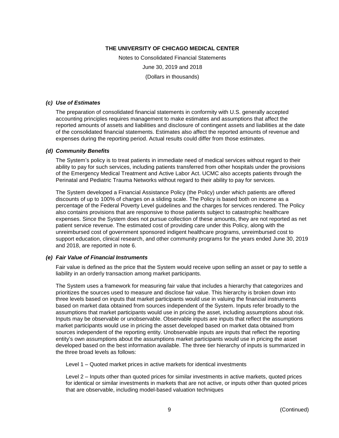Notes to Consolidated Financial Statements June 30, 2019 and 2018 (Dollars in thousands)

#### *(c) Use of Estimates*

The preparation of consolidated financial statements in conformity with U.S. generally accepted accounting principles requires management to make estimates and assumptions that affect the reported amounts of assets and liabilities and disclosure of contingent assets and liabilities at the date of the consolidated financial statements. Estimates also affect the reported amounts of revenue and expenses during the reporting period. Actual results could differ from those estimates.

#### *(d) Community Benefits*

The System's policy is to treat patients in immediate need of medical services without regard to their ability to pay for such services, including patients transferred from other hospitals under the provisions of the Emergency Medical Treatment and Active Labor Act. UCMC also accepts patients through the Perinatal and Pediatric Trauma Networks without regard to their ability to pay for services.

The System developed a Financial Assistance Policy (the Policy) under which patients are offered discounts of up to 100% of charges on a sliding scale. The Policy is based both on income as a percentage of the Federal Poverty Level guidelines and the charges for services rendered. The Policy also contains provisions that are responsive to those patients subject to catastrophic healthcare expenses. Since the System does not pursue collection of these amounts, they are not reported as net patient service revenue. The estimated cost of providing care under this Policy, along with the unreimbursed cost of government sponsored indigent healthcare programs, unreimbursed cost to support education, clinical research, and other community programs for the years ended June 30, 2019 and 2018, are reported in note 6.

### *(e) Fair Value of Financial Instruments*

Fair value is defined as the price that the System would receive upon selling an asset or pay to settle a liability in an orderly transaction among market participants.

The System uses a framework for measuring fair value that includes a hierarchy that categorizes and prioritizes the sources used to measure and disclose fair value. This hierarchy is broken down into three levels based on inputs that market participants would use in valuing the financial instruments based on market data obtained from sources independent of the System. Inputs refer broadly to the assumptions that market participants would use in pricing the asset, including assumptions about risk. Inputs may be observable or unobservable. Observable inputs are inputs that reflect the assumptions market participants would use in pricing the asset developed based on market data obtained from sources independent of the reporting entity. Unobservable inputs are inputs that reflect the reporting entity's own assumptions about the assumptions market participants would use in pricing the asset developed based on the best information available. The three tier hierarchy of inputs is summarized in the three broad levels as follows:

Level 1 – Quoted market prices in active markets for identical investments

Level 2 – Inputs other than quoted prices for similar investments in active markets, quoted prices for identical or similar investments in markets that are not active, or inputs other than quoted prices that are observable, including model-based valuation techniques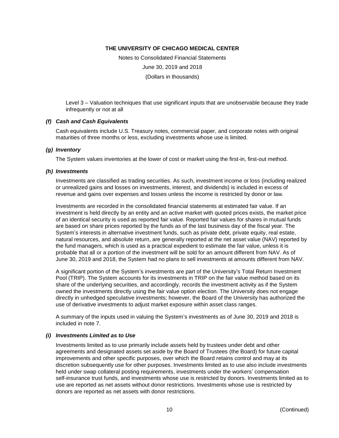Notes to Consolidated Financial Statements June 30, 2019 and 2018 (Dollars in thousands)

Level 3 – Valuation techniques that use significant inputs that are unobservable because they trade infrequently or not at all

### *(f) Cash and Cash Equivalents*

Cash equivalents include U.S. Treasury notes, commercial paper, and corporate notes with original maturities of three months or less, excluding investments whose use is limited.

### *(g) Inventory*

The System values inventories at the lower of cost or market using the first-in, first-out method.

### *(h) Investments*

Investments are classified as trading securities. As such, investment income or loss (including realized or unrealized gains and losses on investments, interest, and dividends) is included in excess of revenue and gains over expenses and losses unless the income is restricted by donor or law.

Investments are recorded in the consolidated financial statements at estimated fair value. If an investment is held directly by an entity and an active market with quoted prices exists, the market price of an identical security is used as reported fair value. Reported fair values for shares in mutual funds are based on share prices reported by the funds as of the last business day of the fiscal year. The System's interests in alternative investment funds, such as private debt, private equity, real estate, natural resources, and absolute return, are generally reported at the net asset value (NAV) reported by the fund managers, which is used as a practical expedient to estimate the fair value, unless it is probable that all or a portion of the investment will be sold for an amount different from NAV. As of June 30, 2019 and 2018, the System had no plans to sell investments at amounts different from NAV.

A significant portion of the System's investments are part of the University's Total Return Investment Pool (TRIP). The System accounts for its investments in TRIP on the fair value method based on its share of the underlying securities, and accordingly, records the investment activity as if the System owned the investments directly using the fair value option election. The University does not engage directly in unhedged speculative investments; however, the Board of the University has authorized the use of derivative investments to adjust market exposure within asset class ranges.

A summary of the inputs used in valuing the System's investments as of June 30, 2019 and 2018 is included in note 7.

### *(i) Investments Limited as to Use*

Investments limited as to use primarily include assets held by trustees under debt and other agreements and designated assets set aside by the Board of Trustees (the Board) for future capital improvements and other specific purposes, over which the Board retains control and may at its discretion subsequently use for other purposes. Investments limited as to use also include investments held under swap collateral posting requirements, investments under the workers' compensation self-insurance trust funds, and investments whose use is restricted by donors. Investments limited as to use are reported as net assets without donor restrictions. Investments whose use is restricted by donors are reported as net assets with donor restrictions.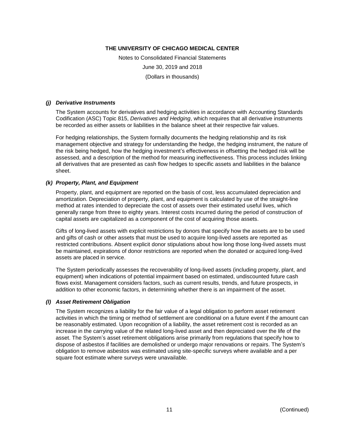Notes to Consolidated Financial Statements June 30, 2019 and 2018 (Dollars in thousands)

### *(j) Derivative Instruments*

The System accounts for derivatives and hedging activities in accordance with Accounting Standards Codification (ASC) Topic 815, *Derivatives and Hedging*, which requires that all derivative instruments be recorded as either assets or liabilities in the balance sheet at their respective fair values.

For hedging relationships, the System formally documents the hedging relationship and its risk management objective and strategy for understanding the hedge, the hedging instrument, the nature of the risk being hedged, how the hedging investment's effectiveness in offsetting the hedged risk will be assessed, and a description of the method for measuring ineffectiveness. This process includes linking all derivatives that are presented as cash flow hedges to specific assets and liabilities in the balance sheet.

### *(k) Property, Plant, and Equipment*

Property, plant, and equipment are reported on the basis of cost, less accumulated depreciation and amortization. Depreciation of property, plant, and equipment is calculated by use of the straight-line method at rates intended to depreciate the cost of assets over their estimated useful lives, which generally range from three to eighty years. Interest costs incurred during the period of construction of capital assets are capitalized as a component of the cost of acquiring those assets.

Gifts of long-lived assets with explicit restrictions by donors that specify how the assets are to be used and gifts of cash or other assets that must be used to acquire long-lived assets are reported as restricted contributions. Absent explicit donor stipulations about how long those long-lived assets must be maintained, expirations of donor restrictions are reported when the donated or acquired long-lived assets are placed in service.

The System periodically assesses the recoverability of long-lived assets (including property, plant, and equipment) when indications of potential impairment based on estimated, undiscounted future cash flows exist. Management considers factors, such as current results, trends, and future prospects, in addition to other economic factors, in determining whether there is an impairment of the asset.

### *(l) Asset Retirement Obligation*

The System recognizes a liability for the fair value of a legal obligation to perform asset retirement activities in which the timing or method of settlement are conditional on a future event if the amount can be reasonably estimated. Upon recognition of a liability, the asset retirement cost is recorded as an increase in the carrying value of the related long-lived asset and then depreciated over the life of the asset. The System's asset retirement obligations arise primarily from regulations that specify how to dispose of asbestos if facilities are demolished or undergo major renovations or repairs. The System's obligation to remove asbestos was estimated using site-specific surveys where available and a per square foot estimate where surveys were unavailable.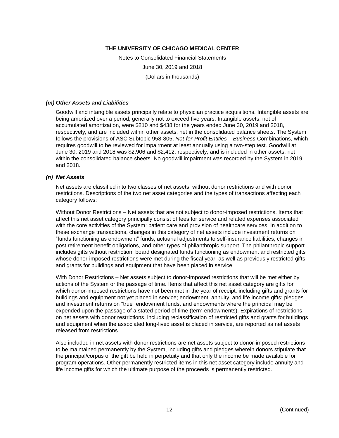Notes to Consolidated Financial Statements June 30, 2019 and 2018 (Dollars in thousands)

#### *(m) Other Assets and Liabilities*

Goodwill and intangible assets principally relate to physician practice acquisitions. Intangible assets are being amortized over a period, generally not to exceed five years. Intangible assets, net of accumulated amortization, were \$210 and \$438 for the years ended June 30, 2019 and 2018, respectively, and are included within other assets, net in the consolidated balance sheets. The System follows the provisions of ASC Subtopic 958-805, *Not-for-Profit Entities – Business* Combinations, which requires goodwill to be reviewed for impairment at least annually using a two-step test. Goodwill at June 30, 2019 and 2018 was \$2,906 and \$2,412, respectively, and is included in other assets, net within the consolidated balance sheets. No goodwill impairment was recorded by the System in 2019 and 2018.

#### *(n) Net Assets*

Net assets are classified into two classes of net assets: without donor restrictions and with donor restrictions. Descriptions of the two net asset categories and the types of transactions affecting each category follows:

Without Donor Restrictions – Net assets that are not subject to donor-imposed restrictions. Items that affect this net asset category principally consist of fees for service and related expenses associated with the core activities of the System: patient care and provision of healthcare services. In addition to these exchange transactions, changes in this category of net assets include investment returns on "funds functioning as endowment" funds, actuarial adjustments to self-insurance liabilities, changes in post retirement benefit obligations, and other types of philanthropic support. The philanthropic support includes gifts without restriction, board designated funds functioning as endowment and restricted gifts whose donor-imposed restrictions were met during the fiscal year, as well as previously restricted gifts and grants for buildings and equipment that have been placed in service.

With Donor Restrictions – Net assets subject to donor-imposed restrictions that will be met either by actions of the System or the passage of time. Items that affect this net asset category are gifts for which donor-imposed restrictions have not been met in the year of receipt, including gifts and grants for buildings and equipment not yet placed in service; endowment, annuity, and life income gifts; pledges and investment returns on "true" endowment funds, and endowments where the principal may be expended upon the passage of a stated period of time (term endowments). Expirations of restrictions on net assets with donor restrictions, including reclassification of restricted gifts and grants for buildings and equipment when the associated long-lived asset is placed in service, are reported as net assets released from restrictions.

Also included in net assets with donor restrictions are net assets subject to donor-imposed restrictions to be maintained permanently by the System, including gifts and pledges wherein donors stipulate that the principal/corpus of the gift be held in perpetuity and that only the income be made available for program operations. Other permanently restricted items in this net asset category include annuity and life income gifts for which the ultimate purpose of the proceeds is permanently restricted.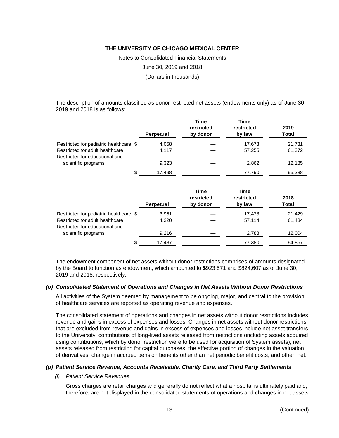Notes to Consolidated Financial Statements

June 30, 2019 and 2018

(Dollars in thousands)

The description of amounts classified as donor restricted net assets (endowments only) as of June 30, 2019 and 2018 is as follows:

|                                                                                                             | <b>Perpetual</b> | Time<br>restricted<br>by donor | Time<br>restricted<br>by law | 2019<br>Total    |
|-------------------------------------------------------------------------------------------------------------|------------------|--------------------------------|------------------------------|------------------|
| Restricted for pediatric healthcare \$<br>Restricted for adult healthcare<br>Restricted for educational and | 4.058<br>4.117   |                                | 17.673<br>57,255             | 21,731<br>61,372 |
| scientific programs                                                                                         | 9,323            |                                | 2,862                        | 12,185           |
|                                                                                                             | \$<br>17.498     |                                | 77.790                       | 95.288           |

|                                        | Perpetual | Time<br>restricted<br>by donor | Time<br>restricted<br>by law | 2018<br>Total |
|----------------------------------------|-----------|--------------------------------|------------------------------|---------------|
| Restricted for pediatric healthcare \$ | 3,951     |                                | 17.478                       | 21,429        |
| Restricted for adult healthcare        | 4.320     |                                | 57.114                       | 61,434        |
| Restricted for educational and         |           |                                |                              |               |
| scientific programs                    | 9,216     |                                | 2,788                        | 12,004        |
| S.                                     | 17.487    |                                | 77,380                       | 94,867        |

The endowment component of net assets without donor restrictions comprises of amounts designated by the Board to function as endowment, which amounted to \$923,571 and \$824,607 as of June 30, 2019 and 2018, respectively.

### *(o) Consolidated Statement of Operations and Changes in Net Assets Without Donor Restrictions*

All activities of the System deemed by management to be ongoing, major, and central to the provision of healthcare services are reported as operating revenue and expenses.

The consolidated statement of operations and changes in net assets without donor restrictions includes revenue and gains in excess of expenses and losses. Changes in net assets without donor restrictions that are excluded from revenue and gains in excess of expenses and losses include net asset transfers to the University, contributions of long-lived assets released from restrictions (including assets acquired using contributions, which by donor restriction were to be used for acquisition of System assets), net assets released from restriction for capital purchases, the effective portion of changes in the valuation of derivatives, change in accrued pension benefits other than net periodic benefit costs, and other, net.

### *(p) Patient Service Revenue, Accounts Receivable, Charity Care, and Third Party Settlements*

### *(i) Patient Service Revenues*

Gross charges are retail charges and generally do not reflect what a hospital is ultimately paid and, therefore, are not displayed in the consolidated statements of operations and changes in net assets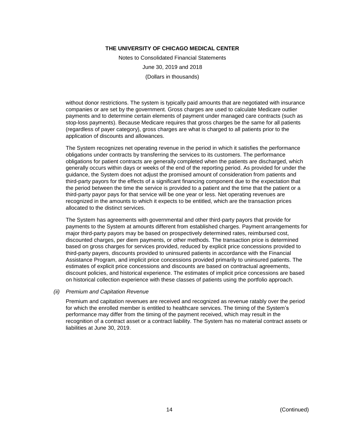Notes to Consolidated Financial Statements June 30, 2019 and 2018 (Dollars in thousands)

without donor restrictions. The system is typically paid amounts that are negotiated with insurance companies or are set by the government. Gross charges are used to calculate Medicare outlier payments and to determine certain elements of payment under managed care contracts (such as stop-loss payments). Because Medicare requires that gross charges be the same for all patients (regardless of payer category), gross charges are what is charged to all patients prior to the application of discounts and allowances.

The System recognizes net operating revenue in the period in which it satisfies the performance obligations under contracts by transferring the services to its customers. The performance obligations for patient contracts are generally completed when the patients are discharged, which generally occurs within days or weeks of the end of the reporting period. As provided for under the guidance, the System does not adjust the promised amount of consideration from patients and third-party payors for the effects of a significant financing component due to the expectation that the period between the time the service is provided to a patient and the time that the patient or a third-party payor pays for that service will be one year or less. Net operating revenues are recognized in the amounts to which it expects to be entitled, which are the transaction prices allocated to the distinct services.

The System has agreements with governmental and other third-party payors that provide for payments to the System at amounts different from established charges. Payment arrangements for major third-party payors may be based on prospectively determined rates, reimbursed cost, discounted charges, per diem payments, or other methods. The transaction price is determined based on gross charges for services provided, reduced by explicit price concessions provided to third-party payers, discounts provided to uninsured patients in accordance with the Financial Assistance Program, and implicit price concessions provided primarily to uninsured patients. The estimates of explicit price concessions and discounts are based on contractual agreements, discount policies, and historical experience. The estimates of implicit price concessions are based on historical collection experience with these classes of patients using the portfolio approach.

### *(ii) Premium and Capitation Revenue*

Premium and capitation revenues are received and recognized as revenue ratably over the period for which the enrolled member is entitled to healthcare services. The timing of the System's performance may differ from the timing of the payment received, which may result in the recognition of a contract asset or a contract liability. The System has no material contract assets or liabilities at June 30, 2019.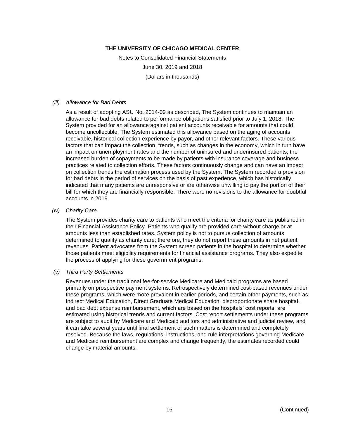Notes to Consolidated Financial Statements June 30, 2019 and 2018 (Dollars in thousands)

#### *(iii) Allowance for Bad Debts*

As a result of adopting ASU No. 2014-09 as described, The System continues to maintain an allowance for bad debts related to performance obligations satisfied prior to July 1, 2018. The System provided for an allowance against patient accounts receivable for amounts that could become uncollectible. The System estimated this allowance based on the aging of accounts receivable, historical collection experience by payor, and other relevant factors. These various factors that can impact the collection, trends, such as changes in the economy, which in turn have an impact on unemployment rates and the number of uninsured and underinsured patients, the increased burden of copayments to be made by patients with insurance coverage and business practices related to collection efforts. These factors continuously change and can have an impact on collection trends the estimation process used by the System. The System recorded a provision for bad debts in the period of services on the basis of past experience, which has historically indicated that many patients are unresponsive or are otherwise unwilling to pay the portion of their bill for which they are financially responsible. There were no revisions to the allowance for doubtful accounts in 2019.

### *(iv) Charity Care*

The System provides charity care to patients who meet the criteria for charity care as published in their Financial Assistance Policy. Patients who qualify are provided care without charge or at amounts less than established rates. System policy is not to pursue collection of amounts determined to qualify as charity care; therefore, they do not report these amounts in net patient revenues. Patient advocates from the System screen patients in the hospital to determine whether those patients meet eligibility requirements for financial assistance programs. They also expedite the process of applying for these government programs.

### *(v) Third Party Settlements*

Revenues under the traditional fee-for-service Medicare and Medicaid programs are based primarily on prospective payment systems. Retrospectively determined cost-based revenues under these programs, which were more prevalent in earlier periods, and certain other payments, such as Indirect Medical Education, Direct Graduate Medical Education, disproportionate share hospital, and bad debt expense reimbursement, which are based on the hospitals' cost reports, are estimated using historical trends and current factors. Cost report settlements under these programs are subject to audit by Medicare and Medicaid auditors and administrative and judicial review, and it can take several years until final settlement of such matters is determined and completely resolved. Because the laws, regulations, instructions, and rule interpretations governing Medicare and Medicaid reimbursement are complex and change frequently, the estimates recorded could change by material amounts.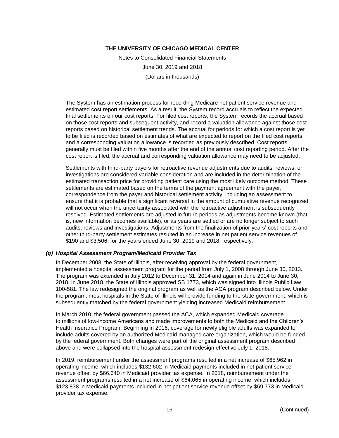Notes to Consolidated Financial Statements June 30, 2019 and 2018 (Dollars in thousands)

The System has an estimation process for recording Medicare net patient service revenue and estimated cost report settlements. As a result, the System record accruals to reflect the expected final settlements on our cost reports. For filed cost reports, the System records the accrual based on those cost reports and subsequent activity, and record a valuation allowance against those cost reports based on historical settlement trends. The accrual for periods for which a cost report is yet to be filed is recorded based on estimates of what are expected to report on the filed cost reports, and a corresponding valuation allowance is recorded as previously described. Cost reports generally must be filed within five months after the end of the annual cost reporting period. After the cost report is filed, the accrual and corresponding valuation allowance may need to be adjusted.

Settlements with third-party payers for retroactive revenue adjustments due to audits, reviews, or investigations are considered variable consideration and are included in the determination of the estimated transaction price for providing patient care using the most likely outcome method. These settlements are estimated based on the terms of the payment agreement with the payer, correspondence from the payer and historical settlement activity, including an assessment to ensure that it is probable that a significant reversal in the amount of cumulative revenue recognized will not occur when the uncertainty associated with the retroactive adjustment is subsequently resolved. Estimated settlements are adjusted in future periods as adjustments become known (that is, new information becomes available), or as years are settled or are no longer subject to such audits, reviews and investigations. Adjustments from the finalization of prior years' cost reports and other third-party settlement estimates resulted in an increase in net patient service revenues of \$190 and \$3,506, for the years ended June 30, 2019 and 2018, respectively.

### *(q) Hospital Assessment Program/Medicaid Provider Tax*

In December 2008, the State of Illinois, after receiving approval by the federal government, implemented a hospital assessment program for the period from July 1, 2008 through June 30, 2013. The program was extended in July 2012 to December 31, 2014 and again in June 2014 to June 30, 2018. In June 2018, the State of Illinois approved SB 1773, which was signed into Illinois Public Law 100-581. The law redesigned the original program as well as the ACA program described below. Under the program, most hospitals in the State of Illinois will provide funding to the state government, which is subsequently matched by the federal government yielding increased Medicaid reimbursement.

In March 2010, the federal government passed the ACA, which expanded Medicaid coverage to millions of low-income Americans and made improvements to both the Medicaid and the Children's Health Insurance Program. Beginning in 2016, coverage for newly eligible adults was expanded to include adults covered by an authorized Medicaid managed care organization, which would be funded by the federal government. Both changes were part of the original assessment program described above and were collapsed into the hospital assessment redesign effective July 1, 2018.

In 2019, reimbursement under the assessment programs resulted in a net increase of \$65,962 in operating income, which includes \$132,602 in Medicaid payments included in net patient service revenue offset by \$66,640 in Medicaid provider tax expense. In 2018, reimbursement under the assessment programs resulted in a net increase of \$64,065 in operating income, which includes \$123,838 in Medicaid payments included in net patient service revenue offset by \$59,773 in Medicaid provider tax expense.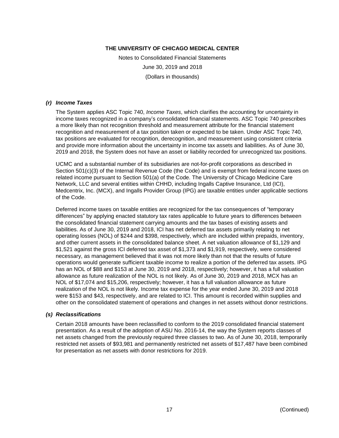Notes to Consolidated Financial Statements June 30, 2019 and 2018 (Dollars in thousands)

### *(r) Income Taxes*

The System applies ASC Topic 740, *Income Taxes*, which clarifies the accounting for uncertainty in income taxes recognized in a company's consolidated financial statements. ASC Topic 740 prescribes a more likely than not recognition threshold and measurement attribute for the financial statement recognition and measurement of a tax position taken or expected to be taken. Under ASC Topic 740, tax positions are evaluated for recognition, derecognition, and measurement using consistent criteria and provide more information about the uncertainty in income tax assets and liabilities. As of June 30, 2019 and 2018, the System does not have an asset or liability recorded for unrecognized tax positions.

UCMC and a substantial number of its subsidiaries are not-for-profit corporations as described in Section 501(c)(3) of the Internal Revenue Code (the Code) and is exempt from federal income taxes on related income pursuant to Section 501(a) of the Code. The University of Chicago Medicine Care Network, LLC and several entities within CHHD, including Ingalls Captive Insurance, Ltd (ICI), Medcentrix, Inc. (MCX), and Ingalls Provider Group (IPG) are taxable entities under applicable sections of the Code.

Deferred income taxes on taxable entities are recognized for the tax consequences of "temporary differences" by applying enacted statutory tax rates applicable to future years to differences between the consolidated financial statement carrying amounts and the tax bases of existing assets and liabilities. As of June 30, 2019 and 2018, ICI has net deferred tax assets primarily relating to net operating losses (NOL) of \$244 and \$398, respectively, which are included within prepaids, inventory, and other current assets in the consolidated balance sheet. A net valuation allowance of \$1,129 and \$1,521 against the gross ICI deferred tax asset of \$1,373 and \$1,919, respectively, were considered necessary, as management believed that it was not more likely than not that the results of future operations would generate sufficient taxable income to realize a portion of the deferred tax assets. IPG has an NOL of \$88 and \$153 at June 30, 2019 and 2018, respectively; however, it has a full valuation allowance as future realization of the NOL is not likely. As of June 30, 2019 and 2018, MCX has an NOL of \$17,074 and \$15,206, respectively; however, it has a full valuation allowance as future realization of the NOL is not likely. Income tax expense for the year ended June 30, 2019 and 2018 were \$153 and \$43, respectively, and are related to ICI. This amount is recorded within supplies and other on the consolidated statement of operations and changes in net assets without donor restrictions.

#### *(s) Reclassifications*

Certain 2018 amounts have been reclassified to conform to the 2019 consolidated financial statement presentation. As a result of the adoption of ASU No. 2016-14, the way the System reports classes of net assets changed from the previously required three classes to two. As of June 30, 2018, temporarily restricted net assets of \$93,981 and permanently restricted net assets of \$17,487 have been combined for presentation as net assets with donor restrictions for 2019.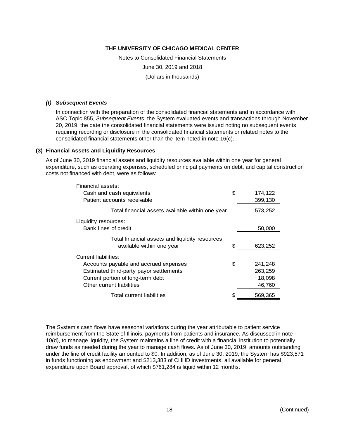Notes to Consolidated Financial Statements June 30, 2019 and 2018 (Dollars in thousands)

### *(t) Subsequent Events*

In connection with the preparation of the consolidated financial statements and in accordance with ASC Topic 855, *Subsequent Events*, the System evaluated events and transactions through November 20, 2019, the date the consolidated financial statements were issued noting no subsequent events requiring recording or disclosure in the consolidated financial statements or related notes to the consolidated financial statements other than the item noted in note 16(c).

### **(3) Financial Assets and Liquidity Resources**

As of June 30, 2019 financial assets and liquidity resources available within one year for general expenditure, such as operating expenses, scheduled principal payments on debt, and capital construction costs not financed with debt, were as follows:

| Financial assets:                                |    |         |
|--------------------------------------------------|----|---------|
| Cash and cash equivalents                        | S  | 174,122 |
| Patient accounts receivable                      |    | 399,130 |
| Total financial assets available within one year |    | 573,252 |
| Liquidity resources:                             |    |         |
| Bank lines of credit                             |    | 50,000  |
| Total financial assets and liquidity resources   |    |         |
| available within one year                        | \$ | 623,252 |
| Current liabilities:                             |    |         |
| Accounts payable and accrued expenses            | \$ | 241,248 |
| Estimated third-party payor settlements          |    | 263,259 |
| Current portion of long-term debt                |    | 18,098  |
| Other current liabilities                        |    | 46,760  |
| Total current liabilities                        | S  | 569,365 |

The System's cash flows have seasonal variations during the year attributable to patient service reimbursement from the State of Illinois, payments from patients and insurance. As discussed in note 10(d), to manage liquidity, the System maintains a line of credit with a financial institution to potentially draw funds as needed during the year to manage cash flows. As of June 30, 2019, amounts outstanding under the line of credit facility amounted to \$0. In addition, as of June 30, 2019, the System has \$923,571 in funds functioning as endowment and \$213,383 of CHHD investments, all available for general expenditure upon Board approval, of which \$761,284 is liquid within 12 months.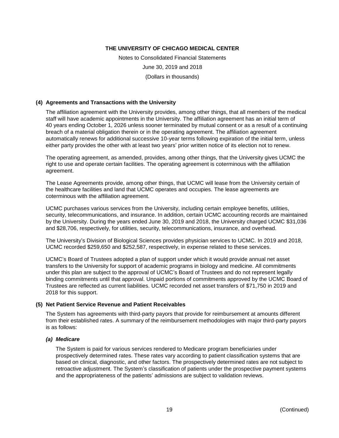Notes to Consolidated Financial Statements June 30, 2019 and 2018 (Dollars in thousands)

### **(4) Agreements and Transactions with the University**

The affiliation agreement with the University provides, among other things, that all members of the medical staff will have academic appointments in the University. The affiliation agreement has an initial term of 40 years ending October 1, 2026 unless sooner terminated by mutual consent or as a result of a continuing breach of a material obligation therein or in the operating agreement. The affiliation agreement automatically renews for additional successive 10-year terms following expiration of the initial term, unless either party provides the other with at least two years' prior written notice of its election not to renew.

The operating agreement, as amended, provides, among other things, that the University gives UCMC the right to use and operate certain facilities. The operating agreement is coterminous with the affiliation agreement.

The Lease Agreements provide, among other things, that UCMC will lease from the University certain of the healthcare facilities and land that UCMC operates and occupies. The lease agreements are coterminous with the affiliation agreement.

UCMC purchases various services from the University, including certain employee benefits, utilities, security, telecommunications, and insurance. In addition, certain UCMC accounting records are maintained by the University. During the years ended June 30, 2019 and 2018, the University charged UCMC \$31,036 and \$28,706, respectively, for utilities, security, telecommunications, insurance, and overhead.

The University's Division of Biological Sciences provides physician services to UCMC. In 2019 and 2018, UCMC recorded \$259,650 and \$252,587, respectively, in expense related to these services.

UCMC's Board of Trustees adopted a plan of support under which it would provide annual net asset transfers to the University for support of academic programs in biology and medicine. All commitments under this plan are subject to the approval of UCMC's Board of Trustees and do not represent legally binding commitments until that approval. Unpaid portions of commitments approved by the UCMC Board of Trustees are reflected as current liabilities. UCMC recorded net asset transfers of \$71,750 in 2019 and 2018 for this support.

### **(5) Net Patient Service Revenue and Patient Receivables**

The System has agreements with third-party payors that provide for reimbursement at amounts different from their established rates. A summary of the reimbursement methodologies with major third-party payors is as follows:

### *(a) Medicare*

The System is paid for various services rendered to Medicare program beneficiaries under prospectively determined rates. These rates vary according to patient classification systems that are based on clinical, diagnostic, and other factors. The prospectively determined rates are not subject to retroactive adjustment. The System's classification of patients under the prospective payment systems and the appropriateness of the patients' admissions are subject to validation reviews.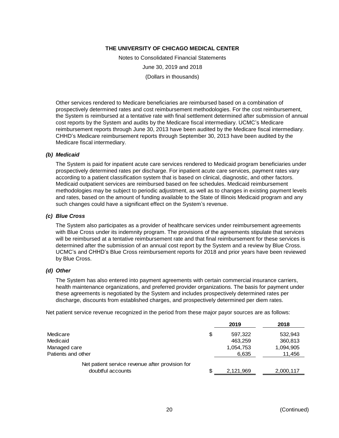Notes to Consolidated Financial Statements June 30, 2019 and 2018 (Dollars in thousands)

Other services rendered to Medicare beneficiaries are reimbursed based on a combination of prospectively determined rates and cost reimbursement methodologies. For the cost reimbursement, the System is reimbursed at a tentative rate with final settlement determined after submission of annual cost reports by the System and audits by the Medicare fiscal intermediary. UCMC's Medicare reimbursement reports through June 30, 2013 have been audited by the Medicare fiscal intermediary. CHHD's Medicare reimbursement reports through September 30, 2013 have been audited by the Medicare fiscal intermediary.

### *(b) Medicaid*

The System is paid for inpatient acute care services rendered to Medicaid program beneficiaries under prospectively determined rates per discharge. For inpatient acute care services, payment rates vary according to a patient classification system that is based on clinical, diagnostic, and other factors. Medicaid outpatient services are reimbursed based on fee schedules. Medicaid reimbursement methodologies may be subject to periodic adjustment, as well as to changes in existing payment levels and rates, based on the amount of funding available to the State of Illinois Medicaid program and any such changes could have a significant effect on the System's revenue.

### *(c) Blue Cross*

The System also participates as a provider of healthcare services under reimbursement agreements with Blue Cross under its indemnity program. The provisions of the agreements stipulate that services will be reimbursed at a tentative reimbursement rate and that final reimbursement for these services is determined after the submission of an annual cost report by the System and a review by Blue Cross. UCMC's and CHHD's Blue Cross reimbursement reports for 2018 and prior years have been reviewed by Blue Cross.

### *(d) Other*

The System has also entered into payment agreements with certain commercial insurance carriers, health maintenance organizations, and preferred provider organizations. The basis for payment under these agreements is negotiated by the System and includes prospectively determined rates per discharge, discounts from established charges, and prospectively determined per diem rates.

Net patient service revenue recognized in the period from these major payor sources are as follows:

|                                                 |    | 2019      | 2018      |
|-------------------------------------------------|----|-----------|-----------|
| Medicare                                        | \$ | 597,322   | 532.943   |
| Medicaid                                        |    | 463,259   | 360,813   |
| Managed care                                    |    | 1,054,753 | 1,094,905 |
| Patients and other                              |    | 6,635     | 11,456    |
| Net patient service revenue after provision for |    |           |           |
| doubtful accounts                               | S  | 2,121,969 | 2,000,117 |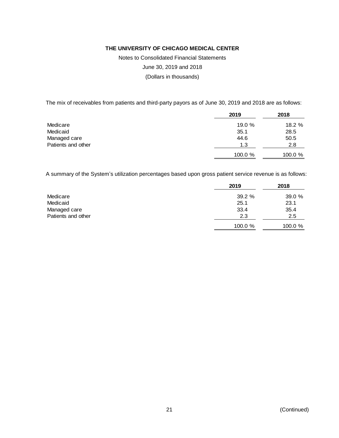Notes to Consolidated Financial Statements June 30, 2019 and 2018 (Dollars in thousands)

The mix of receivables from patients and third-party payors as of June 30, 2019 and 2018 are as follows:

|                    | 2019       | 2018       |
|--------------------|------------|------------|
| Medicare           | 19.0 %     | 18.2 %     |
| Medicaid           | 35.1       | 28.5       |
| Managed care       | 44.6       | 50.5       |
| Patients and other | 1.3        | 2.8        |
|                    | $100.0 \%$ | $100.0 \%$ |

A summary of the System's utilization percentages based upon gross patient service revenue is as follows:

|                    | 2019    | 2018    |
|--------------------|---------|---------|
| Medicare           | 39.2%   | 39.0%   |
| Medicaid           | 25.1    | 23.1    |
| Managed care       | 33.4    | 35.4    |
| Patients and other | 2.3     | 2.5     |
|                    | 100.0 % | 100.0 % |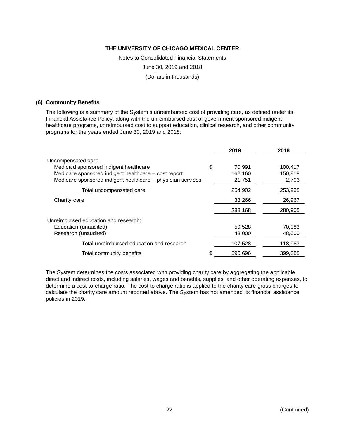Notes to Consolidated Financial Statements June 30, 2019 and 2018 (Dollars in thousands)

#### **(6) Community Benefits**

The following is a summary of the System's unreimbursed cost of providing care, as defined under its Financial Assistance Policy, along with the unreimbursed cost of government sponsored indigent healthcare programs, unreimbursed cost to support education, clinical research, and other community programs for the years ended June 30, 2019 and 2018:

|                                                             | 2019         | 2018    |
|-------------------------------------------------------------|--------------|---------|
| Uncompensated care:                                         |              |         |
| Medicaid sponsored indigent healthcare                      | \$<br>70,991 | 100,417 |
| Medicare sponsored indigent healthcare - cost report        | 162,160      | 150,818 |
| Medicare sponsored indigent healthcare - physician services | 21,751       | 2,703   |
| Total uncompensated care                                    | 254,902      | 253,938 |
| Charity care                                                | 33,266       | 26,967  |
|                                                             | 288,168      | 280,905 |
| Unreimbursed education and research:                        |              |         |
| Education (unaudited)                                       | 59,528       | 70,983  |
| Research (unaudited)                                        | 48,000       | 48,000  |
| Total unreimbursed education and research                   | 107,528      | 118,983 |
| Total community benefits                                    | 395,696      | 399,888 |

The System determines the costs associated with providing charity care by aggregating the applicable direct and indirect costs, including salaries, wages and benefits, supplies, and other operating expenses, to determine a cost-to-charge ratio. The cost to charge ratio is applied to the charity care gross charges to calculate the charity care amount reported above. The System has not amended its financial assistance policies in 2019.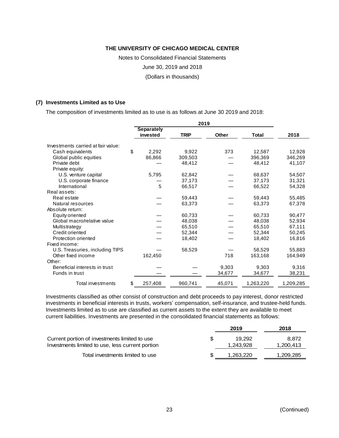Notes to Consolidated Financial Statements

June 30, 2019 and 2018

(Dollars in thousands)

#### **(7) Investments Limited as to Use**

The composition of investments limited as to use is as follows at June 30 2019 and 2018:

|                                    | <b>Separately</b> |             |              |              |           |
|------------------------------------|-------------------|-------------|--------------|--------------|-----------|
|                                    | invested          | <b>TRIP</b> | <b>Other</b> | <b>Total</b> | 2018      |
| Investments carried at fair value: |                   |             |              |              |           |
| Cash equivalents                   | \$<br>2,292       | 9.922       | 373          | 12,587       | 12,928    |
| Global public equities             | 86,866            | 309,503     |              | 396,369      | 346,269   |
| Private debt                       |                   | 48,412      |              | 48,412       | 41,107    |
| Private equity:                    |                   |             |              |              |           |
| U.S. venture capital               | 5,795             | 62,842      |              | 68.637       | 54,507    |
| U.S. corporate finance             |                   | 37,173      |              | 37,173       | 31,321    |
| International                      | 5                 | 66,517      |              | 66,522       | 54,328    |
| Real assets:                       |                   |             |              |              |           |
| Real estate                        |                   | 59,443      |              | 59,443       | 55,485    |
| Natural resources                  |                   | 63,373      |              | 63,373       | 67,378    |
| Absolute return:                   |                   |             |              |              |           |
| Equity oriented                    |                   | 60,733      |              | 60,733       | 90,477    |
| Global macro/relative value        |                   | 48,038      |              | 48,038       | 52,934    |
| Multistrategy                      |                   | 65,510      |              | 65,510       | 67,111    |
| Credit oriented                    |                   | 52,344      |              | 52,344       | 50,245    |
| Protection oriented                |                   | 18,402      |              | 18,402       | 16,816    |
| Fixed income:                      |                   |             |              |              |           |
| U.S. Treasuries, including TIPS    |                   | 58,529      |              | 58,529       | 55,883    |
| Other fixed income                 | 162,450           |             | 718          | 163,168      | 164,949   |
| Other:                             |                   |             |              |              |           |
| Beneficial interests in trust      |                   |             | 9.303        | 9,303        | 9,316     |
| Funds in trust                     |                   |             | 34,677       | 34,677       | 38,231    |
| Total investments                  | \$<br>257,408     | 960,741     | 45,071       | 1,263,220    | 1,209,285 |

Investments classified as other consist of construction and debt proceeds to pay interest, donor restricted investments in beneficial interests in trusts, workers' compensation, self-insurance, and trustee-held funds. Investments limited as to use are classified as current assets to the extent they are available to meet current liabilities. Investments are presented in the consolidated financial statements as follows:

|                                                                                                   | 2019                | 2018               |
|---------------------------------------------------------------------------------------------------|---------------------|--------------------|
| Current portion of investments limited to use<br>Investments limited to use, less current portion | 19.292<br>1.243.928 | 8.872<br>1,200,413 |
| Total investments limited to use                                                                  | 1.263.220           | 1,209,285          |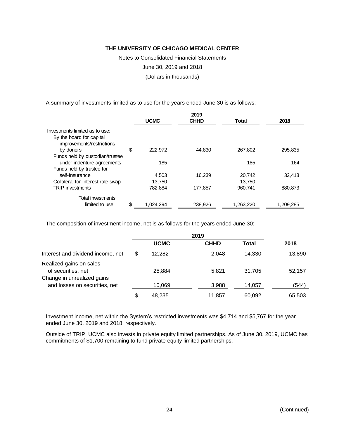Notes to Consolidated Financial Statements June 30, 2019 and 2018 (Dollars in thousands)

A summary of investments limited as to use for the years ended June 30 is as follows:

|                                                               | <b>UCMC</b>     | <b>CHHD</b> | Total     | 2018      |
|---------------------------------------------------------------|-----------------|-------------|-----------|-----------|
| Investments limited as to use:                                |                 |             |           |           |
| By the board for capital<br>improvements/restrictions         |                 |             |           |           |
| by donors                                                     | \$<br>222.972   | 44.830      | 267.802   | 295,835   |
| Funds held by custodian/trustee<br>under indenture agreements | 185             |             | 185       | 164       |
| Funds held by trustee for<br>self-insurance                   | 4.503           | 16.239      | 20,742    | 32.413    |
| Collateral for interest rate swap                             | 13.750          |             | 13,750    |           |
| <b>TRIP</b> investments                                       | 782.884         | 177,857     | 960.741   | 880,873   |
| <b>Total investments</b>                                      |                 |             |           |           |
| limited to use                                                | \$<br>1,024,294 | 238,926     | 1,263,220 | 1,209,285 |

The composition of investment income, net is as follows for the years ended June 30:

|                                                             |    | <b>UCMC</b> | <b>CHHD</b> | Total  | 2018   |
|-------------------------------------------------------------|----|-------------|-------------|--------|--------|
| Interest and dividend income, net                           | \$ | 12,282      | 2.048       | 14.330 | 13,890 |
| Realized gains on sales<br>of securities, net               |    | 25,884      | 5.821       | 31.705 | 52,157 |
| Change in unrealized gains<br>and losses on securities, net |    | 10,069      | 3,988       | 14,057 | (544)  |
|                                                             | \$ | 48,235      | 11,857      | 60,092 | 65,503 |

Investment income, net within the System's restricted investments was \$4,714 and \$5,767 for the year ended June 30, 2019 and 2018, respectively.

Outside of TRIP, UCMC also invests in private equity limited partnerships. As of June 30, 2019, UCMC has commitments of \$1,700 remaining to fund private equity limited partnerships.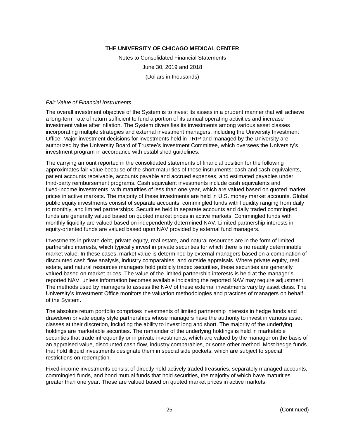Notes to Consolidated Financial Statements June 30, 2019 and 2018 (Dollars in thousands)

#### *Fair Value of Financial Instruments*

The overall investment objective of the System is to invest its assets in a prudent manner that will achieve a long-term rate of return sufficient to fund a portion of its annual operating activities and increase investment value after inflation. The System diversifies its investments among various asset classes incorporating multiple strategies and external investment managers, including the University Investment Office. Major investment decisions for investments held in TRIP and managed by the University are authorized by the University Board of Trustee's Investment Committee, which oversees the University's investment program in accordance with established guidelines.

The carrying amount reported in the consolidated statements of financial position for the following approximates fair value because of the short maturities of these instruments: cash and cash equivalents, patient accounts receivable, accounts payable and accrued expenses, and estimated payables under third-party reimbursement programs. Cash equivalent investments include cash equivalents and fixed-income investments, with maturities of less than one year, which are valued based on quoted market prices in active markets. The majority of these investments are held in U.S. money market accounts. Global public equity investments consist of separate accounts, commingled funds with liquidity ranging from daily to monthly, and limited partnerships. Securities held in separate accounts and daily traded commingled funds are generally valued based on quoted market prices in active markets. Commingled funds with monthly liquidity are valued based on independently determined NAV. Limited partnership interests in equity-oriented funds are valued based upon NAV provided by external fund managers.

Investments in private debt, private equity, real estate, and natural resources are in the form of limited partnership interests, which typically invest in private securities for which there is no readily determinable market value. In these cases, market value is determined by external managers based on a combination of discounted cash flow analysis, industry comparables, and outside appraisals. Where private equity, real estate, and natural resources managers hold publicly traded securities, these securities are generally valued based on market prices. The value of the limited partnership interests is held at the manager's reported NAV, unless information becomes available indicating the reported NAV may require adjustment. The methods used by managers to assess the NAV of these external investments vary by asset class. The University's Investment Office monitors the valuation methodologies and practices of managers on behalf of the System.

The absolute return portfolio comprises investments of limited partnership interests in hedge funds and drawdown private equity style partnerships whose managers have the authority to invest in various asset classes at their discretion, including the ability to invest long and short. The majority of the underlying holdings are marketable securities. The remainder of the underlying holdings is held in marketable securities that trade infrequently or in private investments, which are valued by the manager on the basis of an appraised value, discounted cash flow, industry comparables, or some other method. Most hedge funds that hold illiquid investments designate them in special side pockets, which are subject to special restrictions on redemption.

Fixed-income investments consist of directly held actively traded treasuries, separately managed accounts, commingled funds, and bond mutual funds that hold securities, the majority of which have maturities greater than one year. These are valued based on quoted market prices in active markets.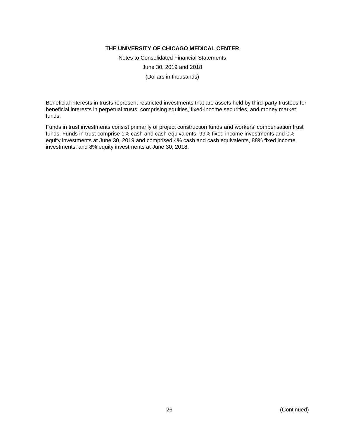Notes to Consolidated Financial Statements June 30, 2019 and 2018 (Dollars in thousands)

Beneficial interests in trusts represent restricted investments that are assets held by third-party trustees for beneficial interests in perpetual trusts, comprising equities, fixed-income securities, and money market funds.

Funds in trust investments consist primarily of project construction funds and workers' compensation trust funds. Funds in trust comprise 1% cash and cash equivalents, 99% fixed income investments and 0% equity investments at June 30, 2019 and comprised 4% cash and cash equivalents, 88% fixed income investments, and 8% equity investments at June 30, 2018.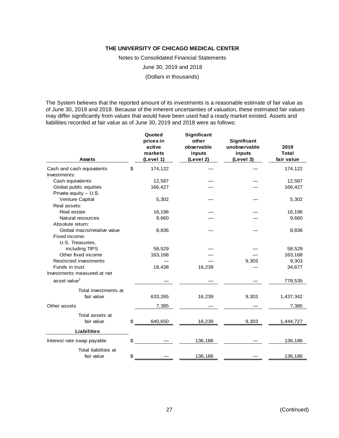Notes to Consolidated Financial Statements

June 30, 2019 and 2018

(Dollars in thousands)

The System believes that the reported amount of its investments is a reasonable estimate of fair value as of June 30, 2019 and 2018. Because of the inherent uncertainties of valuation, these estimated fair values may differ significantly from values that would have been used had a ready market existed. Assets and liabilities recorded at fair value as of June 30, 2019 and 2018 were as follows:

| Assets                      | Quoted<br>prices in<br>active<br>markets<br>(Level 1) | Significant<br>other<br>observable<br>inputs<br>(Level 2) | Significant<br>unobservable<br>inputs<br>(Level 3) | 2019<br>Total<br>fair value |
|-----------------------------|-------------------------------------------------------|-----------------------------------------------------------|----------------------------------------------------|-----------------------------|
| Cash and cash equivalents   | \$<br>174,122                                         |                                                           |                                                    | 174,122                     |
| Investments:                |                                                       |                                                           |                                                    |                             |
| Cash equivalents            | 12,587                                                |                                                           |                                                    | 12,587                      |
| Global public equities      | 166,427                                               |                                                           |                                                    | 166,427                     |
| Private equity - U.S.       |                                                       |                                                           |                                                    |                             |
| Venture Capital             | 5,302                                                 |                                                           |                                                    | 5,302                       |
| Real assets:                |                                                       |                                                           |                                                    |                             |
| Real estate                 | 16,196                                                |                                                           |                                                    | 16,196                      |
| Natural resources           | 9,660                                                 |                                                           |                                                    | 9,660                       |
| Absolute return:            |                                                       |                                                           |                                                    |                             |
| Global macro/relative value | 8,836                                                 |                                                           |                                                    | 8,836                       |
| Fixed income:               |                                                       |                                                           |                                                    |                             |
| U.S. Treasuries,            |                                                       |                                                           |                                                    |                             |
| including TIPS              | 58,529                                                |                                                           |                                                    | 58,529                      |
| Other fixed income          | 163,168                                               |                                                           |                                                    | 163,168                     |
| Restricted investments      |                                                       |                                                           | 9,303                                              | 9,303                       |
| Funds in trust              | 18,438                                                | 16,239                                                    |                                                    | 34,677                      |
| Investments measured at net |                                                       |                                                           |                                                    |                             |
| asset value <sup>1</sup>    |                                                       |                                                           |                                                    | 778,535                     |
| Total investments at        |                                                       |                                                           |                                                    |                             |
| fair value                  | 633,265                                               | 16,239                                                    | 9,303                                              | 1,437,342                   |
| Other assets                | 7,385                                                 |                                                           |                                                    | 7,385                       |
| Total assets at             |                                                       |                                                           |                                                    |                             |
| fair value                  | \$<br>640,650                                         | 16,239                                                    | 9,303                                              | 1,444,727                   |
|                             |                                                       |                                                           |                                                    |                             |
| <b>Liabilities</b>          |                                                       |                                                           |                                                    |                             |
| Interest rate swap payable  | \$                                                    | 136,186                                                   |                                                    | 136,186                     |
| Total liabilities at        |                                                       |                                                           |                                                    |                             |
| fair value                  | \$                                                    | 136,186                                                   |                                                    | 136,186                     |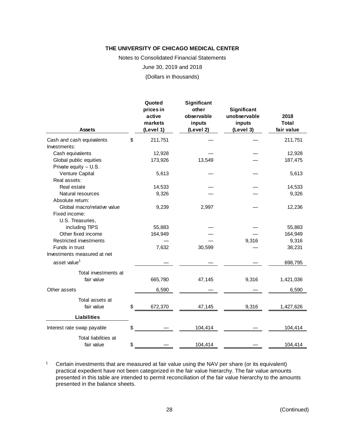Notes to Consolidated Financial Statements June 30, 2019 and 2018 (Dollars in thousands)

| <b>Assets</b>               | Quoted<br>prices in<br>active<br>markets<br>(Level 1) | Significant<br>other<br>observable<br>inputs<br>(Level <sub>2</sub> ) | Significant<br>unobservable<br>inputs<br>(Level 3) | 2018<br><b>Total</b><br>fair value |
|-----------------------------|-------------------------------------------------------|-----------------------------------------------------------------------|----------------------------------------------------|------------------------------------|
| Cash and cash equivalents   | \$<br>211,751                                         |                                                                       |                                                    | 211,751                            |
| Investments:                |                                                       |                                                                       |                                                    |                                    |
| Cash equivalents            | 12,928                                                |                                                                       |                                                    | 12,928                             |
| Global public equities      | 173,926                                               | 13,549                                                                |                                                    | 187,475                            |
| Private equity - U.S.       |                                                       |                                                                       |                                                    |                                    |
| Venture Capital             | 5,613                                                 |                                                                       |                                                    | 5,613                              |
| Real assets:                |                                                       |                                                                       |                                                    |                                    |
| Real estate                 | 14,533                                                |                                                                       |                                                    | 14,533                             |
| Natural resources           | 9,326                                                 |                                                                       |                                                    | 9,326                              |
| Absolute return:            |                                                       |                                                                       |                                                    |                                    |
| Global macro/relative value | 9,239                                                 | 2,997                                                                 |                                                    | 12,236                             |
| Fixed income:               |                                                       |                                                                       |                                                    |                                    |
| U.S. Treasuries,            |                                                       |                                                                       |                                                    |                                    |
| including TIPS              | 55,883                                                |                                                                       |                                                    | 55,883                             |
| Other fixed income          | 164,949                                               |                                                                       |                                                    | 164,949                            |
| Restricted investments      |                                                       |                                                                       | 9,316                                              | 9,316                              |
| Funds in trust              | 7,632                                                 | 30,599                                                                |                                                    | 38,231                             |
| Investments measured at net |                                                       |                                                                       |                                                    |                                    |
| asset value <sup>1</sup>    |                                                       |                                                                       |                                                    | 698,795                            |
| Total investments at        |                                                       |                                                                       |                                                    |                                    |
| fair value                  | 665,780                                               | 47,145                                                                | 9,316                                              | 1,421,036                          |
| Other assets                | 6,590                                                 |                                                                       |                                                    | 6,590                              |
| Total assets at             |                                                       |                                                                       |                                                    |                                    |
| fair value                  | \$<br>672,370                                         | 47,145                                                                | 9,316                                              | 1,427,626                          |
|                             |                                                       |                                                                       |                                                    |                                    |
| <b>Liabilities</b>          |                                                       |                                                                       |                                                    |                                    |
| Interest rate swap payable  | \$                                                    | 104,414                                                               |                                                    | 104,414                            |
| Total liabilities at        |                                                       |                                                                       |                                                    |                                    |
| fair value                  | \$                                                    | 104,414                                                               |                                                    | 104,414                            |

<sup>1</sup> Certain investments that are measured at fair value using the NAV per share (or its equivalent) practical expedient have not been categorized in the fair value hierarchy. The fair value amounts presented in this table are intended to permit reconciliation of the fair value hierarchy to the amounts presented in the balance sheets.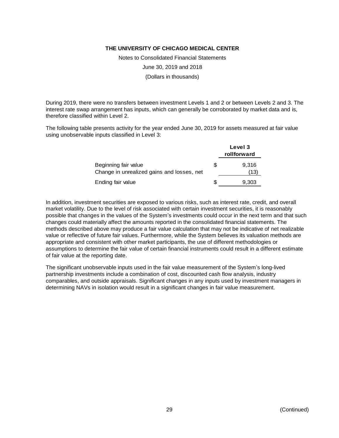Notes to Consolidated Financial Statements June 30, 2019 and 2018 (Dollars in thousands)

During 2019, there were no transfers between investment Levels 1 and 2 or between Levels 2 and 3. The interest rate swap arrangement has inputs, which can generally be corroborated by market data and is, therefore classified within Level 2.

The following table presents activity for the year ended June 30, 2019 for assets measured at fair value using unobservable inputs classified in Level 3:

|                                                                    |   | Level 3<br>rollforward |
|--------------------------------------------------------------------|---|------------------------|
| Beginning fair value<br>Change in unrealized gains and losses, net | S | 9,316<br>(13)          |
| Ending fair value                                                  | S | 9.303                  |

In addition, investment securities are exposed to various risks, such as interest rate, credit, and overall market volatility. Due to the level of risk associated with certain investment securities, it is reasonably possible that changes in the values of the System's investments could occur in the next term and that such changes could materially affect the amounts reported in the consolidated financial statements. The methods described above may produce a fair value calculation that may not be indicative of net realizable value or reflective of future fair values. Furthermore, while the System believes its valuation methods are appropriate and consistent with other market participants, the use of different methodologies or assumptions to determine the fair value of certain financial instruments could result in a different estimate of fair value at the reporting date.

The significant unobservable inputs used in the fair value measurement of the System's long-lived partnership investments include a combination of cost, discounted cash flow analysis, industry comparables, and outside appraisals. Significant changes in any inputs used by investment managers in determining NAVs in isolation would result in a significant changes in fair value measurement.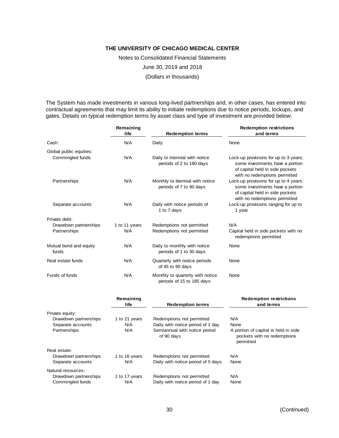Notes to Consolidated Financial Statements

June 30, 2019 and 2018

(Dollars in thousands)

The System has made investments in various long-lived partnerships and, in other cases, has entered into contractual agreements that may limit its ability to initiate redemptions due to notice periods, lockups, and gates. Details on typical redemption terms by asset class and type of investment are provided below:

|                                                                               | Remaining<br>life           | <b>Redemption terms</b>                                                                                       | <b>Redemption restrictions</b><br>and terms                                                                                                  |
|-------------------------------------------------------------------------------|-----------------------------|---------------------------------------------------------------------------------------------------------------|----------------------------------------------------------------------------------------------------------------------------------------------|
| Cash                                                                          | N/A                         | Daily                                                                                                         | None                                                                                                                                         |
| Global public equities:<br>Commingled funds<br>N/A                            |                             | Daily to triennial with notice<br>periods of 2 to 180 days                                                    | Lock-up provisions for up to 3 years;<br>some investments have a portion<br>of capital held in side pockets<br>with no redemptions permitted |
| Partnerships                                                                  | N/A                         | Monthly to biennial with notice<br>periods of 7 to 90 days                                                    | Lock-up provisions for up to 4 years;<br>some investments have a portion<br>of capital held in side pockets<br>with no redemptions permitted |
| Separate accounts                                                             | N/A                         | Daily with notice periods of<br>1 to 7 days                                                                   | Lock-up provisions ranging for up to<br>1 year                                                                                               |
| Private debt:<br>Drawdown partnerships<br>Partnerships                        | 1 to 11 years<br>N/A        | Redemptions not permitted<br>Redemptions not permitted                                                        | N/A<br>Capital held in side pockets with no<br>redemptions permitted                                                                         |
| Mutual bond and equity<br>funds                                               | N/A                         | Daily to monthly with notice<br>periods of 1 to 30 days                                                       | None                                                                                                                                         |
| Real estate funds                                                             | N/A                         | Quarterly with notice periods<br>of 45 to 90 days                                                             | None                                                                                                                                         |
| Funds of funds                                                                | N/A                         | Monthly to quarterly with notice<br>periods of 15 to 185 days                                                 | None                                                                                                                                         |
|                                                                               | Remaining<br>life           | <b>Redemption terms</b>                                                                                       | <b>Redemption restrictions</b><br>and terms                                                                                                  |
| Private equity:<br>Drawdown partnerships<br>Separate accounts<br>Partnerships | 1 to 21 years<br>N/A<br>N/A | Redemptions not permitted<br>Daily with notice period of 1 day<br>Semiannual with notice period<br>of 90 days | N/A<br>None<br>A portion of capital is held in side<br>pockets with no redemptions<br>permitted                                              |
| Real estate:<br>Drawdown partnerships<br>Separate accounts                    | 1 to 16 years<br>N/A        | Redemptions not permitted<br>Daily with notice period of 5 days                                               | N/A<br>None                                                                                                                                  |
| Natural resources:<br>Drawdown partnerships<br>Commingled funds               | 1 to 17 years<br>N/A        | Redemptions not permitted<br>Daily with notice period of 1 day                                                | N/A<br>None                                                                                                                                  |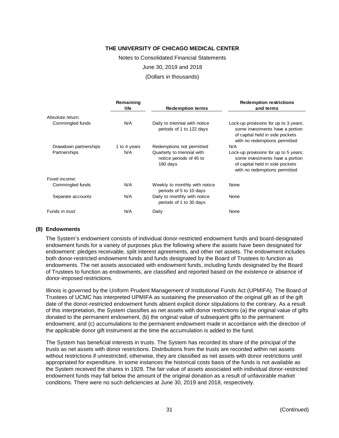Notes to Consolidated Financial Statements June 30, 2019 and 2018 (Dollars in thousands)

|                       | Remaining<br>life | <b>Redemption terms</b>                                            | <b>Redemption restrictions</b><br>and terms                                                                                                  |
|-----------------------|-------------------|--------------------------------------------------------------------|----------------------------------------------------------------------------------------------------------------------------------------------|
| Absolute return:      |                   |                                                                    |                                                                                                                                              |
| Commingled funds      | N/A               | Daily to triennial with notice<br>periods of 1 to 122 days         | Lock-up provisions for up to 3 years;<br>some investments have a portion<br>of capital held in side pockets<br>with no redemptions permitted |
| Drawdown partnerships | 1 to 4 years      | Redemptions not permitted                                          | N/A                                                                                                                                          |
| Partnerships          | N/A               | Quarterly to triennial with<br>notice periods of 45 to<br>180 days | Lock-up provisions for up to 5 years;<br>some investments have a portion<br>of capital held in side pockets<br>with no redemptions permitted |
| Fixed income:         |                   |                                                                    |                                                                                                                                              |
| Commingled funds      | N/A               | Weekly to monthly with notice<br>periods of 5 to 10 days           | None                                                                                                                                         |
| Separate accounts     | N/A               | Daily to monthly with notice<br>periods of 1 to 30 days            | None                                                                                                                                         |
| Funds in trust        | N/A               | Daily                                                              | None                                                                                                                                         |

### **(8) Endowments**

The System's endowment consists of individual donor-restricted endowment funds and board-designated endowment funds for a variety of purposes plus the following where the assets have been designated for endowment: pledges receivable, split interest agreements, and other net assets. The endowment includes both donor-restricted endowment funds and funds designated by the Board of Trustees to function as endowments. The net assets associated with endowment funds, including funds designated by the Board of Trustees to function as endowments, are classified and reported based on the existence or absence of donor-imposed restrictions.

Illinois is governed by the Uniform Prudent Management of Institutional Funds Act (UPMIFA). The Board of Trustees of UCMC has interpreted UPMIFA as sustaining the preservation of the original gift as of the gift date of the donor-restricted endowment funds absent explicit donor stipulations to the contrary. As a result of this interpretation, the System classifies as net assets with donor restrictions (a) the original value of gifts donated to the permanent endowment, (b) the original value of subsequent gifts to the permanent endowment, and (c) accumulations to the permanent endowment made in accordance with the direction of the applicable donor gift instrument at the time the accumulation is added to the fund.

The System has beneficial interests in trusts. The System has recorded its share of the principal of the trusts as net assets with donor restrictions. Distributions from the trusts are recorded within net assets without restrictions if unrestricted; otherwise, they are classified as net assets with donor restrictions until appropriated for expenditure. In some instances the historical costs basis of the funds is not available as the System received the shares in 1929. The fair value of assets associated with individual donor-restricted endowment funds may fall below the amount of the original donation as a result of unfavorable market conditions. There were no such deficiencies at June 30, 2019 and 2018, respectively.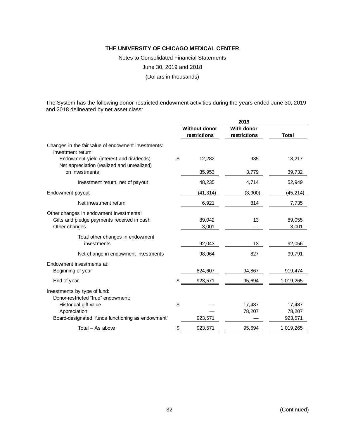Notes to Consolidated Financial Statements

June 30, 2019 and 2018

(Dollars in thousands)

The System has the following donor-restricted endowment activities during the years ended June 30, 2019 and 2018 delineated by net asset class:

|                                                                                        | 2019                                 |                                   |                   |
|----------------------------------------------------------------------------------------|--------------------------------------|-----------------------------------|-------------------|
|                                                                                        | <b>Without donor</b><br>restrictions | <b>With donor</b><br>restrictions | <b>Total</b>      |
| Changes in the fair value of endowment investments:<br>Investment return:              |                                      |                                   |                   |
| Endowment yield (interest and dividends)<br>Net appreciation (realized and unrealized) | \$<br>12,282                         | 935                               | 13,217            |
| on investments                                                                         | 35,953                               | 3,779                             | 39,732            |
| Investment return, net of payout                                                       | 48,235                               | 4,714                             | 52,949            |
| Endowment payout                                                                       | (41, 314)                            | (3,900)                           | (45, 214)         |
| Net investment return                                                                  | 6,921                                | 814                               | 7,735             |
| Other changes in endowment investments:                                                |                                      |                                   |                   |
| Gifts and pledge payments received in cash<br>Other changes                            | 89,042<br>3,001                      | 13                                | 89,055<br>3,001   |
| Total other changes in endowment<br>investments                                        | 92,043                               | 13                                | 92,056            |
| Net change in endowment investments                                                    | 98,964                               | 827                               | 99,791            |
| Endowment investments at:                                                              |                                      |                                   |                   |
| Beginning of year                                                                      | 824,607                              | 94,867                            | 919,474           |
| End of year                                                                            | \$<br>923,571                        | 95,694                            | 1,019,265         |
| Investments by type of fund:<br>Donor-restricted "true" endowment:                     |                                      |                                   |                   |
| Historical gift value                                                                  | \$                                   | 17,487                            | 17,487            |
| Appreciation                                                                           |                                      | 78,207                            | 78,207<br>923,571 |
| Board-designated "funds functioning as endowment"                                      | 923,571                              |                                   |                   |
| Total $-$ As above                                                                     | \$<br>923,571                        | 95,694                            | 1,019,265         |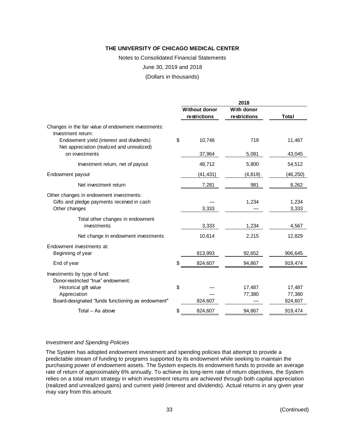Notes to Consolidated Financial Statements

June 30, 2019 and 2018

(Dollars in thousands)

|                                                                                        | 2018                                 |                            |                |  |
|----------------------------------------------------------------------------------------|--------------------------------------|----------------------------|----------------|--|
|                                                                                        | <b>Without donor</b><br>restrictions | With donor<br>restrictions | Total          |  |
| Changes in the fair value of endowment investments:<br>Investment return:              |                                      |                            |                |  |
| Endowment yield (interest and dividends)<br>Net appreciation (realized and unrealized) | \$<br>10,748                         | 719                        | 11,467         |  |
| on investments                                                                         | 37,964                               | 5,081                      | 43,045         |  |
| Investment return, net of payout                                                       | 48,712                               | 5,800                      | 54,512         |  |
| Endowment payout                                                                       | (41, 431)                            | (4, 819)                   | (46, 250)      |  |
| Net investment return                                                                  | 7,281                                | 981                        | 8,262          |  |
| Other changes in endowment investments:                                                |                                      |                            |                |  |
| Gifts and pledge payments received in cash<br>Other changes                            | 3,333                                | 1,234                      | 1,234<br>3,333 |  |
|                                                                                        |                                      |                            |                |  |
| Total other changes in endowment<br>investments                                        | 3,333                                | 1,234                      | 4,567          |  |
| Net change in endowment investments                                                    | 10,614                               | 2,215                      | 12,829         |  |
| Endowment investments at:                                                              |                                      |                            |                |  |
| Beginning of year                                                                      | 813,993                              | 92,652                     | 906,645        |  |
| End of year                                                                            | \$<br>824,607                        | 94,867                     | 919,474        |  |
| Investments by type of fund:<br>Donor-restricted "true" endowment:                     |                                      |                            |                |  |
| Historical gift value                                                                  | \$                                   | 17,487                     | 17,487         |  |
| Appreciation                                                                           |                                      | 77,380                     | 77,380         |  |
| Board-designated "funds functioning as endowment"                                      | 824,607                              |                            | 824,607        |  |
| Total $-$ As above                                                                     | \$<br>824,607                        | 94,867                     | 919,474        |  |

#### *Investment and Spending Policies*

The System has adopted endowment investment and spending policies that attempt to provide a predictable stream of funding to programs supported by its endowment while seeking to maintain the purchasing power of endowment assets. The System expects its endowment funds to provide an average rate of return of approximately 6% annually. To achieve its long-term rate of return objectives, the System relies on a total return strategy in which investment returns are achieved through both capital appreciation (realized and unrealized gains) and current yield (interest and dividends). Actual returns in any given year may vary from this amount.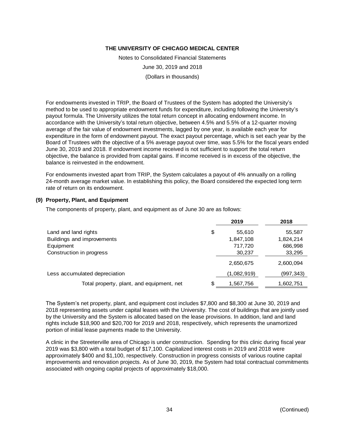Notes to Consolidated Financial Statements June 30, 2019 and 2018 (Dollars in thousands)

For endowments invested in TRIP, the Board of Trustees of the System has adopted the University's method to be used to appropriate endowment funds for expenditure, including following the University's payout formula. The University utilizes the total return concept in allocating endowment income. In accordance with the University's total return objective, between 4.5% and 5.5% of a 12-quarter moving average of the fair value of endowment investments, lagged by one year, is available each year for expenditure in the form of endowment payout. The exact payout percentage, which is set each year by the Board of Trustees with the objective of a 5% average payout over time, was 5.5% for the fiscal years ended June 30, 2019 and 2018. If endowment income received is not sufficient to support the total return objective, the balance is provided from capital gains. If income received is in excess of the objective, the balance is reinvested in the endowment.

For endowments invested apart from TRIP, the System calculates a payout of 4% annually on a rolling 24-month average market value. In establishing this policy, the Board considered the expected long term rate of return on its endowment.

### **(9) Property, Plant, and Equipment**

The components of property, plant, and equipment as of June 30 are as follows:

|                                           |     | 2019        | 2018       |
|-------------------------------------------|-----|-------------|------------|
| Land and land rights                      | \$  | 55,610      | 55,587     |
| Buildings and improvements                |     | 1,847,108   | 1,824,214  |
| Equipment                                 |     | 717,720     | 686,998    |
| Construction in progress                  |     | 30,237      | 33,295     |
|                                           |     | 2,650,675   | 2,600,094  |
| Less accumulated depreciation             |     | (1,082,919) | (997, 343) |
| Total property, plant, and equipment, net | \$. | 1,567,756   | 1,602,751  |

The System's net property, plant, and equipment cost includes \$7,800 and \$8,300 at June 30, 2019 and 2018 representing assets under capital leases with the University. The cost of buildings that are jointly used by the University and the System is allocated based on the lease provisions. In addition, land and land rights include \$18,900 and \$20,700 for 2019 and 2018, respectively, which represents the unamortized portion of initial lease payments made to the University.

A clinic in the Streeterville area of Chicago is under construction. Spending for this clinic during fiscal year 2019 was \$3,800 with a total budget of \$17,100. Capitalized interest costs in 2019 and 2018 were approximately \$400 and \$1,100, respectively. Construction in progress consists of various routine capital improvements and renovation projects. As of June 30, 2019, the System had total contractual commitments associated with ongoing capital projects of approximately \$18,000.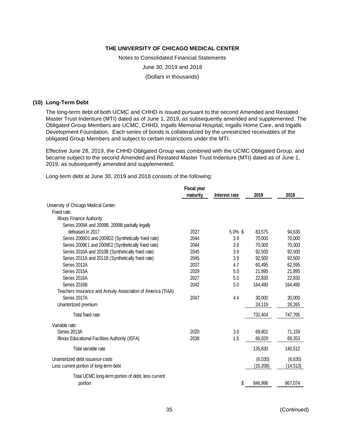Notes to Consolidated Financial Statements June 30, 2019 and 2018 (Dollars in thousands)

#### **(10) Long-Term Debt**

The long-term debt of both UCMC and CHHD is issued pursuant to the second Amended and Restated Master Trust Indenture (MTI) dated as of June 1, 2019, as subsequently amended and supplemented. The Obligated Group Members are UCMC, CHHD, Ingalls Memorial Hospital, Ingalls Home Care, and Ingalls Development Foundation. Each series of bonds is collateralized by the unrestricted receivables of the obligated Group Members and subject to certain restrictions under the MTI.

Effective June 28, 2019, the CHHD Obligated Group was combined with the UCMC Obligated Group, and became subject to the second Amended and Restated Master Trust Indenture (MTI) dated as of June 1, 2019, as subsequently amended and supplemented.

Long-term debt at June 30, 2019 and 2018 consists of the following:

|                                                              | <b>Fiscal year</b> |               |           |           |
|--------------------------------------------------------------|--------------------|---------------|-----------|-----------|
|                                                              | maturity           | Interest rate | 2019      | 2018      |
| University of Chicago Medical Center:                        |                    |               |           |           |
| Fixed rate:                                                  |                    |               |           |           |
| Illinois Finance Authority:                                  |                    |               |           |           |
| Series 2009A and 2009B, 2009B partially legally              |                    |               |           |           |
| defeased in 2017                                             | 2027               | $5.0\%$ \$    | 83.575    | 94.630    |
| Series 2009D1 and 2009D2 (Synthetically fixed rate)          | 2044               | 3.9           | 70,000    | 70,000    |
| Series 2009E1 and 2009E2 (Synthetically fixed rate)          | 2044               | 3.9           | 70,000    | 70,000    |
| Series 2010A and 2010B (Synthetically fixed rate)            | 2045               | 3.9           | 92,500    | 92,500    |
| Series 2011A and 2011B (Synthetically fixed rate)            | 2045               | 3.9           | 92,500    | 92,500    |
| Series 2012A                                                 | 2037               | 4.7           | 60,495    | 62,595    |
| Series 2015A                                                 | 2029               | 5.0           | 21,895    | 21,895    |
| Series 2016A                                                 | 2027               | 5.0           | 22,830    | 22,830    |
| Series 2016B                                                 | 2042               | 5.0           | 164,490   | 164,490   |
| Teachers Insurance and Annuity Association of America (TIAA) |                    |               |           |           |
| Series 2017A                                                 | 2047               | 4.4           | 30,000    | 30,000    |
| Unamortized premium                                          |                    |               | 24,119    | 26,265    |
| Total fixed rate                                             |                    |               | 732,404   | 747,705   |
| Variable rate:                                               |                    |               |           |           |
| Series 2013A                                                 | 2020               | 3.0           | 69,801    | 71,159    |
| Illinois Educational Facilities Authority (IEFA)             | 2038               | 1.6           | 66,029    | 69,353    |
| Total variable rate                                          |                    |               | 135,830   | 140,512   |
| Unamortized debt issuance costs                              |                    |               | (6,030)   | (6,630)   |
| Less current portion of long-term debt                       |                    |               | (15, 208) | (14, 513) |
| Total UCMC long-term portion of debt, less current           |                    |               |           |           |
| portion                                                      |                    | \$            | 846,996   | 867,074   |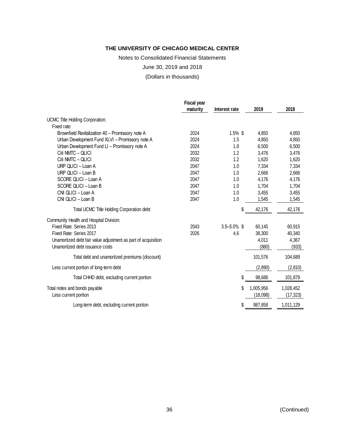Notes to Consolidated Financial Statements

June 30, 2019 and 2018

(Dollars in thousands)

|                                                               | <b>Fiscal year</b> |                  |           |           |
|---------------------------------------------------------------|--------------------|------------------|-----------|-----------|
|                                                               | maturity           | Interest rate    | 2019      | 2018      |
| UCMC Title Holding Corporation:                               |                    |                  |           |           |
| Fixed rate:                                                   |                    |                  |           |           |
| Brownfield Revitalization 40 - Promissory note A              | 2024               | $1.5\%$ \$       | 4,850     | 4,850     |
| Urban Development Fund XLVI - Promissory note A               | 2024               | 1.5              | 4,850     | 4,850     |
| Urban Development Fund LI - Promissory note A                 | 2024               | 1.8              | 6,500     | 6,500     |
| Citi NMTC - QLICI                                             | 2032               | 1.2              | 3,476     | 3,476     |
| Citi NMTC - QLICI                                             | 2032               | 1.2              | 1,620     | 1,620     |
| URP QLICI - Loan A                                            | 2047               | 1.0              | 7,334     | 7,334     |
| URP QLICI - Loan B                                            | 2047               | 1.0              | 2,666     | 2,666     |
| SCORE QLICI - Loan A                                          | 2047               | 1.0              | 4,176     | 4,176     |
| SCORE QLICI - Loan B                                          | 2047               | 1.0              | 1,704     | 1,704     |
| CNI QLICI - Loan A                                            | 2047               | 1.0              | 3,455     | 3,455     |
| CNI QLICI - Loan B                                            | 2047               | 1.0              | 1,545     | 1,545     |
| Total UCMC Title Holding Corporation debt                     |                    |                  | 42,176    | 42,176    |
| Community Health and Hospital Division:                       |                    |                  |           |           |
| Fixed Rate: Series 2013                                       | 2043               | $3.5 - 5.0\%$ \$ | 60,145    | 60,915    |
| Fixed Rate: Series 2017                                       | 2026               | 4.6              | 38,300    | 40,340    |
| Unamortized debt fair value adjustment as part of acquisition |                    |                  | 4,011     | 4,367     |
| Unamortized debt issuance costs                               |                    |                  | (880)     | (933)     |
| Total debt and unamortized premiums (discount)                |                    |                  | 101,576   | 104,689   |
| Less current portion of long-term debt                        |                    |                  | (2,890)   | (2, 810)  |
| Total CHHD debt, excluding current portion                    |                    |                  | 98,686    | 101,879   |
| Total notes and bonds payable                                 |                    | S                | 1,005,956 | 1,028,452 |
| Less current portion                                          |                    |                  | (18,098)  | (17, 323) |
| Long-term debt, excluding current portion                     |                    |                  | 987,858   | 1,011,129 |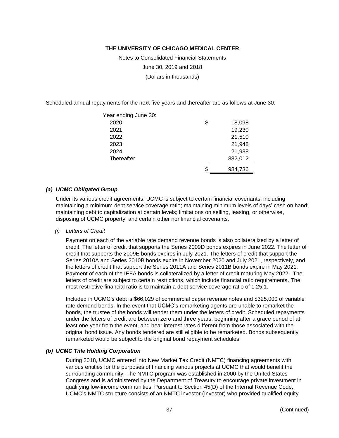Notes to Consolidated Financial Statements June 30, 2019 and 2018

(Dollars in thousands)

Scheduled annual repayments for the next five years and thereafter are as follows at June 30:

| Year ending June 30: |               |
|----------------------|---------------|
| 2020                 | \$<br>18,098  |
| 2021                 | 19,230        |
| 2022                 | 21,510        |
| 2023                 | 21,948        |
| 2024                 | 21,938        |
| Thereafter           | 882,012       |
|                      | \$<br>984.736 |

### *(a) UCMC Obligated Group*

Under its various credit agreements, UCMC is subject to certain financial covenants, including maintaining a minimum debt service coverage ratio; maintaining minimum levels of days' cash on hand; maintaining debt to capitalization at certain levels; limitations on selling, leasing, or otherwise, disposing of UCMC property; and certain other nonfinancial covenants.

### *(i) Letters of Credit*

Payment on each of the variable rate demand revenue bonds is also collateralized by a letter of credit. The letter of credit that supports the Series 2009D bonds expires in June 2022. The letter of credit that supports the 2009E bonds expires in July 2021. The letters of credit that support the Series 2010A and Series 2010B bonds expire in November 2020 and July 2021, respectively, and the letters of credit that support the Series 2011A and Series 2011B bonds expire in May 2021. Payment of each of the IEFA bonds is collateralized by a letter of credit maturing May 2022. The letters of credit are subject to certain restrictions, which include financial ratio requirements. The most restrictive financial ratio is to maintain a debt service coverage ratio of 1:25:1.

Included in UCMC's debt is \$66,029 of commercial paper revenue notes and \$325,000 of variable rate demand bonds. In the event that UCMC's remarketing agents are unable to remarket the bonds, the trustee of the bonds will tender them under the letters of credit. Scheduled repayments under the letters of credit are between zero and three years, beginning after a grace period of at least one year from the event, and bear interest rates different from those associated with the original bond issue. Any bonds tendered are still eligible to be remarketed. Bonds subsequently remarketed would be subject to the original bond repayment schedules.

### *(b) UCMC Title Holding Corporation*

During 2018, UCMC entered into New Market Tax Credit (NMTC) financing agreements with various entities for the purposes of financing various projects at UCMC that would benefit the surrounding community. The NMTC program was established in 2000 by the United States Congress and is administered by the Department of Treasury to encourage private investment in qualifying low-income communities. Pursuant to Section 45(D) of the Internal Revenue Code, UCMC's NMTC structure consists of an NMTC investor (Investor) who provided qualified equity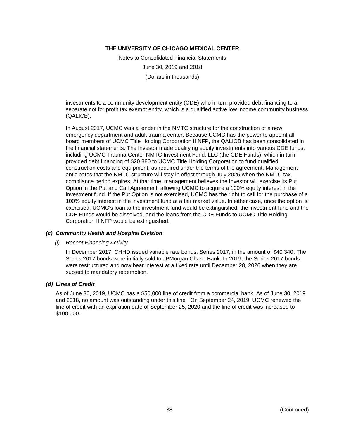Notes to Consolidated Financial Statements June 30, 2019 and 2018 (Dollars in thousands)

investments to a community development entity (CDE) who in turn provided debt financing to a separate not for profit tax exempt entity, which is a qualified active low income community business (QALICB).

In August 2017, UCMC was a lender in the NMTC structure for the construction of a new emergency department and adult trauma center. Because UCMC has the power to appoint all board members of UCMC Title Holding Corporation II NFP, the QALICB has been consolidated in the financial statements. The Investor made qualifying equity investments into various CDE funds, including UCMC Trauma Center NMTC Investment Fund, LLC (the CDE Funds), which in turn provided debt financing of \$20,880 to UCMC Title Holding Corporation to fund qualified construction costs and equipment, as required under the terms of the agreement. Management anticipates that the NMTC structure will stay in effect through July 2025 when the NMTC tax compliance period expires. At that time, management believes the Investor will exercise its Put Option in the Put and Call Agreement, allowing UCMC to acquire a 100% equity interest in the investment fund. If the Put Option is not exercised, UCMC has the right to call for the purchase of a 100% equity interest in the investment fund at a fair market value. In either case, once the option is exercised, UCMC's loan to the investment fund would be extinguished, the investment fund and the CDE Funds would be dissolved, and the loans from the CDE Funds to UCMC Title Holding Corporation II NFP would be extinguished.

### *(c) Community Health and Hospital Division*

### *(i) Recent Financing Activity*

In December 2017, CHHD issued variable rate bonds, Series 2017, in the amount of \$40,340. The Series 2017 bonds were initially sold to JPMorgan Chase Bank. In 2019, the Series 2017 bonds were restructured and now bear interest at a fixed rate until December 28, 2026 when they are subject to mandatory redemption.

### *(d) Lines of Credit*

As of June 30, 2019, UCMC has a \$50,000 line of credit from a commercial bank. As of June 30, 2019 and 2018, no amount was outstanding under this line. On September 24, 2019, UCMC renewed the line of credit with an expiration date of September 25, 2020 and the line of credit was increased to \$100,000.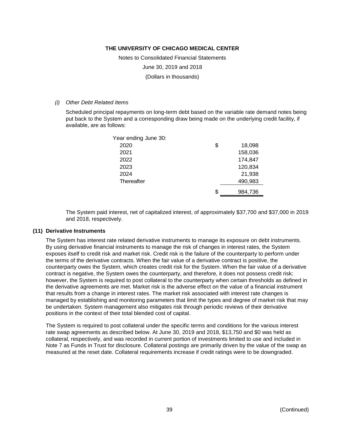Notes to Consolidated Financial Statements June 30, 2019 and 2018 (Dollars in thousands)

### *(i) Other Debt Related Items*

Scheduled principal repayments on long-term debt based on the variable rate demand notes being put back to the System and a corresponding draw being made on the underlying credit facility, if available, are as follows:

| Year ending June 30: |    |         |
|----------------------|----|---------|
| 2020                 | \$ | 18,098  |
| 2021                 |    | 158,036 |
| 2022                 |    | 174,847 |
| 2023                 |    | 120,834 |
| 2024                 |    | 21,938  |
| Thereafter           |    | 490,983 |
|                      | S  | 984,736 |

The System paid interest, net of capitalized interest, of approximately \$37,700 and \$37,000 in 2019 and 2018, respectively.

### **(11) Derivative Instruments**

The System has interest rate related derivative instruments to manage its exposure on debt instruments. By using derivative financial instruments to manage the risk of changes in interest rates, the System exposes itself to credit risk and market risk. Credit risk is the failure of the counterparty to perform under the terms of the derivative contracts. When the fair value of a derivative contract is positive, the counterparty owes the System, which creates credit risk for the System. When the fair value of a derivative contract is negative, the System owes the counterparty, and therefore, it does not possess credit risk; however, the System is required to post collateral to the counterparty when certain thresholds as defined in the derivative agreements are met. Market risk is the adverse effect on the value of a financial instrument that results from a change in interest rates. The market risk associated with interest rate changes is managed by establishing and monitoring parameters that limit the types and degree of market risk that may be undertaken. System management also mitigates risk through periodic reviews of their derivative positions in the context of their total blended cost of capital.

The System is required to post collateral under the specific terms and conditions for the various interest rate swap agreements as described below. At June 30, 2019 and 2018, \$13,750 and \$0 was held as collateral, respectively, and was recorded in current portion of investments limited to use and included in Note 7 as Funds in Trust for disclosure. Collateral postings are primarily driven by the value of the swap as measured at the reset date. Collateral requirements increase if credit ratings were to be downgraded.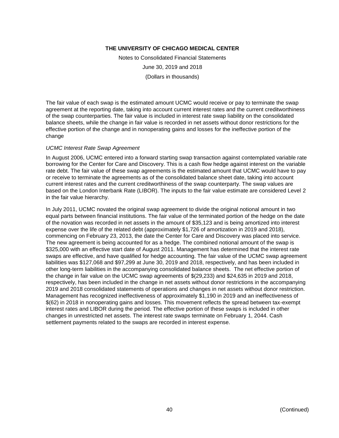Notes to Consolidated Financial Statements June 30, 2019 and 2018 (Dollars in thousands)

The fair value of each swap is the estimated amount UCMC would receive or pay to terminate the swap agreement at the reporting date, taking into account current interest rates and the current creditworthiness of the swap counterparties. The fair value is included in interest rate swap liability on the consolidated balance sheets, while the change in fair value is recorded in net assets without donor restrictions for the effective portion of the change and in nonoperating gains and losses for the ineffective portion of the change

### *UCMC Interest Rate Swap Agreement*

In August 2006, UCMC entered into a forward starting swap transaction against contemplated variable rate borrowing for the Center for Care and Discovery. This is a cash flow hedge against interest on the variable rate debt. The fair value of these swap agreements is the estimated amount that UCMC would have to pay or receive to terminate the agreements as of the consolidated balance sheet date, taking into account current interest rates and the current creditworthiness of the swap counterparty. The swap values are based on the London Interbank Rate (LIBOR). The inputs to the fair value estimate are considered Level 2 in the fair value hierarchy.

In July 2011, UCMC novated the original swap agreement to divide the original notional amount in two equal parts between financial institutions. The fair value of the terminated portion of the hedge on the date of the novation was recorded in net assets in the amount of \$35,123 and is being amortized into interest expense over the life of the related debt (approximately \$1,726 of amortization in 2019 and 2018), commencing on February 23, 2013, the date the Center for Care and Discovery was placed into service. The new agreement is being accounted for as a hedge. The combined notional amount of the swap is \$325,000 with an effective start date of August 2011. Management has determined that the interest rate swaps are effective, and have qualified for hedge accounting. The fair value of the UCMC swap agreement liabilities was \$127,068 and \$97,299 at June 30, 2019 and 2018, respectively, and has been included in other long-term liabilities in the accompanying consolidated balance sheets. The net effective portion of the change in fair value on the UCMC swap agreements of \$(29,233) and \$24,635 in 2019 and 2018, respectively, has been included in the change in net assets without donor restrictions in the accompanying 2019 and 2018 consolidated statements of operations and changes in net assets without donor restriction. Management has recognized ineffectiveness of approximately \$1,190 in 2019 and an ineffectiveness of \$(62) in 2018 in nonoperating gains and losses. This movement reflects the spread between tax-exempt interest rates and LIBOR during the period. The effective portion of these swaps is included in other changes in unrestricted net assets. The interest rate swaps terminate on February 1, 2044. Cash settlement payments related to the swaps are recorded in interest expense.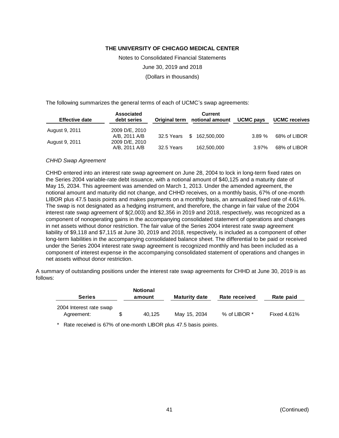Notes to Consolidated Financial Statements June 30, 2019 and 2018 (Dollars in thousands)

The following summarizes the general terms of each of UCMC's swap agreements:

| <b>Effective date</b> | <b>Associated</b><br>debt series | <b>Original term</b> | Current<br>notional amount | <b>UCMC</b> pays | <b>UCMC</b> receives |
|-----------------------|----------------------------------|----------------------|----------------------------|------------------|----------------------|
| August 9, 2011        | 2009 D/E, 2010                   |                      |                            |                  |                      |
| August 9, 2011        | A/B, 2011 A/B<br>2009 D/E, 2010  | 32.5 Years           | 162.500.000<br>SS.         | 3.89%            | 68% of LIBOR         |
|                       | A/B, 2011 A/B                    | 32.5 Years           | 162,500,000                | 3.97%            | 68% of LIBOR         |

### *CHHD Swap Agreement*

CHHD entered into an interest rate swap agreement on June 28, 2004 to lock in long-term fixed rates on the Series 2004 variable-rate debt issuance, with a notional amount of \$40,125 and a maturity date of May 15, 2034. This agreement was amended on March 1, 2013. Under the amended agreement, the notional amount and maturity did not change, and CHHD receives, on a monthly basis, 67% of one-month LIBOR plus 47.5 basis points and makes payments on a monthly basis, an annualized fixed rate of 4.61%. The swap is not designated as a hedging instrument, and therefore, the change in fair value of the 2004 interest rate swap agreement of \$(2,003) and \$2,356 in 2019 and 2018, respectively, was recognized as a component of nonoperating gains in the accompanying consolidated statement of operations and changes in net assets without donor restriction. The fair value of the Series 2004 interest rate swap agreement liability of \$9,118 and \$7,115 at June 30, 2019 and 2018, respectively, is included as a component of other long-term liabilities in the accompanying consolidated balance sheet. The differential to be paid or received under the Series 2004 interest rate swap agreement is recognized monthly and has been included as a component of interest expense in the accompanying consolidated statement of operations and changes in net assets without donor restriction.

A summary of outstanding positions under the interest rate swap agreements for CHHD at June 30, 2019 is as follows:

| <b>Series</b>                         | <b>Notional</b><br>amount | <b>Maturity date</b> | Rate received | Rate paid          |
|---------------------------------------|---------------------------|----------------------|---------------|--------------------|
| 2004 Interest rate swap<br>Agreement: | 40.125                    | May 15, 2034         | % of LIBOR *  | <b>Fixed 4.61%</b> |

\* Rate received is 67% of one-month LIBOR plus 47.5 basis points.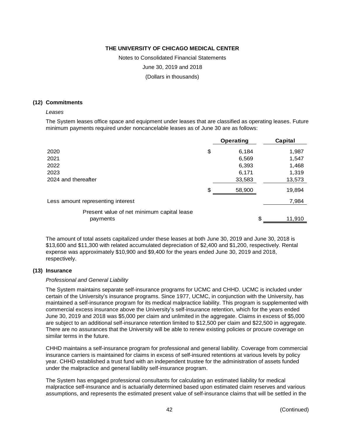Notes to Consolidated Financial Statements June 30, 2019 and 2018 (Dollars in thousands)

#### **(12) Commitments**

#### *Leases*

The System leases office space and equipment under leases that are classified as operating leases. Future minimum payments required under noncancelable leases as of June 30 are as follows:

|                                            | Operating    | Capital |
|--------------------------------------------|--------------|---------|
| 2020                                       | \$<br>6,184  | 1,987   |
| 2021                                       | 6,569        | 1,547   |
| 2022                                       | 6,393        | 1,468   |
| 2023                                       | 6,171        | 1,319   |
| 2024 and thereafter                        | 33,583       | 13,573  |
|                                            | \$<br>58,900 | 19,894  |
| Less amount representing interest          |              | 7,984   |
| Present value of net minimum capital lease |              |         |
| payments                                   |              | 11,910  |

The amount of total assets capitalized under these leases at both June 30, 2019 and June 30, 2018 is \$13,600 and \$11,300 with related accumulated depreciation of \$2,400 and \$1,200, respectively. Rental expense was approximately \$10,900 and \$9,400 for the years ended June 30, 2019 and 2018, respectively.

### **(13) Insurance**

### *Professional and General Liability*

The System maintains separate self-insurance programs for UCMC and CHHD. UCMC is included under certain of the University's insurance programs. Since 1977, UCMC, in conjunction with the University, has maintained a self-insurance program for its medical malpractice liability. This program is supplemented with commercial excess insurance above the University's self-insurance retention, which for the years ended June 30, 2019 and 2018 was \$5,000 per claim and unlimited in the aggregate. Claims in excess of \$5,000 are subject to an additional self-insurance retention limited to \$12,500 per claim and \$22,500 in aggregate. There are no assurances that the University will be able to renew existing policies or procure coverage on similar terms in the future.

CHHD maintains a self-insurance program for professional and general liability. Coverage from commercial insurance carriers is maintained for claims in excess of self-insured retentions at various levels by policy year. CHHD established a trust fund with an independent trustee for the administration of assets funded under the malpractice and general liability self-insurance program.

The System has engaged professional consultants for calculating an estimated liability for medical malpractice self-insurance and is actuarially determined based upon estimated claim reserves and various assumptions, and represents the estimated present value of self-insurance claims that will be settled in the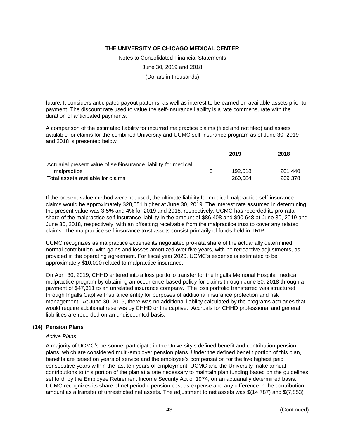Notes to Consolidated Financial Statements June 30, 2019 and 2018 (Dollars in thousands)

future. It considers anticipated payout patterns, as well as interest to be earned on available assets prior to payment. The discount rate used to value the self-insurance liability is a rate commensurate with the duration of anticipated payments.

A comparison of the estimated liability for incurred malpractice claims (filed and not filed) and assets available for claims for the combined University and UCMC self-insurance program as of June 30, 2019 and 2018 is presented below:

|                                                                 |   | 2019    | 2018    |
|-----------------------------------------------------------------|---|---------|---------|
| Actuarial present value of self-insurance liability for medical |   |         |         |
| malpractice                                                     | S | 192.018 | 201.440 |
| Total assets available for claims                               |   | 260.084 | 269.378 |

If the present-value method were not used, the ultimate liability for medical malpractice self-insurance claims would be approximately \$28,651 higher at June 30, 2019. The interest rate assumed in determining the present value was 3.5% and 4% for 2019 and 2018, respectively. UCMC has recorded its pro-rata share of the malpractice self-insurance liability in the amount of \$86,408 and \$90,648 at June 30, 2019 and June 30, 2018, respectively, with an offsetting receivable from the malpractice trust to cover any related claims. The malpractice self-insurance trust assets consist primarily of funds held in TRIP.

UCMC recognizes as malpractice expense its negotiated pro-rata share of the actuarially determined normal contribution, with gains and losses amortized over five years, with no retroactive adjustments, as provided in the operating agreement. For fiscal year 2020, UCMC's expense is estimated to be approximately \$10,000 related to malpractice insurance.

On April 30, 2019, CHHD entered into a loss portfolio transfer for the Ingalls Memorial Hospital medical malpractice program by obtaining an occurrence-based policy for claims through June 30, 2018 through a payment of \$47,311 to an unrelated insurance company. The loss portfolio transferred was structured through Ingalls Captive Insurance entity for purposes of additional insurance protection and risk management. At June 30, 2019, there was no additional liability calculated by the programs actuaries that would require additional reserves by CHHD or the captive. Accruals for CHHD professional and general liabilities are recorded on an undiscounted basis.

### **(14) Pension Plans**

### *Active Plans*

A majority of UCMC's personnel participate in the University's defined benefit and contribution pension plans, which are considered multi-employer pension plans. Under the defined benefit portion of this plan, benefits are based on years of service and the employee's compensation for the five highest paid consecutive years within the last ten years of employment. UCMC and the University make annual contributions to this portion of the plan at a rate necessary to maintain plan funding based on the guidelines set forth by the Employee Retirement Income Security Act of 1974, on an actuarially determined basis. UCMC recognizes its share of net periodic pension cost as expense and any difference in the contribution amount as a transfer of unrestricted net assets. The adjustment to net assets was \$(14,787) and \$(7,853)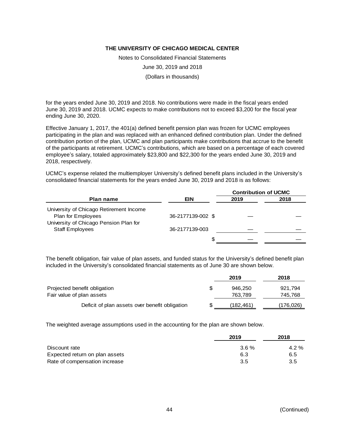Notes to Consolidated Financial Statements June 30, 2019 and 2018 (Dollars in thousands)

for the years ended June 30, 2019 and 2018. No contributions were made in the fiscal years ended June 30, 2019 and 2018. UCMC expects to make contributions not to exceed \$3,200 for the fiscal year ending June 30, 2020.

Effective January 1, 2017, the 401(a) defined benefit pension plan was frozen for UCMC employees participating in the plan and was replaced with an enhanced defined contribution plan. Under the defined contribution portion of the plan, UCMC and plan participants make contributions that accrue to the benefit of the participants at retirement. UCMC's contributions, which are based on a percentage of each covered employee's salary, totaled approximately \$23,800 and \$22,300 for the years ended June 30, 2019 and 2018, respectively.

UCMC's expense related the multiemployer University's defined benefit plans included in the University's consolidated financial statements for the years ended June 30, 2019 and 2018 is as follows:

|                   | <b>Contribution of UCMC</b> |      |
|-------------------|-----------------------------|------|
| <b>EIN</b>        | 2019                        | 2018 |
|                   |                             |      |
| 36-2177139-002 \$ |                             |      |
|                   |                             |      |
| 36-2177139-003    |                             |      |
| S.                |                             |      |
|                   |                             |      |

The benefit obligation, fair value of plan assets, and funded status for the University's defined benefit plan included in the University's consolidated financial statements as of June 30 are shown below.

|                                                | 2019      | 2018      |
|------------------------------------------------|-----------|-----------|
| Projected benefit obligation                   | 946.250   | 921.794   |
| Fair value of plan assets                      | 763.789   | 745,768   |
| Deficit of plan assets over benefit obligation | (182,461) | (176,026) |

The weighted average assumptions used in the accounting for the plan are shown below.

|                                | 2019    | 2018    |
|--------------------------------|---------|---------|
| Discount rate                  | $3.6\%$ | $4.2\%$ |
| Expected return on plan assets | 6.3     | 6.5     |
| Rate of compensation increase  | 3.5     | 3.5     |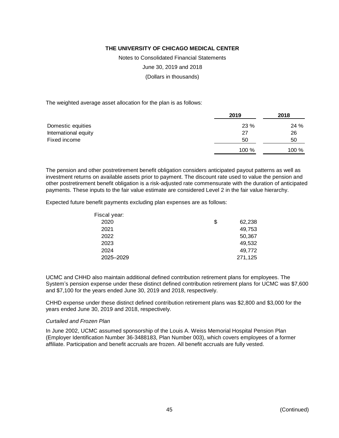Notes to Consolidated Financial Statements June 30, 2019 and 2018 (Dollars in thousands)

The weighted average asset allocation for the plan is as follows:

|                      | 2019  | 2018  |
|----------------------|-------|-------|
| Domestic equities    | 23 %  | 24 %  |
| International equity | 27    | 26    |
| Fixed income         | 50    | 50    |
|                      | 100 % | 100 % |

The pension and other postretirement benefit obligation considers anticipated payout patterns as well as investment returns on available assets prior to payment. The discount rate used to value the pension and other postretirement benefit obligation is a risk-adjusted rate commensurate with the duration of anticipated payments. These inputs to the fair value estimate are considered Level 2 in the fair value hierarchy.

Expected future benefit payments excluding plan expenses are as follows:

| Fiscal year: |              |
|--------------|--------------|
| 2020         | \$<br>62,238 |
| 2021         | 49,753       |
| 2022         | 50,367       |
| 2023         | 49,532       |
| 2024         | 49,772       |
| 2025-2029    | 271,125      |

UCMC and CHHD also maintain additional defined contribution retirement plans for employees. The System's pension expense under these distinct defined contribution retirement plans for UCMC was \$7,600 and \$7,100 for the years ended June 30, 2019 and 2018, respectively.

CHHD expense under these distinct defined contribution retirement plans was \$2,800 and \$3,000 for the years ended June 30, 2019 and 2018, respectively.

### *Curtailed and Frozen Plan*

In June 2002, UCMC assumed sponsorship of the Louis A. Weiss Memorial Hospital Pension Plan (Employer Identification Number 36-3488183, Plan Number 003), which covers employees of a former affiliate. Participation and benefit accruals are frozen. All benefit accruals are fully vested.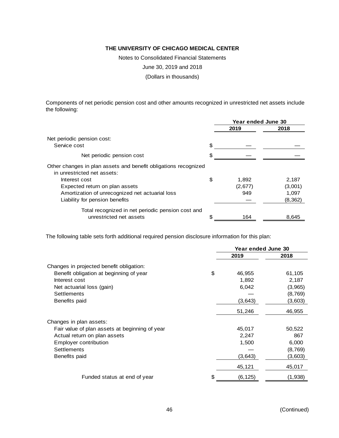Notes to Consolidated Financial Statements

June 30, 2019 and 2018

(Dollars in thousands)

Components of net periodic pension cost and other amounts recognized in unrestricted net assets include the following:

|                                                                                                |    | Year ended June 30 |          |
|------------------------------------------------------------------------------------------------|----|--------------------|----------|
|                                                                                                |    | 2019               | 2018     |
| Net periodic pension cost:                                                                     |    |                    |          |
| Service cost                                                                                   | \$ |                    |          |
| Net periodic pension cost                                                                      |    |                    |          |
| Other changes in plan assets and benefit obligations recognized<br>in unrestricted net assets: |    |                    |          |
| Interest cost                                                                                  | S  | 1,892              | 2,187    |
| Expected return on plan assets                                                                 |    | (2,677)            | (3,001)  |
| Amortization of unrecognized net actuarial loss                                                |    | 949                | 1,097    |
| Liability for pension benefits                                                                 |    |                    | (8, 362) |
| Total recognized in net periodic pension cost and                                              |    |                    |          |
| unrestricted net assets                                                                        |    | 164                | 8,645    |

The following table sets forth additional required pension disclosure information for this plan:

|                                                | Year ended June 30 |         |
|------------------------------------------------|--------------------|---------|
|                                                | 2019               | 2018    |
| Changes in projected benefit obligation:       |                    |         |
| Benefit obligation at beginning of year        | \$<br>46,955       | 61,105  |
| Interest cost                                  | 1,892              | 2,187   |
| Net actuarial loss (gain)                      | 6,042              | (3,965) |
| Settlements                                    |                    | (8,769) |
| Benefits paid                                  | (3,643)            | (3,603) |
|                                                | 51,246             | 46,955  |
| Changes in plan assets:                        |                    |         |
| Fair value of plan assets at beginning of year | 45,017             | 50,522  |
| Actual return on plan assets                   | 2,247              | 867     |
| Employer contribution                          | 1,500              | 6,000   |
| Settlements                                    |                    | (8,769) |
| Benefits paid                                  | (3,643)            | (3,603) |
|                                                | 45,121             | 45,017  |
| Funded status at end of year                   | (6, 125)           | (1,938) |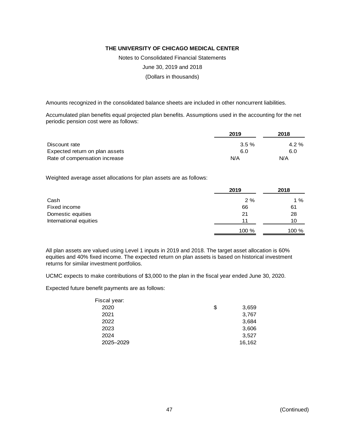Notes to Consolidated Financial Statements June 30, 2019 and 2018 (Dollars in thousands)

Amounts recognized in the consolidated balance sheets are included in other noncurrent liabilities.

Accumulated plan benefits equal projected plan benefits. Assumptions used in the accounting for the net periodic pension cost were as follows:

|                                | 2019     | 2018     |  |  |
|--------------------------------|----------|----------|--|--|
| Discount rate                  | $3.5 \%$ | $4.2 \%$ |  |  |
| Expected return on plan assets | 6.0      | 6.0      |  |  |
| Rate of compensation increase  | N/A      | N/A      |  |  |

Weighted average asset allocations for plan assets are as follows:

|                        | 2019  | 2018  |
|------------------------|-------|-------|
| Cash                   | 2%    | 1%    |
| Fixed income           | 66    | 61    |
| Domestic equities      | 21    | 28    |
| International equities | 11    | 10    |
|                        | 100 % | 100 % |

All plan assets are valued using Level 1 inputs in 2019 and 2018. The target asset allocation is 60% equities and 40% fixed income. The expected return on plan assets is based on historical investment returns for similar investment portfolios.

UCMC expects to make contributions of \$3,000 to the plan in the fiscal year ended June 30, 2020.

Expected future benefit payments are as follows:

| Fiscal year: |             |
|--------------|-------------|
| 2020         | \$<br>3,659 |
| 2021         | 3,767       |
| 2022         | 3,684       |
| 2023         | 3,606       |
| 2024         | 3,527       |
| 2025-2029    | 16,162      |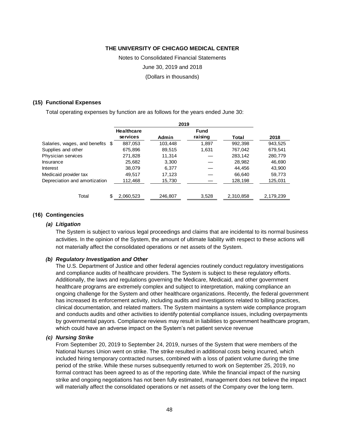Notes to Consolidated Financial Statements June 30, 2019 and 2018

(Dollars in thousands)

#### **(15) Functional Expenses**

Total operating expenses by function are as follows for the years ended June 30:

|                                  | <b>Healthcare</b><br>services | Admin   | <b>Fund</b><br>raising | Total     | 2018      |
|----------------------------------|-------------------------------|---------|------------------------|-----------|-----------|
| Salaries, wages, and benefits \$ | 887,053                       | 103,448 | 1.897                  | 992,398   | 943.525   |
| Supplies and other               | 675.896                       | 89.515  | 1,631                  | 767.042   | 679.541   |
| Physician services               | 271,828                       | 11.314  |                        | 283,142   | 280,779   |
| Insurance                        | 25.682                        | 3.300   |                        | 28,982    | 46,690    |
| Interest                         | 38.079                        | 6.377   |                        | 44.456    | 43,900    |
| Medicaid provider tax            | 49.517                        | 17,123  |                        | 66,640    | 59,773    |
| Depreciation and amortization    | 112,468                       | 15,730  |                        | 128,198   | 125,031   |
| Total                            | S<br>2,060,523                | 246,807 | 3,528                  | 2,310,858 | 2,179,239 |

#### **(16) Contingencies**

#### *(a) Litigation*

The System is subject to various legal proceedings and claims that are incidental to its normal business activities. In the opinion of the System, the amount of ultimate liability with respect to these actions will not materially affect the consolidated operations or net assets of the System.

### *(b) Regulatory Investigation and Other*

The U.S. Department of Justice and other federal agencies routinely conduct regulatory investigations and compliance audits of healthcare providers. The System is subject to these regulatory efforts. Additionally, the laws and regulations governing the Medicare, Medicaid, and other government healthcare programs are extremely complex and subject to interpretation, making compliance an ongoing challenge for the System and other healthcare organizations. Recently, the federal government has increased its enforcement activity, including audits and investigations related to billing practices, clinical documentation, and related matters. The System maintains a system wide compliance program and conducts audits and other activities to identify potential compliance issues, including overpayments by governmental payors. Compliance reviews may result in liabilities to government healthcare program, which could have an adverse impact on the System's net patient service revenue

### *(c) Nursing Strike*

From September 20, 2019 to September 24, 2019, nurses of the System that were members of the National Nurses Union went on strike. The strike resulted in additional costs being incurred, which included hiring temporary contracted nurses, combined with a loss of patient volume during the time period of the strike. While these nurses subsequently returned to work on September 25, 2019, no formal contract has been agreed to as of the reporting date. While the financial impact of the nursing strike and ongoing negotiations has not been fully estimated, management does not believe the impact will materially affect the consolidated operations or net assets of the Company over the long term.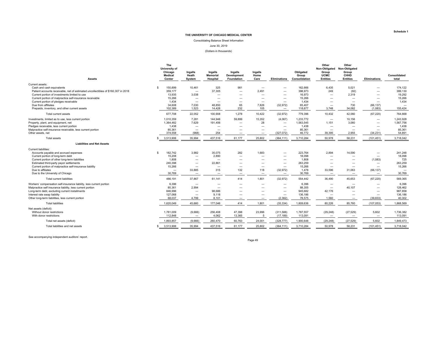Consolidating Balance Sheet Information

June 30, 2019

#### (Dollars in thousands)

| Current assets:<br>150,899<br>162.666<br>6.435<br>174,122<br>s<br>10,461<br>325<br>981<br>5.021<br>Cash and cash equivalents<br>$\sim$<br>$\overline{\phantom{0}}$<br>37,305<br>2.491<br>398,973<br>399,130<br>Patient accounts receivable, net of estimated uncollectibles of \$160,307 in 2018<br>359,177<br>249<br>(92)<br>$\hspace{0.1mm}-\hspace{0.1mm}$<br>$\qquad \qquad$<br>$\overline{\phantom{m}}$<br>$\overline{\phantom{m}}$<br>19,292<br>13,935<br>3,038<br>16,973<br>2,319<br>Current portion of investments limited to use<br>$\overline{\phantom{m}}$<br>$\overline{\phantom{m}}$<br>$\overline{\phantom{0}}$<br>-<br>$\overline{\phantom{0}}$<br>15,266<br>15,266<br>Current portion of malpractice self-insurance receivable<br>15,266<br>$\overline{\phantom{a}}$<br>$\overline{\phantom{a}}$<br>$\sim$<br>$\overline{\phantom{0}}$<br>$\overline{\phantom{0}}$<br>$\overline{\phantom{a}}$<br>1,434<br>Current portion of pledges receivable<br>1,434<br>1.434<br>$\overline{\phantom{m}}$<br>$\overline{\phantom{a}}$<br>$\overline{\phantom{m}}$<br>—<br>$\overline{\phantom{0}}$<br>$\overline{\phantom{a}}$<br>$\overline{\phantom{m}}$<br>$\overline{\phantom{m}}$<br>65<br>Due from affiliates<br>7,030<br>7,826<br>730<br>34,608<br>48,850<br>(32, 972)<br>65,407<br>(66, 137)<br>$\overline{\phantom{m}}$<br>$\qquad \qquad =$<br>232<br>102,389<br>1,523<br>14,428<br>105<br>118,677<br>3.748<br>34,082<br>(1,083)<br>155,424<br>Prepaids, inventory, and other current assets<br>$\overline{\phantom{a}}$<br>1.278<br>10,422<br>10,432<br>(67, 220)<br>677.708<br>22,052<br>100,908<br>(32, 972)<br>779,396<br>42,060<br>764,668<br>Total current assets<br>Investments, limited as to use, less current portion<br>1,010,359<br>7,281<br>144,948<br>59,899<br>15,352<br>(4,067)<br>1,233,772<br>10,156<br>1,243,928<br>$\frac{1}{2}$<br>$\overline{\phantom{m}}$<br>191.406<br>3,060<br>1,567,756<br>1,364,482<br>7,629<br>28<br>1,563,545<br>1.151<br>Property, plant, and equipment, net<br>$\overline{\phantom{0}}$<br>$\hspace{0.1mm}-\hspace{0.1mm}$<br>$\sim$<br>1,438<br>Pledges receivable, less current portion<br>1,438<br>1,438<br>$\overline{\phantom{m}}$<br>$\overline{\phantom{m}}$<br>$\hspace{0.1mm}-\hspace{0.1mm}$<br>$\overline{\phantom{m}}$<br>$\overline{\phantom{m}}$<br>$\overline{\phantom{m}}$<br>$\overline{\phantom{m}}$<br>-<br>85,361<br>85,361<br>Malpractice self-insurance receivable, less current portion<br>85,361<br>$\sim$<br>$\sim$<br>—<br>—<br>374,558<br>(968)<br>(327, 072)<br>46,772<br>39.395<br>2,955<br>54,891<br>Other assets, net<br>254<br>(34, 231)<br>$\overline{\phantom{m}}$<br>$\qquad \qquad \longleftarrow$<br>35,994<br>61,177<br>25,802<br>3,710,284<br>58,231<br>(101, 451)<br>3,718,042<br>Total assets<br>3,513,906<br>437,516<br>(364, 111)<br>50,978<br><b>Liabilities and Net Assets</b><br>Current liabilities:<br>s<br>182,742<br>3.982<br>35.075<br>282<br>1.683<br>223,764<br>2.894<br>14,590<br>241,248<br>Accounts payable and accrued expenses<br>$\hspace{0.1mm}-\hspace{0.1mm}$<br>$\overline{\phantom{m}}$<br>18,098<br>Current portion of long-term debt<br>15,208<br>2.890<br>18,098<br>$\frac{1}{2}$<br>$\overline{\phantom{m}}$<br>$\overline{\phantom{0}}$<br>$\overline{\phantom{0}}$<br>-<br>$\overline{\phantom{0}}$<br>$\overline{\phantom{0}}$<br>1,808<br>1,808<br>(1,083)<br>725<br>Current portion of other long-term liabilities<br>$\overline{\phantom{m}}$<br>$\overline{\phantom{m}}$<br>$\overline{\phantom{m}}$<br>$\overline{\phantom{a}}$<br>—<br>$\overline{\phantom{m}}$<br>263,259<br>263,259<br>Estimated third-party payor settlements<br>240,398<br>22,861<br>—<br>$\overline{\phantom{0}}$<br>$\overline{\phantom{0}}$<br>15,266<br>15,266<br>Current portion of malpractice self-insurance liability<br>15,266<br>$\frac{1}{2}$<br>$\overline{\phantom{a}}$<br>$\overline{\phantom{m}}$<br>$\overline{\phantom{a}}$<br>$\sim$<br>Due to affiliates<br>132<br>33.596<br>33,885<br>315<br>118<br>(32, 972)<br>1.478<br>31,063<br>(66, 137)<br>$\overline{\phantom{0}}$<br>$\sim$<br>Due to the University of Chicago<br>30,769<br>30,769<br>30,769<br>$\overline{\phantom{m}}$<br>$\frac{1}{2}$<br>$\overline{\phantom{m}}$<br>$\overline{\phantom{0}}$<br>$\overline{\phantom{0}}$<br>$\hspace{0.1mm}-\hspace{0.1mm}$<br>$\sim$<br>$\overline{\phantom{m}}$<br>414<br>1,801<br>36,490<br>45,653<br>(67, 220)<br>569,365<br><b>Total current liabilities</b><br>486,191<br>37,867<br>61,141<br>(32, 972)<br>554,442<br>6,396<br>Workers' compensation self-insurance liability, less current portion<br>6,396<br>6,396<br>$\overline{\phantom{a}}$<br>$\overline{\phantom{a}}$<br>$\overline{\phantom{a}}$<br>$\overline{\phantom{m}}$<br>$\overline{\phantom{m}}$<br>—<br>$\overline{\phantom{m}}$<br>Malpractice self insurance liability, less current portion<br>88,355<br>128,462<br>85,361<br>2,994<br>40,107<br>$\overline{\phantom{m}}$<br>$\overline{\phantom{0}}$<br>$\overline{\phantom{0}}$<br>$\sim$<br>$\sim$<br>$\overline{\phantom{0}}$<br>Long-term debt, excluding current installments<br>846,996<br>98.686<br>945,682<br>42,176<br>987,858<br>$\overline{\phantom{a}}$<br>$\hspace{0.1mm}-\hspace{0.1mm}$<br>$\overline{\phantom{0}}$<br>$\sim$<br>$\overline{\phantom{0}}$<br>$\overline{\phantom{0}}$<br>136,186<br>127.068<br>9,118<br>136,186<br>Interest rate swap liability<br>$\hspace{0.1mm}-\hspace{0.1mm}$<br>$\sim$<br>$\sim$<br>$\overline{\phantom{0}}$<br>$\sim$<br>(2, 362)<br>68,037<br>4,799<br>78,575<br>1,560<br>(39, 833)<br>40,302<br>Other long-term liabilities, less current portion<br>8,101<br>$\overline{\phantom{m}}$<br>-<br>$\overline{\phantom{0}}$<br>1,801<br><b>Total liabilities</b><br>1,620,049<br>45,660<br>177,046<br>414<br>(35, 334)<br>1,809,636<br>80.226<br>85,760<br>(107, 053)<br>1,868,569<br>Net assets (deficit):<br>5,602<br>Without donor restrictions<br>1.781.009<br>(9,666)<br>256.408<br>47.398<br>23.996<br>(311.588)<br>1,787,557<br>(27, 529)<br>1,736,382<br>(29, 248)<br>13,365<br>(17, 189)<br>113,091<br>With donor restrictions<br>112.848<br>4,062<br>5<br>113,091<br>$\overline{\phantom{m}}$<br>$\overline{\phantom{m}}$<br>$\qquad \qquad -$<br>5,602<br>(9,666)<br>60.763<br>(27.529)<br>1.893.857<br>260.470<br>24.001<br>(328, 777)<br>1,900,648<br>(29.248)<br>1,849,473<br>Total net assets (deficit)<br>Total liabilities and net assets<br>61.177<br>25,802<br>50.978<br>58,231<br>(101, 451)<br>3.718.042<br>3,513,906<br>35,994<br>437.516<br>(364, 111)<br>3.710.284 | <b>Assets</b> | The<br>University of<br>Chicago<br>Medical<br>Center | Ingalls<br>Heath<br>System | Ingalls<br>Memorial<br>Hospital | Ingalls<br>Development<br>Foundation | Ingalls<br>Home<br>Care | <b>Eliminations</b> | Obligated<br>Group<br>Consolidation | Other<br>Non-Obligated Non-Obligated<br>Group<br><b>UCMC</b><br><b>Entities</b> | Other<br>Group<br>CHHD<br><b>Entities</b> | <b>Eliminations</b> | Consolidated<br>total |
|-------------------------------------------------------------------------------------------------------------------------------------------------------------------------------------------------------------------------------------------------------------------------------------------------------------------------------------------------------------------------------------------------------------------------------------------------------------------------------------------------------------------------------------------------------------------------------------------------------------------------------------------------------------------------------------------------------------------------------------------------------------------------------------------------------------------------------------------------------------------------------------------------------------------------------------------------------------------------------------------------------------------------------------------------------------------------------------------------------------------------------------------------------------------------------------------------------------------------------------------------------------------------------------------------------------------------------------------------------------------------------------------------------------------------------------------------------------------------------------------------------------------------------------------------------------------------------------------------------------------------------------------------------------------------------------------------------------------------------------------------------------------------------------------------------------------------------------------------------------------------------------------------------------------------------------------------------------------------------------------------------------------------------------------------------------------------------------------------------------------------------------------------------------------------------------------------------------------------------------------------------------------------------------------------------------------------------------------------------------------------------------------------------------------------------------------------------------------------------------------------------------------------------------------------------------------------------------------------------------------------------------------------------------------------------------------------------------------------------------------------------------------------------------------------------------------------------------------------------------------------------------------------------------------------------------------------------------------------------------------------------------------------------------------------------------------------------------------------------------------------------------------------------------------------------------------------------------------------------------------------------------------------------------------------------------------------------------------------------------------------------------------------------------------------------------------------------------------------------------------------------------------------------------------------------------------------------------------------------------------------------------------------------------------------------------------------------------------------------------------------------------------------------------------------------------------------------------------------------------------------------------------------------------------------------------------------------------------------------------------------------------------------------------------------------------------------------------------------------------------------------------------------------------------------------------------------------------------------------------------------------------------------------------------------------------------------------------------------------------------------------------------------------------------------------------------------------------------------------------------------------------------------------------------------------------------------------------------------------------------------------------------------------------------------------------------------------------------------------------------------------------------------------------------------------------------------------------------------------------------------------------------------------------------------------------------------------------------------------------------------------------------------------------------------------------------------------------------------------------------------------------------------------------------------------------------------------------------------------------------------------------------------------------------------------------------------------------------------------------------------------------------------------------------------------------------------------------------------------------------------------------------------------------------------------------------------------------------------------------------------------------------------------------------------------------------------------------------------------------------------------------------------------------------------------------------------------------------------------------------------------------------------------------------------------------------------------------------------------------------------------------------------------------------------------------------------------------------------------------------------------------------------------------------------------------------------------------------------------------------------------------------------------------------------------------------------------------------------------------------------------------------------------------------------------------------------------------------------------------------------------------------------------------------------------------------------------------------------------------|---------------|------------------------------------------------------|----------------------------|---------------------------------|--------------------------------------|-------------------------|---------------------|-------------------------------------|---------------------------------------------------------------------------------|-------------------------------------------|---------------------|-----------------------|
|                                                                                                                                                                                                                                                                                                                                                                                                                                                                                                                                                                                                                                                                                                                                                                                                                                                                                                                                                                                                                                                                                                                                                                                                                                                                                                                                                                                                                                                                                                                                                                                                                                                                                                                                                                                                                                                                                                                                                                                                                                                                                                                                                                                                                                                                                                                                                                                                                                                                                                                                                                                                                                                                                                                                                                                                                                                                                                                                                                                                                                                                                                                                                                                                                                                                                                                                                                                                                                                                                                                                                                                                                                                                                                                                                                                                                                                                                                                                                                                                                                                                                                                                                                                                                                                                                                                                                                                                                                                                                                                                                                                                                                                                                                                                                                                                                                                                                                                                                                                                                                                                                                                                                                                                                                                                                                                                                                                                                                                                                                                                                                                                                                                                                                                                                                                                                                                                                                                                                                                                                                                                                                                                                                                                                                                                                                                                                                                                                                                                                                                                                                                                             |               |                                                      |                            |                                 |                                      |                         |                     |                                     |                                                                                 |                                           |                     |                       |
|                                                                                                                                                                                                                                                                                                                                                                                                                                                                                                                                                                                                                                                                                                                                                                                                                                                                                                                                                                                                                                                                                                                                                                                                                                                                                                                                                                                                                                                                                                                                                                                                                                                                                                                                                                                                                                                                                                                                                                                                                                                                                                                                                                                                                                                                                                                                                                                                                                                                                                                                                                                                                                                                                                                                                                                                                                                                                                                                                                                                                                                                                                                                                                                                                                                                                                                                                                                                                                                                                                                                                                                                                                                                                                                                                                                                                                                                                                                                                                                                                                                                                                                                                                                                                                                                                                                                                                                                                                                                                                                                                                                                                                                                                                                                                                                                                                                                                                                                                                                                                                                                                                                                                                                                                                                                                                                                                                                                                                                                                                                                                                                                                                                                                                                                                                                                                                                                                                                                                                                                                                                                                                                                                                                                                                                                                                                                                                                                                                                                                                                                                                                                             |               |                                                      |                            |                                 |                                      |                         |                     |                                     |                                                                                 |                                           |                     |                       |
|                                                                                                                                                                                                                                                                                                                                                                                                                                                                                                                                                                                                                                                                                                                                                                                                                                                                                                                                                                                                                                                                                                                                                                                                                                                                                                                                                                                                                                                                                                                                                                                                                                                                                                                                                                                                                                                                                                                                                                                                                                                                                                                                                                                                                                                                                                                                                                                                                                                                                                                                                                                                                                                                                                                                                                                                                                                                                                                                                                                                                                                                                                                                                                                                                                                                                                                                                                                                                                                                                                                                                                                                                                                                                                                                                                                                                                                                                                                                                                                                                                                                                                                                                                                                                                                                                                                                                                                                                                                                                                                                                                                                                                                                                                                                                                                                                                                                                                                                                                                                                                                                                                                                                                                                                                                                                                                                                                                                                                                                                                                                                                                                                                                                                                                                                                                                                                                                                                                                                                                                                                                                                                                                                                                                                                                                                                                                                                                                                                                                                                                                                                                                             |               |                                                      |                            |                                 |                                      |                         |                     |                                     |                                                                                 |                                           |                     |                       |
|                                                                                                                                                                                                                                                                                                                                                                                                                                                                                                                                                                                                                                                                                                                                                                                                                                                                                                                                                                                                                                                                                                                                                                                                                                                                                                                                                                                                                                                                                                                                                                                                                                                                                                                                                                                                                                                                                                                                                                                                                                                                                                                                                                                                                                                                                                                                                                                                                                                                                                                                                                                                                                                                                                                                                                                                                                                                                                                                                                                                                                                                                                                                                                                                                                                                                                                                                                                                                                                                                                                                                                                                                                                                                                                                                                                                                                                                                                                                                                                                                                                                                                                                                                                                                                                                                                                                                                                                                                                                                                                                                                                                                                                                                                                                                                                                                                                                                                                                                                                                                                                                                                                                                                                                                                                                                                                                                                                                                                                                                                                                                                                                                                                                                                                                                                                                                                                                                                                                                                                                                                                                                                                                                                                                                                                                                                                                                                                                                                                                                                                                                                                                             |               |                                                      |                            |                                 |                                      |                         |                     |                                     |                                                                                 |                                           |                     |                       |
|                                                                                                                                                                                                                                                                                                                                                                                                                                                                                                                                                                                                                                                                                                                                                                                                                                                                                                                                                                                                                                                                                                                                                                                                                                                                                                                                                                                                                                                                                                                                                                                                                                                                                                                                                                                                                                                                                                                                                                                                                                                                                                                                                                                                                                                                                                                                                                                                                                                                                                                                                                                                                                                                                                                                                                                                                                                                                                                                                                                                                                                                                                                                                                                                                                                                                                                                                                                                                                                                                                                                                                                                                                                                                                                                                                                                                                                                                                                                                                                                                                                                                                                                                                                                                                                                                                                                                                                                                                                                                                                                                                                                                                                                                                                                                                                                                                                                                                                                                                                                                                                                                                                                                                                                                                                                                                                                                                                                                                                                                                                                                                                                                                                                                                                                                                                                                                                                                                                                                                                                                                                                                                                                                                                                                                                                                                                                                                                                                                                                                                                                                                                                             |               |                                                      |                            |                                 |                                      |                         |                     |                                     |                                                                                 |                                           |                     |                       |
|                                                                                                                                                                                                                                                                                                                                                                                                                                                                                                                                                                                                                                                                                                                                                                                                                                                                                                                                                                                                                                                                                                                                                                                                                                                                                                                                                                                                                                                                                                                                                                                                                                                                                                                                                                                                                                                                                                                                                                                                                                                                                                                                                                                                                                                                                                                                                                                                                                                                                                                                                                                                                                                                                                                                                                                                                                                                                                                                                                                                                                                                                                                                                                                                                                                                                                                                                                                                                                                                                                                                                                                                                                                                                                                                                                                                                                                                                                                                                                                                                                                                                                                                                                                                                                                                                                                                                                                                                                                                                                                                                                                                                                                                                                                                                                                                                                                                                                                                                                                                                                                                                                                                                                                                                                                                                                                                                                                                                                                                                                                                                                                                                                                                                                                                                                                                                                                                                                                                                                                                                                                                                                                                                                                                                                                                                                                                                                                                                                                                                                                                                                                                             |               |                                                      |                            |                                 |                                      |                         |                     |                                     |                                                                                 |                                           |                     |                       |
|                                                                                                                                                                                                                                                                                                                                                                                                                                                                                                                                                                                                                                                                                                                                                                                                                                                                                                                                                                                                                                                                                                                                                                                                                                                                                                                                                                                                                                                                                                                                                                                                                                                                                                                                                                                                                                                                                                                                                                                                                                                                                                                                                                                                                                                                                                                                                                                                                                                                                                                                                                                                                                                                                                                                                                                                                                                                                                                                                                                                                                                                                                                                                                                                                                                                                                                                                                                                                                                                                                                                                                                                                                                                                                                                                                                                                                                                                                                                                                                                                                                                                                                                                                                                                                                                                                                                                                                                                                                                                                                                                                                                                                                                                                                                                                                                                                                                                                                                                                                                                                                                                                                                                                                                                                                                                                                                                                                                                                                                                                                                                                                                                                                                                                                                                                                                                                                                                                                                                                                                                                                                                                                                                                                                                                                                                                                                                                                                                                                                                                                                                                                                             |               |                                                      |                            |                                 |                                      |                         |                     |                                     |                                                                                 |                                           |                     |                       |
|                                                                                                                                                                                                                                                                                                                                                                                                                                                                                                                                                                                                                                                                                                                                                                                                                                                                                                                                                                                                                                                                                                                                                                                                                                                                                                                                                                                                                                                                                                                                                                                                                                                                                                                                                                                                                                                                                                                                                                                                                                                                                                                                                                                                                                                                                                                                                                                                                                                                                                                                                                                                                                                                                                                                                                                                                                                                                                                                                                                                                                                                                                                                                                                                                                                                                                                                                                                                                                                                                                                                                                                                                                                                                                                                                                                                                                                                                                                                                                                                                                                                                                                                                                                                                                                                                                                                                                                                                                                                                                                                                                                                                                                                                                                                                                                                                                                                                                                                                                                                                                                                                                                                                                                                                                                                                                                                                                                                                                                                                                                                                                                                                                                                                                                                                                                                                                                                                                                                                                                                                                                                                                                                                                                                                                                                                                                                                                                                                                                                                                                                                                                                             |               |                                                      |                            |                                 |                                      |                         |                     |                                     |                                                                                 |                                           |                     |                       |
|                                                                                                                                                                                                                                                                                                                                                                                                                                                                                                                                                                                                                                                                                                                                                                                                                                                                                                                                                                                                                                                                                                                                                                                                                                                                                                                                                                                                                                                                                                                                                                                                                                                                                                                                                                                                                                                                                                                                                                                                                                                                                                                                                                                                                                                                                                                                                                                                                                                                                                                                                                                                                                                                                                                                                                                                                                                                                                                                                                                                                                                                                                                                                                                                                                                                                                                                                                                                                                                                                                                                                                                                                                                                                                                                                                                                                                                                                                                                                                                                                                                                                                                                                                                                                                                                                                                                                                                                                                                                                                                                                                                                                                                                                                                                                                                                                                                                                                                                                                                                                                                                                                                                                                                                                                                                                                                                                                                                                                                                                                                                                                                                                                                                                                                                                                                                                                                                                                                                                                                                                                                                                                                                                                                                                                                                                                                                                                                                                                                                                                                                                                                                             |               |                                                      |                            |                                 |                                      |                         |                     |                                     |                                                                                 |                                           |                     |                       |
|                                                                                                                                                                                                                                                                                                                                                                                                                                                                                                                                                                                                                                                                                                                                                                                                                                                                                                                                                                                                                                                                                                                                                                                                                                                                                                                                                                                                                                                                                                                                                                                                                                                                                                                                                                                                                                                                                                                                                                                                                                                                                                                                                                                                                                                                                                                                                                                                                                                                                                                                                                                                                                                                                                                                                                                                                                                                                                                                                                                                                                                                                                                                                                                                                                                                                                                                                                                                                                                                                                                                                                                                                                                                                                                                                                                                                                                                                                                                                                                                                                                                                                                                                                                                                                                                                                                                                                                                                                                                                                                                                                                                                                                                                                                                                                                                                                                                                                                                                                                                                                                                                                                                                                                                                                                                                                                                                                                                                                                                                                                                                                                                                                                                                                                                                                                                                                                                                                                                                                                                                                                                                                                                                                                                                                                                                                                                                                                                                                                                                                                                                                                                             |               |                                                      |                            |                                 |                                      |                         |                     |                                     |                                                                                 |                                           |                     |                       |
|                                                                                                                                                                                                                                                                                                                                                                                                                                                                                                                                                                                                                                                                                                                                                                                                                                                                                                                                                                                                                                                                                                                                                                                                                                                                                                                                                                                                                                                                                                                                                                                                                                                                                                                                                                                                                                                                                                                                                                                                                                                                                                                                                                                                                                                                                                                                                                                                                                                                                                                                                                                                                                                                                                                                                                                                                                                                                                                                                                                                                                                                                                                                                                                                                                                                                                                                                                                                                                                                                                                                                                                                                                                                                                                                                                                                                                                                                                                                                                                                                                                                                                                                                                                                                                                                                                                                                                                                                                                                                                                                                                                                                                                                                                                                                                                                                                                                                                                                                                                                                                                                                                                                                                                                                                                                                                                                                                                                                                                                                                                                                                                                                                                                                                                                                                                                                                                                                                                                                                                                                                                                                                                                                                                                                                                                                                                                                                                                                                                                                                                                                                                                             |               |                                                      |                            |                                 |                                      |                         |                     |                                     |                                                                                 |                                           |                     |                       |
|                                                                                                                                                                                                                                                                                                                                                                                                                                                                                                                                                                                                                                                                                                                                                                                                                                                                                                                                                                                                                                                                                                                                                                                                                                                                                                                                                                                                                                                                                                                                                                                                                                                                                                                                                                                                                                                                                                                                                                                                                                                                                                                                                                                                                                                                                                                                                                                                                                                                                                                                                                                                                                                                                                                                                                                                                                                                                                                                                                                                                                                                                                                                                                                                                                                                                                                                                                                                                                                                                                                                                                                                                                                                                                                                                                                                                                                                                                                                                                                                                                                                                                                                                                                                                                                                                                                                                                                                                                                                                                                                                                                                                                                                                                                                                                                                                                                                                                                                                                                                                                                                                                                                                                                                                                                                                                                                                                                                                                                                                                                                                                                                                                                                                                                                                                                                                                                                                                                                                                                                                                                                                                                                                                                                                                                                                                                                                                                                                                                                                                                                                                                                             |               |                                                      |                            |                                 |                                      |                         |                     |                                     |                                                                                 |                                           |                     |                       |
|                                                                                                                                                                                                                                                                                                                                                                                                                                                                                                                                                                                                                                                                                                                                                                                                                                                                                                                                                                                                                                                                                                                                                                                                                                                                                                                                                                                                                                                                                                                                                                                                                                                                                                                                                                                                                                                                                                                                                                                                                                                                                                                                                                                                                                                                                                                                                                                                                                                                                                                                                                                                                                                                                                                                                                                                                                                                                                                                                                                                                                                                                                                                                                                                                                                                                                                                                                                                                                                                                                                                                                                                                                                                                                                                                                                                                                                                                                                                                                                                                                                                                                                                                                                                                                                                                                                                                                                                                                                                                                                                                                                                                                                                                                                                                                                                                                                                                                                                                                                                                                                                                                                                                                                                                                                                                                                                                                                                                                                                                                                                                                                                                                                                                                                                                                                                                                                                                                                                                                                                                                                                                                                                                                                                                                                                                                                                                                                                                                                                                                                                                                                                             |               |                                                      |                            |                                 |                                      |                         |                     |                                     |                                                                                 |                                           |                     |                       |
|                                                                                                                                                                                                                                                                                                                                                                                                                                                                                                                                                                                                                                                                                                                                                                                                                                                                                                                                                                                                                                                                                                                                                                                                                                                                                                                                                                                                                                                                                                                                                                                                                                                                                                                                                                                                                                                                                                                                                                                                                                                                                                                                                                                                                                                                                                                                                                                                                                                                                                                                                                                                                                                                                                                                                                                                                                                                                                                                                                                                                                                                                                                                                                                                                                                                                                                                                                                                                                                                                                                                                                                                                                                                                                                                                                                                                                                                                                                                                                                                                                                                                                                                                                                                                                                                                                                                                                                                                                                                                                                                                                                                                                                                                                                                                                                                                                                                                                                                                                                                                                                                                                                                                                                                                                                                                                                                                                                                                                                                                                                                                                                                                                                                                                                                                                                                                                                                                                                                                                                                                                                                                                                                                                                                                                                                                                                                                                                                                                                                                                                                                                                                             |               |                                                      |                            |                                 |                                      |                         |                     |                                     |                                                                                 |                                           |                     |                       |
|                                                                                                                                                                                                                                                                                                                                                                                                                                                                                                                                                                                                                                                                                                                                                                                                                                                                                                                                                                                                                                                                                                                                                                                                                                                                                                                                                                                                                                                                                                                                                                                                                                                                                                                                                                                                                                                                                                                                                                                                                                                                                                                                                                                                                                                                                                                                                                                                                                                                                                                                                                                                                                                                                                                                                                                                                                                                                                                                                                                                                                                                                                                                                                                                                                                                                                                                                                                                                                                                                                                                                                                                                                                                                                                                                                                                                                                                                                                                                                                                                                                                                                                                                                                                                                                                                                                                                                                                                                                                                                                                                                                                                                                                                                                                                                                                                                                                                                                                                                                                                                                                                                                                                                                                                                                                                                                                                                                                                                                                                                                                                                                                                                                                                                                                                                                                                                                                                                                                                                                                                                                                                                                                                                                                                                                                                                                                                                                                                                                                                                                                                                                                             |               |                                                      |                            |                                 |                                      |                         |                     |                                     |                                                                                 |                                           |                     |                       |
|                                                                                                                                                                                                                                                                                                                                                                                                                                                                                                                                                                                                                                                                                                                                                                                                                                                                                                                                                                                                                                                                                                                                                                                                                                                                                                                                                                                                                                                                                                                                                                                                                                                                                                                                                                                                                                                                                                                                                                                                                                                                                                                                                                                                                                                                                                                                                                                                                                                                                                                                                                                                                                                                                                                                                                                                                                                                                                                                                                                                                                                                                                                                                                                                                                                                                                                                                                                                                                                                                                                                                                                                                                                                                                                                                                                                                                                                                                                                                                                                                                                                                                                                                                                                                                                                                                                                                                                                                                                                                                                                                                                                                                                                                                                                                                                                                                                                                                                                                                                                                                                                                                                                                                                                                                                                                                                                                                                                                                                                                                                                                                                                                                                                                                                                                                                                                                                                                                                                                                                                                                                                                                                                                                                                                                                                                                                                                                                                                                                                                                                                                                                                             |               |                                                      |                            |                                 |                                      |                         |                     |                                     |                                                                                 |                                           |                     |                       |
|                                                                                                                                                                                                                                                                                                                                                                                                                                                                                                                                                                                                                                                                                                                                                                                                                                                                                                                                                                                                                                                                                                                                                                                                                                                                                                                                                                                                                                                                                                                                                                                                                                                                                                                                                                                                                                                                                                                                                                                                                                                                                                                                                                                                                                                                                                                                                                                                                                                                                                                                                                                                                                                                                                                                                                                                                                                                                                                                                                                                                                                                                                                                                                                                                                                                                                                                                                                                                                                                                                                                                                                                                                                                                                                                                                                                                                                                                                                                                                                                                                                                                                                                                                                                                                                                                                                                                                                                                                                                                                                                                                                                                                                                                                                                                                                                                                                                                                                                                                                                                                                                                                                                                                                                                                                                                                                                                                                                                                                                                                                                                                                                                                                                                                                                                                                                                                                                                                                                                                                                                                                                                                                                                                                                                                                                                                                                                                                                                                                                                                                                                                                                             |               |                                                      |                            |                                 |                                      |                         |                     |                                     |                                                                                 |                                           |                     |                       |
|                                                                                                                                                                                                                                                                                                                                                                                                                                                                                                                                                                                                                                                                                                                                                                                                                                                                                                                                                                                                                                                                                                                                                                                                                                                                                                                                                                                                                                                                                                                                                                                                                                                                                                                                                                                                                                                                                                                                                                                                                                                                                                                                                                                                                                                                                                                                                                                                                                                                                                                                                                                                                                                                                                                                                                                                                                                                                                                                                                                                                                                                                                                                                                                                                                                                                                                                                                                                                                                                                                                                                                                                                                                                                                                                                                                                                                                                                                                                                                                                                                                                                                                                                                                                                                                                                                                                                                                                                                                                                                                                                                                                                                                                                                                                                                                                                                                                                                                                                                                                                                                                                                                                                                                                                                                                                                                                                                                                                                                                                                                                                                                                                                                                                                                                                                                                                                                                                                                                                                                                                                                                                                                                                                                                                                                                                                                                                                                                                                                                                                                                                                                                             |               |                                                      |                            |                                 |                                      |                         |                     |                                     |                                                                                 |                                           |                     |                       |
|                                                                                                                                                                                                                                                                                                                                                                                                                                                                                                                                                                                                                                                                                                                                                                                                                                                                                                                                                                                                                                                                                                                                                                                                                                                                                                                                                                                                                                                                                                                                                                                                                                                                                                                                                                                                                                                                                                                                                                                                                                                                                                                                                                                                                                                                                                                                                                                                                                                                                                                                                                                                                                                                                                                                                                                                                                                                                                                                                                                                                                                                                                                                                                                                                                                                                                                                                                                                                                                                                                                                                                                                                                                                                                                                                                                                                                                                                                                                                                                                                                                                                                                                                                                                                                                                                                                                                                                                                                                                                                                                                                                                                                                                                                                                                                                                                                                                                                                                                                                                                                                                                                                                                                                                                                                                                                                                                                                                                                                                                                                                                                                                                                                                                                                                                                                                                                                                                                                                                                                                                                                                                                                                                                                                                                                                                                                                                                                                                                                                                                                                                                                                             |               |                                                      |                            |                                 |                                      |                         |                     |                                     |                                                                                 |                                           |                     |                       |
|                                                                                                                                                                                                                                                                                                                                                                                                                                                                                                                                                                                                                                                                                                                                                                                                                                                                                                                                                                                                                                                                                                                                                                                                                                                                                                                                                                                                                                                                                                                                                                                                                                                                                                                                                                                                                                                                                                                                                                                                                                                                                                                                                                                                                                                                                                                                                                                                                                                                                                                                                                                                                                                                                                                                                                                                                                                                                                                                                                                                                                                                                                                                                                                                                                                                                                                                                                                                                                                                                                                                                                                                                                                                                                                                                                                                                                                                                                                                                                                                                                                                                                                                                                                                                                                                                                                                                                                                                                                                                                                                                                                                                                                                                                                                                                                                                                                                                                                                                                                                                                                                                                                                                                                                                                                                                                                                                                                                                                                                                                                                                                                                                                                                                                                                                                                                                                                                                                                                                                                                                                                                                                                                                                                                                                                                                                                                                                                                                                                                                                                                                                                                             |               |                                                      |                            |                                 |                                      |                         |                     |                                     |                                                                                 |                                           |                     |                       |
|                                                                                                                                                                                                                                                                                                                                                                                                                                                                                                                                                                                                                                                                                                                                                                                                                                                                                                                                                                                                                                                                                                                                                                                                                                                                                                                                                                                                                                                                                                                                                                                                                                                                                                                                                                                                                                                                                                                                                                                                                                                                                                                                                                                                                                                                                                                                                                                                                                                                                                                                                                                                                                                                                                                                                                                                                                                                                                                                                                                                                                                                                                                                                                                                                                                                                                                                                                                                                                                                                                                                                                                                                                                                                                                                                                                                                                                                                                                                                                                                                                                                                                                                                                                                                                                                                                                                                                                                                                                                                                                                                                                                                                                                                                                                                                                                                                                                                                                                                                                                                                                                                                                                                                                                                                                                                                                                                                                                                                                                                                                                                                                                                                                                                                                                                                                                                                                                                                                                                                                                                                                                                                                                                                                                                                                                                                                                                                                                                                                                                                                                                                                                             |               |                                                      |                            |                                 |                                      |                         |                     |                                     |                                                                                 |                                           |                     |                       |
|                                                                                                                                                                                                                                                                                                                                                                                                                                                                                                                                                                                                                                                                                                                                                                                                                                                                                                                                                                                                                                                                                                                                                                                                                                                                                                                                                                                                                                                                                                                                                                                                                                                                                                                                                                                                                                                                                                                                                                                                                                                                                                                                                                                                                                                                                                                                                                                                                                                                                                                                                                                                                                                                                                                                                                                                                                                                                                                                                                                                                                                                                                                                                                                                                                                                                                                                                                                                                                                                                                                                                                                                                                                                                                                                                                                                                                                                                                                                                                                                                                                                                                                                                                                                                                                                                                                                                                                                                                                                                                                                                                                                                                                                                                                                                                                                                                                                                                                                                                                                                                                                                                                                                                                                                                                                                                                                                                                                                                                                                                                                                                                                                                                                                                                                                                                                                                                                                                                                                                                                                                                                                                                                                                                                                                                                                                                                                                                                                                                                                                                                                                                                             |               |                                                      |                            |                                 |                                      |                         |                     |                                     |                                                                                 |                                           |                     |                       |
|                                                                                                                                                                                                                                                                                                                                                                                                                                                                                                                                                                                                                                                                                                                                                                                                                                                                                                                                                                                                                                                                                                                                                                                                                                                                                                                                                                                                                                                                                                                                                                                                                                                                                                                                                                                                                                                                                                                                                                                                                                                                                                                                                                                                                                                                                                                                                                                                                                                                                                                                                                                                                                                                                                                                                                                                                                                                                                                                                                                                                                                                                                                                                                                                                                                                                                                                                                                                                                                                                                                                                                                                                                                                                                                                                                                                                                                                                                                                                                                                                                                                                                                                                                                                                                                                                                                                                                                                                                                                                                                                                                                                                                                                                                                                                                                                                                                                                                                                                                                                                                                                                                                                                                                                                                                                                                                                                                                                                                                                                                                                                                                                                                                                                                                                                                                                                                                                                                                                                                                                                                                                                                                                                                                                                                                                                                                                                                                                                                                                                                                                                                                                             |               |                                                      |                            |                                 |                                      |                         |                     |                                     |                                                                                 |                                           |                     |                       |
|                                                                                                                                                                                                                                                                                                                                                                                                                                                                                                                                                                                                                                                                                                                                                                                                                                                                                                                                                                                                                                                                                                                                                                                                                                                                                                                                                                                                                                                                                                                                                                                                                                                                                                                                                                                                                                                                                                                                                                                                                                                                                                                                                                                                                                                                                                                                                                                                                                                                                                                                                                                                                                                                                                                                                                                                                                                                                                                                                                                                                                                                                                                                                                                                                                                                                                                                                                                                                                                                                                                                                                                                                                                                                                                                                                                                                                                                                                                                                                                                                                                                                                                                                                                                                                                                                                                                                                                                                                                                                                                                                                                                                                                                                                                                                                                                                                                                                                                                                                                                                                                                                                                                                                                                                                                                                                                                                                                                                                                                                                                                                                                                                                                                                                                                                                                                                                                                                                                                                                                                                                                                                                                                                                                                                                                                                                                                                                                                                                                                                                                                                                                                             |               |                                                      |                            |                                 |                                      |                         |                     |                                     |                                                                                 |                                           |                     |                       |
|                                                                                                                                                                                                                                                                                                                                                                                                                                                                                                                                                                                                                                                                                                                                                                                                                                                                                                                                                                                                                                                                                                                                                                                                                                                                                                                                                                                                                                                                                                                                                                                                                                                                                                                                                                                                                                                                                                                                                                                                                                                                                                                                                                                                                                                                                                                                                                                                                                                                                                                                                                                                                                                                                                                                                                                                                                                                                                                                                                                                                                                                                                                                                                                                                                                                                                                                                                                                                                                                                                                                                                                                                                                                                                                                                                                                                                                                                                                                                                                                                                                                                                                                                                                                                                                                                                                                                                                                                                                                                                                                                                                                                                                                                                                                                                                                                                                                                                                                                                                                                                                                                                                                                                                                                                                                                                                                                                                                                                                                                                                                                                                                                                                                                                                                                                                                                                                                                                                                                                                                                                                                                                                                                                                                                                                                                                                                                                                                                                                                                                                                                                                                             |               |                                                      |                            |                                 |                                      |                         |                     |                                     |                                                                                 |                                           |                     |                       |
|                                                                                                                                                                                                                                                                                                                                                                                                                                                                                                                                                                                                                                                                                                                                                                                                                                                                                                                                                                                                                                                                                                                                                                                                                                                                                                                                                                                                                                                                                                                                                                                                                                                                                                                                                                                                                                                                                                                                                                                                                                                                                                                                                                                                                                                                                                                                                                                                                                                                                                                                                                                                                                                                                                                                                                                                                                                                                                                                                                                                                                                                                                                                                                                                                                                                                                                                                                                                                                                                                                                                                                                                                                                                                                                                                                                                                                                                                                                                                                                                                                                                                                                                                                                                                                                                                                                                                                                                                                                                                                                                                                                                                                                                                                                                                                                                                                                                                                                                                                                                                                                                                                                                                                                                                                                                                                                                                                                                                                                                                                                                                                                                                                                                                                                                                                                                                                                                                                                                                                                                                                                                                                                                                                                                                                                                                                                                                                                                                                                                                                                                                                                                             |               |                                                      |                            |                                 |                                      |                         |                     |                                     |                                                                                 |                                           |                     |                       |
|                                                                                                                                                                                                                                                                                                                                                                                                                                                                                                                                                                                                                                                                                                                                                                                                                                                                                                                                                                                                                                                                                                                                                                                                                                                                                                                                                                                                                                                                                                                                                                                                                                                                                                                                                                                                                                                                                                                                                                                                                                                                                                                                                                                                                                                                                                                                                                                                                                                                                                                                                                                                                                                                                                                                                                                                                                                                                                                                                                                                                                                                                                                                                                                                                                                                                                                                                                                                                                                                                                                                                                                                                                                                                                                                                                                                                                                                                                                                                                                                                                                                                                                                                                                                                                                                                                                                                                                                                                                                                                                                                                                                                                                                                                                                                                                                                                                                                                                                                                                                                                                                                                                                                                                                                                                                                                                                                                                                                                                                                                                                                                                                                                                                                                                                                                                                                                                                                                                                                                                                                                                                                                                                                                                                                                                                                                                                                                                                                                                                                                                                                                                                             |               |                                                      |                            |                                 |                                      |                         |                     |                                     |                                                                                 |                                           |                     |                       |
|                                                                                                                                                                                                                                                                                                                                                                                                                                                                                                                                                                                                                                                                                                                                                                                                                                                                                                                                                                                                                                                                                                                                                                                                                                                                                                                                                                                                                                                                                                                                                                                                                                                                                                                                                                                                                                                                                                                                                                                                                                                                                                                                                                                                                                                                                                                                                                                                                                                                                                                                                                                                                                                                                                                                                                                                                                                                                                                                                                                                                                                                                                                                                                                                                                                                                                                                                                                                                                                                                                                                                                                                                                                                                                                                                                                                                                                                                                                                                                                                                                                                                                                                                                                                                                                                                                                                                                                                                                                                                                                                                                                                                                                                                                                                                                                                                                                                                                                                                                                                                                                                                                                                                                                                                                                                                                                                                                                                                                                                                                                                                                                                                                                                                                                                                                                                                                                                                                                                                                                                                                                                                                                                                                                                                                                                                                                                                                                                                                                                                                                                                                                                             |               |                                                      |                            |                                 |                                      |                         |                     |                                     |                                                                                 |                                           |                     |                       |
|                                                                                                                                                                                                                                                                                                                                                                                                                                                                                                                                                                                                                                                                                                                                                                                                                                                                                                                                                                                                                                                                                                                                                                                                                                                                                                                                                                                                                                                                                                                                                                                                                                                                                                                                                                                                                                                                                                                                                                                                                                                                                                                                                                                                                                                                                                                                                                                                                                                                                                                                                                                                                                                                                                                                                                                                                                                                                                                                                                                                                                                                                                                                                                                                                                                                                                                                                                                                                                                                                                                                                                                                                                                                                                                                                                                                                                                                                                                                                                                                                                                                                                                                                                                                                                                                                                                                                                                                                                                                                                                                                                                                                                                                                                                                                                                                                                                                                                                                                                                                                                                                                                                                                                                                                                                                                                                                                                                                                                                                                                                                                                                                                                                                                                                                                                                                                                                                                                                                                                                                                                                                                                                                                                                                                                                                                                                                                                                                                                                                                                                                                                                                             |               |                                                      |                            |                                 |                                      |                         |                     |                                     |                                                                                 |                                           |                     |                       |
|                                                                                                                                                                                                                                                                                                                                                                                                                                                                                                                                                                                                                                                                                                                                                                                                                                                                                                                                                                                                                                                                                                                                                                                                                                                                                                                                                                                                                                                                                                                                                                                                                                                                                                                                                                                                                                                                                                                                                                                                                                                                                                                                                                                                                                                                                                                                                                                                                                                                                                                                                                                                                                                                                                                                                                                                                                                                                                                                                                                                                                                                                                                                                                                                                                                                                                                                                                                                                                                                                                                                                                                                                                                                                                                                                                                                                                                                                                                                                                                                                                                                                                                                                                                                                                                                                                                                                                                                                                                                                                                                                                                                                                                                                                                                                                                                                                                                                                                                                                                                                                                                                                                                                                                                                                                                                                                                                                                                                                                                                                                                                                                                                                                                                                                                                                                                                                                                                                                                                                                                                                                                                                                                                                                                                                                                                                                                                                                                                                                                                                                                                                                                             |               |                                                      |                            |                                 |                                      |                         |                     |                                     |                                                                                 |                                           |                     |                       |
|                                                                                                                                                                                                                                                                                                                                                                                                                                                                                                                                                                                                                                                                                                                                                                                                                                                                                                                                                                                                                                                                                                                                                                                                                                                                                                                                                                                                                                                                                                                                                                                                                                                                                                                                                                                                                                                                                                                                                                                                                                                                                                                                                                                                                                                                                                                                                                                                                                                                                                                                                                                                                                                                                                                                                                                                                                                                                                                                                                                                                                                                                                                                                                                                                                                                                                                                                                                                                                                                                                                                                                                                                                                                                                                                                                                                                                                                                                                                                                                                                                                                                                                                                                                                                                                                                                                                                                                                                                                                                                                                                                                                                                                                                                                                                                                                                                                                                                                                                                                                                                                                                                                                                                                                                                                                                                                                                                                                                                                                                                                                                                                                                                                                                                                                                                                                                                                                                                                                                                                                                                                                                                                                                                                                                                                                                                                                                                                                                                                                                                                                                                                                             |               |                                                      |                            |                                 |                                      |                         |                     |                                     |                                                                                 |                                           |                     |                       |
|                                                                                                                                                                                                                                                                                                                                                                                                                                                                                                                                                                                                                                                                                                                                                                                                                                                                                                                                                                                                                                                                                                                                                                                                                                                                                                                                                                                                                                                                                                                                                                                                                                                                                                                                                                                                                                                                                                                                                                                                                                                                                                                                                                                                                                                                                                                                                                                                                                                                                                                                                                                                                                                                                                                                                                                                                                                                                                                                                                                                                                                                                                                                                                                                                                                                                                                                                                                                                                                                                                                                                                                                                                                                                                                                                                                                                                                                                                                                                                                                                                                                                                                                                                                                                                                                                                                                                                                                                                                                                                                                                                                                                                                                                                                                                                                                                                                                                                                                                                                                                                                                                                                                                                                                                                                                                                                                                                                                                                                                                                                                                                                                                                                                                                                                                                                                                                                                                                                                                                                                                                                                                                                                                                                                                                                                                                                                                                                                                                                                                                                                                                                                             |               |                                                      |                            |                                 |                                      |                         |                     |                                     |                                                                                 |                                           |                     |                       |
|                                                                                                                                                                                                                                                                                                                                                                                                                                                                                                                                                                                                                                                                                                                                                                                                                                                                                                                                                                                                                                                                                                                                                                                                                                                                                                                                                                                                                                                                                                                                                                                                                                                                                                                                                                                                                                                                                                                                                                                                                                                                                                                                                                                                                                                                                                                                                                                                                                                                                                                                                                                                                                                                                                                                                                                                                                                                                                                                                                                                                                                                                                                                                                                                                                                                                                                                                                                                                                                                                                                                                                                                                                                                                                                                                                                                                                                                                                                                                                                                                                                                                                                                                                                                                                                                                                                                                                                                                                                                                                                                                                                                                                                                                                                                                                                                                                                                                                                                                                                                                                                                                                                                                                                                                                                                                                                                                                                                                                                                                                                                                                                                                                                                                                                                                                                                                                                                                                                                                                                                                                                                                                                                                                                                                                                                                                                                                                                                                                                                                                                                                                                                             |               |                                                      |                            |                                 |                                      |                         |                     |                                     |                                                                                 |                                           |                     |                       |
|                                                                                                                                                                                                                                                                                                                                                                                                                                                                                                                                                                                                                                                                                                                                                                                                                                                                                                                                                                                                                                                                                                                                                                                                                                                                                                                                                                                                                                                                                                                                                                                                                                                                                                                                                                                                                                                                                                                                                                                                                                                                                                                                                                                                                                                                                                                                                                                                                                                                                                                                                                                                                                                                                                                                                                                                                                                                                                                                                                                                                                                                                                                                                                                                                                                                                                                                                                                                                                                                                                                                                                                                                                                                                                                                                                                                                                                                                                                                                                                                                                                                                                                                                                                                                                                                                                                                                                                                                                                                                                                                                                                                                                                                                                                                                                                                                                                                                                                                                                                                                                                                                                                                                                                                                                                                                                                                                                                                                                                                                                                                                                                                                                                                                                                                                                                                                                                                                                                                                                                                                                                                                                                                                                                                                                                                                                                                                                                                                                                                                                                                                                                                             |               |                                                      |                            |                                 |                                      |                         |                     |                                     |                                                                                 |                                           |                     |                       |
|                                                                                                                                                                                                                                                                                                                                                                                                                                                                                                                                                                                                                                                                                                                                                                                                                                                                                                                                                                                                                                                                                                                                                                                                                                                                                                                                                                                                                                                                                                                                                                                                                                                                                                                                                                                                                                                                                                                                                                                                                                                                                                                                                                                                                                                                                                                                                                                                                                                                                                                                                                                                                                                                                                                                                                                                                                                                                                                                                                                                                                                                                                                                                                                                                                                                                                                                                                                                                                                                                                                                                                                                                                                                                                                                                                                                                                                                                                                                                                                                                                                                                                                                                                                                                                                                                                                                                                                                                                                                                                                                                                                                                                                                                                                                                                                                                                                                                                                                                                                                                                                                                                                                                                                                                                                                                                                                                                                                                                                                                                                                                                                                                                                                                                                                                                                                                                                                                                                                                                                                                                                                                                                                                                                                                                                                                                                                                                                                                                                                                                                                                                                                             |               |                                                      |                            |                                 |                                      |                         |                     |                                     |                                                                                 |                                           |                     |                       |

See accompanying independent auditors' report.

Page 49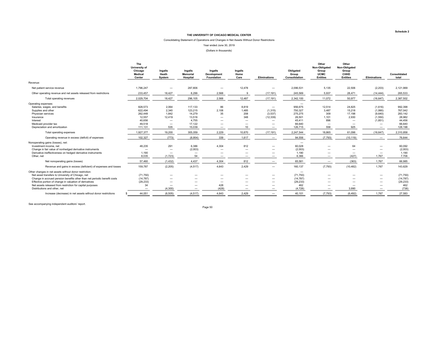#### Consolidating Statement of Operations and Changes in Net Assets Without Donor Restrictions

Year ended June 30, 2019

(Dollars in thousands)

|                                                                                                                                                                                                                                                                                                                                                 | The<br>University of<br>Chicago<br>Medical<br>Center                                           | Ingalls<br>Heath<br>System                                       | Ingalls<br><b>Memorial</b><br>Hospital                                                    | Ingalls<br>Development<br>Foundation                                    | Ingalls<br>Home<br>Care                                    | <b>Eliminations</b>                                                                                                                             | Obligated<br>Group<br>Consolidation                                                                | Other<br>Non-Obligated<br>Group<br><b>UCMC</b><br><b>Entities</b>  | Other<br>Non-Obligated<br>Group<br>CHHD<br><b>Entities</b>        | <b>Eliminations</b>                                             | Consolidated<br>total                                                                         |
|-------------------------------------------------------------------------------------------------------------------------------------------------------------------------------------------------------------------------------------------------------------------------------------------------------------------------------------------------|------------------------------------------------------------------------------------------------|------------------------------------------------------------------|-------------------------------------------------------------------------------------------|-------------------------------------------------------------------------|------------------------------------------------------------|-------------------------------------------------------------------------------------------------------------------------------------------------|----------------------------------------------------------------------------------------------------|--------------------------------------------------------------------|-------------------------------------------------------------------|-----------------------------------------------------------------|-----------------------------------------------------------------------------------------------|
| Revenue:                                                                                                                                                                                                                                                                                                                                        |                                                                                                |                                                                  |                                                                                           |                                                                         |                                                            |                                                                                                                                                 |                                                                                                    |                                                                    |                                                                   |                                                                 |                                                                                               |
| Net patient service revenue                                                                                                                                                                                                                                                                                                                     | 1,796,247                                                                                      |                                                                  | 287,806                                                                                   | —                                                                       | 12,478                                                     | -                                                                                                                                               | 2,096,531                                                                                          | 5,135                                                              | 22,506                                                            | (2,203)                                                         | 2,121,969                                                                                     |
| Other operating revenue and net assets released from restrictions                                                                                                                                                                                                                                                                               | 233,457                                                                                        | 18,427                                                           | 8,299                                                                                     | 2,568                                                                   |                                                            | (17, 191)                                                                                                                                       | 245,569                                                                                            | 5,937                                                              | 28,471                                                            | (14, 444)                                                       | 265,533                                                                                       |
| Total operating revenues                                                                                                                                                                                                                                                                                                                        | 2,029,704                                                                                      | 18.427                                                           | 296,105                                                                                   | 2,568                                                                   | 12,487                                                     | (17, 191)                                                                                                                                       | 2,342,100                                                                                          | 11,072                                                             | 50,977                                                            | (16, 647)                                                       | 2,387,502                                                                                     |
| Operating expenses:<br>Salaries, wages, and benefits<br>Supplies and other<br>Physician services<br>Insurance<br>Interest<br>Medicaid provider tax<br>Depreciation and amortization<br>Total operating expenses<br>Operating revenue in excess (deficit) of expenses                                                                            | 828.573<br>622.494<br>262.448<br>12.557<br>40.656<br>49,518<br>111.131<br>1,927,377<br>102.327 | 2.064<br>2,340<br>1.842<br>12.419<br>-<br>535<br>19.200<br>(773) | 117,133<br>123,215<br>14.279<br>13,516<br>4,755<br>17,122<br>15,039<br>305.059<br>(8,954) | 86<br>2,108<br>35<br>$\overline{\phantom{0}}$<br>—<br>-<br>2.229<br>339 | 8,819<br>1,485<br>208<br>348<br>-<br>10<br>10.870<br>1.617 | $\qquad \qquad$<br>(1,315)<br>(3,537)<br>(12, 339)<br>$\overline{\phantom{0}}$<br>-<br>$\qquad \qquad$<br>(17, 191)<br>$\overline{\phantom{m}}$ | -<br>956.675<br>750,327<br>275,275<br>26.501<br>45.411<br>66,640<br>126.715<br>2.247.544<br>94,556 | 12,514<br>3,487<br>309<br>1.101<br>896<br>558<br>18,865<br>(7.793) | 24,825<br>15,218<br>17,198<br>2.930<br>925<br>61.096<br>(10, 119) | (1,616)<br>(1,990)<br>(9,640)<br>(1,550)<br>(1,851)<br>(16.647) | 992,398<br>767,042<br>283,142<br>28,982<br>44,456<br>66,640<br>128,198<br>2,310,858<br>76,644 |
| Nonoperating gains (losses), net:<br>Investment income, net<br>Change in fair value of nonhedged derivative instruments<br>Derivative ineffectiveness on hedged derivative instruments<br>Other, net                                                                                                                                            | 48,235<br>$\overline{\phantom{m}}$<br>1,190<br>8,035                                           | 291<br>$\overline{\phantom{m}}$<br>-<br>(1,723)                  | 6,386<br>(2,003)<br>$\hspace{0.1mm}-\hspace{0.1mm}$<br>54                                 | 4,304<br>-<br>-                                                         | 812<br>-                                                   | -<br>$\overline{\phantom{m}}$<br>-<br>-                                                                                                         | 60,028<br>(2,003)<br>1.190<br>6,366                                                                | $\overline{\phantom{m}}$                                           | 64<br>–<br>-<br>(427)                                             | 1,767                                                           | 60,092<br>(2,003)<br>1,190<br>7,706                                                           |
| Net nonoperating gains (losses)                                                                                                                                                                                                                                                                                                                 | 57,460                                                                                         | (1, 432)                                                         | 4,437                                                                                     | 4,304                                                                   | 812                                                        | -                                                                                                                                               | 65.581                                                                                             |                                                                    | (363)                                                             | 1.767                                                           | 66,985                                                                                        |
| Revenue and gains in excess (deficient) of expenses and losses                                                                                                                                                                                                                                                                                  | 159,787                                                                                        | (2,205)                                                          | (4, 517)                                                                                  | 4,643                                                                   | 2,429                                                      | -                                                                                                                                               | 160,137                                                                                            | (7,793)                                                            | (10, 482)                                                         | 1.767                                                           | 143,629                                                                                       |
| Other changes in net assets without donor restriction:<br>Net asset transfers to University of Chicago, net<br>Change in accrued pension benefits other than net periodic benefit costs<br>Effective portion of change in valuation of derivatives<br>Net assets released from restriction for capital purposes<br>Distributions and other, net | (71,750)<br>(14, 787)<br>(29, 233)<br>34                                                       | -<br>-<br>(4,300)                                                | $\overline{\phantom{m}}$<br>$\overline{\phantom{m}}$                                      | 428<br>(428)                                                            | -<br>-<br>-                                                | -<br>-<br>-<br>$\qquad \qquad$<br>-                                                                                                             | (71, 750)<br>(14, 787)<br>(29, 233)<br>462<br>(4,728)                                              | $\overline{\phantom{m}}$                                           | 3,990                                                             |                                                                 | (71, 750)<br>(14, 787)<br>(29, 233)<br>462<br>(738)                                           |
| Increase (decrease) in net assets without donor restrictions                                                                                                                                                                                                                                                                                    | 44,051                                                                                         | (6, 505)                                                         | (4, 517)                                                                                  | 4,643                                                                   | 2,429                                                      |                                                                                                                                                 | 40,101                                                                                             | (7, 793)                                                           | (6, 492)                                                          | 1,767                                                           | 27,583                                                                                        |

See accompanying independent auditors' report.

Page 50